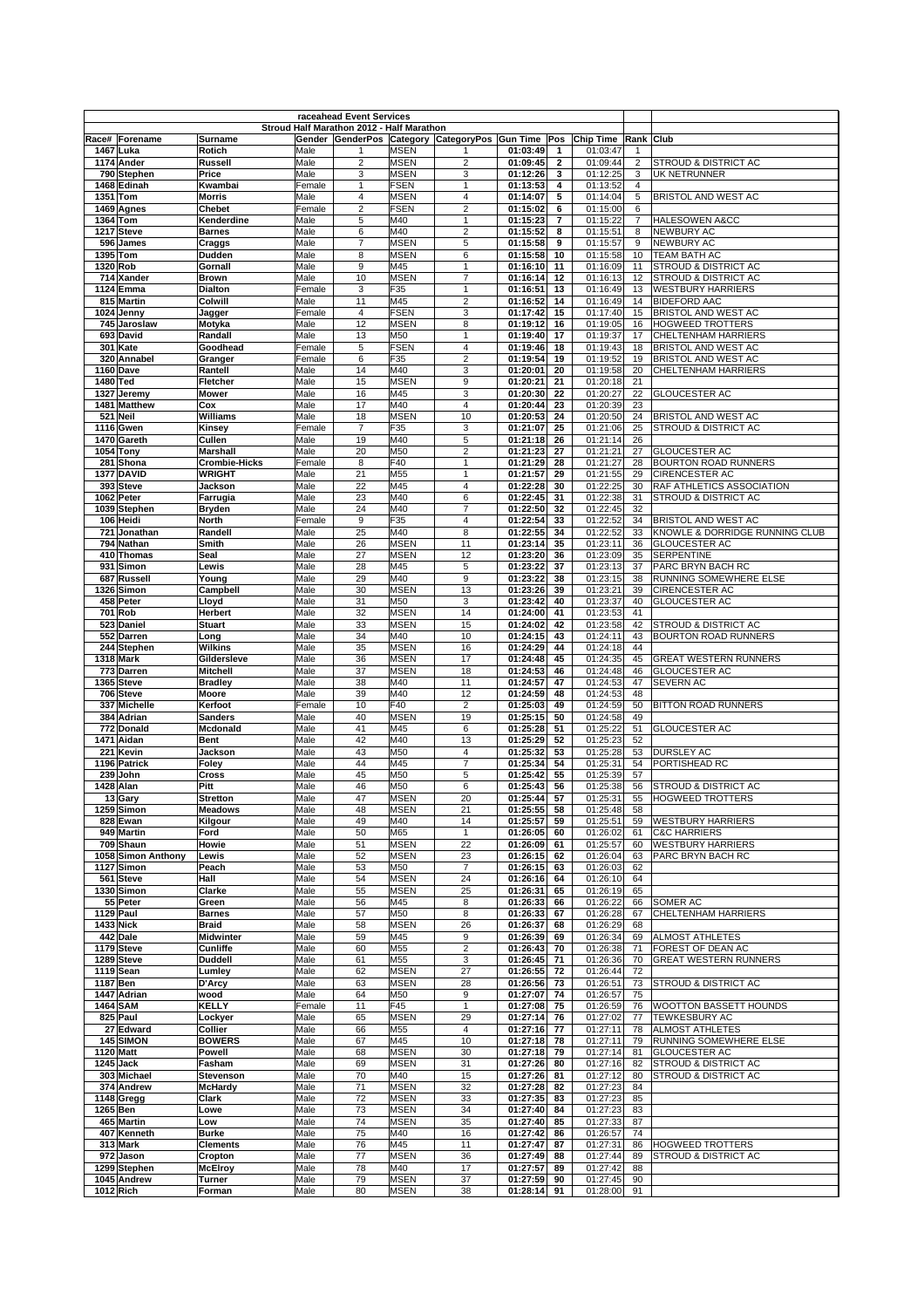|                        |                            |                                       |                | raceahead Event Services                  |                            |                                                    |                      |                |                      |                     |                                                      |
|------------------------|----------------------------|---------------------------------------|----------------|-------------------------------------------|----------------------------|----------------------------------------------------|----------------------|----------------|----------------------|---------------------|------------------------------------------------------|
|                        |                            |                                       |                | Stroud Half Marathon 2012 - Half Marathon |                            |                                                    |                      |                |                      |                     |                                                      |
|                        | Race# Forename             | Surname                               |                |                                           |                            | Gender GenderPos Category CategoryPos Gun Time Pos |                      |                | <b>Chip Time</b>     | Rank Club           |                                                      |
| 1467 Luka              |                            | Rotich                                | Male           |                                           | <b>MSEN</b>                |                                                    | 01:03:49             | 1              | 01:03:47             |                     |                                                      |
|                        | 1174 Ander                 | Russell                               | Male           | $\overline{2}$                            | <b>MSEN</b>                | $\overline{2}$                                     | 01:09:45             | $\mathbf{2}$   | 01:09:44             | $\overline{2}$      | <b>STROUD &amp; DISTRICT AC</b>                      |
|                        | 790 Stephen<br>1468 Edinah | Price<br>Kwambai                      | Male<br>Female | 3<br>$\mathbf{1}$                         | <b>MSEN</b><br><b>FSEN</b> | 3<br>1                                             | 01:12:26             | 3              | 01:12:25<br>01:13:52 | 3<br>$\overline{4}$ | UK NETRUNNER                                         |
| 1351 Tom               |                            | <b>Morris</b>                         | Male           | 4                                         | <b>MSEN</b>                | 4                                                  | 01:13:53<br>01:14:07 | 4<br>5         | 01:14:04             | 5                   | BRISTOL AND WEST AC                                  |
|                        | 1469 Agnes                 | Chebet                                | Female         | $\overline{2}$                            | <b>FSEN</b>                | $\overline{2}$                                     | 01:15:02             | 6              | 01:15:00             | 6                   |                                                      |
| 1364 Tom               |                            | Kenderdine                            | Male           | 5                                         | M40                        | 1                                                  | 01:15:23             | $\overline{7}$ | 01:15:22             | $\overline{7}$      | <b>HALESOWEN A&amp;CC</b>                            |
| 1217 Steve             |                            | <b>Barnes</b>                         | Male           | 6                                         | M40                        | $\overline{2}$                                     | 01:15:52             | 8              | 01:15:51             | 8                   | <b>NEWBURY AC</b>                                    |
|                        | 596 James                  | Craggs                                | Male           | $\overline{7}$                            | <b>MSEN</b>                | 5                                                  | 01:15:58             | 9              | 01:15:57             | 9                   | <b>NEWBURY AC</b>                                    |
| 1395                   | Tom                        | Dudden                                | Male           | 8                                         | <b>MSEN</b>                | 6                                                  | 01:15:58             | 10             | 01:15:58             | 10                  | TEAM BATH AC                                         |
| 1320 Rob               |                            | Gornall                               | Male           | 9                                         | M45                        | $\mathbf{1}$                                       | 01:16:10             | 11             | 01:16:09             | 11                  | STROUD & DISTRICT AC                                 |
|                        | 714 Xander                 | <b>Brown</b>                          | Male           | 10                                        | <b>MSEN</b>                | 7                                                  | 01:16:14             | 12             | 01:16:13             | 12                  | STROUD & DISTRICT AC                                 |
|                        | 1124 Emma                  | Dialton                               | Female         | 3                                         | F35                        | 1                                                  | 01:16:51             | 13             | 01:16:49             | 13                  | <b>WESTBURY HARRIERS</b>                             |
|                        | 815 Martin                 | Colwill                               | Male           | 11                                        | M45                        | 2                                                  | 01:16:52             | 14             | 01:16:49             | 14                  | <b>BIDEFORD AAC</b>                                  |
|                        | 1024 Jenny                 | Jagger                                | Female         | $\overline{\mathbf{4}}$                   | <b>FSEN</b>                | 3                                                  | 01:17:42             | 15             | 01:17:40             | 15                  | <b>BRISTOL AND WEST AC</b>                           |
|                        | 745 Jaroslaw               | Motyka                                | Male           | 12                                        | <b>MSEN</b>                | 8                                                  | 01:19:12             | 16             | 01:19:05             | 16                  | <b>HOGWEED TROTTERS</b>                              |
|                        | 693 David                  | Randall                               | Male           | 13                                        | M50                        | 1                                                  | 01:19:40             | 17             | 01:19:37             | 17                  | <b>CHELTENHAM HARRIERS</b>                           |
|                        | 301 Kate                   | Goodhead                              | Female         | 5                                         | <b>FSEN</b>                | 4                                                  | 01:19:46             | 18             | 01:19:43             | 18                  | <b>BRISTOL AND WEST AC</b>                           |
|                        | 320 Annabel                | Granger                               | Female         | 6                                         | F35                        | $\overline{2}$                                     | 01:19:54             | 19             | 01:19:52             | 19                  | <b>BRISTOL AND WEST AC</b>                           |
| 1160 Dave              |                            | Rantell                               | Male           | 14                                        | M40                        | 3                                                  | 01:20:01             | 20             | 01:19:58             | 20                  | <b>CHELTENHAM HARRIERS</b>                           |
| 1480 Ted               |                            | Fletcher                              | Male           | 15                                        | <b>MSEN</b>                | 9                                                  | 01:20:21             | 21             | 01:20:18             | 21                  |                                                      |
| 1327                   | Jeremy                     | <b>Mower</b>                          | Male           | 16                                        | M45                        | 3                                                  | 01:20:30             | 22             | 01:20:27             | 22                  | <b>GLOUCESTER AC</b>                                 |
|                        | 1481 Matthew               | Cox                                   | Male           | 17                                        | M40                        | 4                                                  | 01:20:44             | 23             | 01:20:39             | 23                  |                                                      |
| 521 Neil               |                            | Williams                              | Male           | 18                                        | <b>MSEN</b>                | 10                                                 | 01:20:53             | 24             | 01:20:50             | 24                  | BRISTOL AND WEST AC                                  |
| 1116 Gwen              |                            | Kinsey                                | Female         | $\overline{7}$                            | F35                        | 3                                                  | 01:21:07             | 25             | 01:21:06             | 25                  | STROUD & DISTRICT AC                                 |
| 1054                   | 1470 Gareth<br>Tony        | Cullen<br><b>Marshall</b>             | Male<br>Male   | 19<br>20                                  | M40<br>M50                 | 5<br>$\overline{\mathbf{c}}$                       | 01:21:18<br>01:21:23 | 26<br>27       | 01:21:14<br>01:21:21 | 26<br>27            | <b>GLOUCESTER AC</b>                                 |
|                        |                            |                                       |                |                                           | F40                        | $\overline{1}$                                     |                      |                |                      |                     |                                                      |
| 281                    | Shona<br>1377 DAVID        | <b>Crombie-Hicks</b><br><b>WRIGHT</b> | Female<br>Male | 8<br>21                                   | M55                        | 1                                                  | 01:21:29<br>01:21:57 | 28<br>29       | 01:21:27<br>01:21:55 | 28<br>29            | <b>BOURTON ROAD RUNNERS</b><br><b>CIRENCESTER AC</b> |
|                        | 393 Steve                  | Jackson                               | Male           | 22                                        | M45                        | 4                                                  | 01:22:28             | 30             | 01:22:25             | 30                  | RAF ATHLETICS ASSOCIATION                            |
| 1062 Peter             |                            | Farrugia                              | Male           | 23                                        | M40                        | 6                                                  | 01:22:45             | 31             | 01:22:38             | 31                  | STROUD & DISTRICT AC                                 |
|                        | 1039 Stephen               | <b>Bryden</b>                         | Male           | 24                                        | M40                        | 7                                                  | 01:22:50             | 32             | 01:22:45             | 32                  |                                                      |
|                        | 106 Heidi                  | <b>North</b>                          | Female         | 9                                         | F35                        | 4                                                  | 01:22:54             | 33             | 01:22:52             | 34                  | BRISTOL AND WEST AC                                  |
| 721                    | Jonathan                   | Randell                               | Male           | 25                                        | M40                        | 8                                                  | 01:22:55             | 34             | 01:22:52             | 33                  | KNOWLE & DORRIDGE RUNNING CLUB                       |
|                        | 794 Nathan                 | Smith                                 | Male           | 26                                        | <b>MSEN</b>                | 11                                                 | 01:23:14             | 35             | 01:23:11             | 36                  | <b>GLOUCESTER AC</b>                                 |
|                        | 410 Thomas                 | Seal                                  | Male           | 27                                        | <b>MSEN</b>                | 12                                                 | 01:23:20             | 36             | 01:23:09             | 35                  | <b>SERPENTINE</b>                                    |
| 931                    | Simon                      | Lewis                                 | Male           | 28                                        | M45                        | 5                                                  | 01:23:22             | 37             | 01:23:13             | 37                  | PARC BRYN BACH RC                                    |
| 687                    | Russell                    | Young                                 | Male           | 29                                        | M40                        | 9                                                  | 01:23:22             | 38             | 01:23:15             | 38                  | RUNNING SOMEWHERE ELSE                               |
|                        | 1326 Simon                 | Campbell                              | Male           | 30                                        | <b>MSEN</b>                | 13                                                 | 01:23:26             | 39             | 01:23:21             | 39                  | CIRENCESTER AC                                       |
|                        | 458 Peter                  | Lloyd                                 | Male           | 31                                        | M50                        | 3                                                  | 01:23:42             | 40             | 01:23:37             | 40                  | <b>GLOUCESTER AC</b>                                 |
| 701 Rob                |                            | <b>Herbert</b>                        | Male           | 32                                        | <b>MSEN</b>                | 14                                                 | 01:24:00             | 41             | 01:23:53             | 41                  |                                                      |
|                        | 523 Daniel                 | <b>Stuart</b>                         | Male           | 33                                        | <b>MSEN</b>                | 15                                                 | 01:24:02             | 42             | 01:23:58             | 42                  | STROUD & DISTRICT AC                                 |
|                        | 552 Darren                 | Long                                  | Male           | 34                                        | M40                        | 10                                                 | 01:24:15             | 43             | 01:24:11             | 43                  | <b>BOURTON ROAD RUNNERS</b>                          |
|                        | 244 Stephen                | <b>Wilkins</b>                        | Male           | 35                                        | <b>MSEN</b>                | 16                                                 | 01:24:29             | 44             | 01:24:18             | 44                  |                                                      |
| 1318 Mark              |                            | Gildersleve                           | Male           | 36                                        | <b>MSEN</b>                | 17                                                 | 01:24:48             | 45             | 01:24:35             | 45                  | <b>GREAT WESTERN RUNNERS</b>                         |
|                        | 773 Darren                 | <b>Mitchell</b>                       | Male           | 37                                        | <b>MSEN</b>                | 18                                                 | 01:24:53             | 46             | 01:24:48             | 46                  | <b>GLOUCESTER AC</b>                                 |
|                        | 1365 Steve<br>706 Steve    | <b>Bradley</b><br>Moore               | Male<br>Male   | 38<br>39                                  | M40<br>M40                 | 11<br>12                                           | 01:24:57<br>01:24:59 | 47<br>48       | 01:24:53<br>01:24:53 | 47<br>48            | SEVERN AC                                            |
|                        | 337 Michelle               | Kerfoot                               | Female         | 10                                        | F40                        | $\overline{2}$                                     | 01:25:03             | 49             | 01:24:59             | 50                  | <b>BITTON ROAD RUNNERS</b>                           |
|                        | 384 Adrian                 | <b>Sanders</b>                        | Male           | 40                                        | <b>MSEN</b>                | 19                                                 | 01:25:15             | 50             | 01:24:58             | 49                  |                                                      |
|                        | 772 Donald                 | Mcdonald                              | Male           | 41                                        | M45                        | 6                                                  | 01:25:28             | 51             | 01:25:22             | 51                  | <b>GLOUCESTER AC</b>                                 |
|                        | 1471 Aidan                 | <b>Bent</b>                           | Male           | 42                                        | M40                        | 13                                                 | 01:25:29             | 52             | 01:25:23             | 52                  |                                                      |
|                        | 221 Kevin                  | <b>Jackson</b>                        | Male           | 43                                        | M50                        | 4                                                  | 01:25:32             | 53             | 01:25:28             | 53                  | <b>DURSLEY AC</b>                                    |
|                        | 1196 Patrick               | Foley                                 | Male           | 44                                        | M45                        | 7                                                  | 01:25:34             | 54             | 01:25:31             | 54                  | PORTISHEAD RC                                        |
|                        | 239 John                   | Cross                                 | Male           | 45                                        | M50                        | 5                                                  | 01:25:42             | 55             | 01:25:39             | 57                  |                                                      |
| 1428 Alan              |                            | Pitt                                  | Male           | 46                                        | M50                        | 6                                                  | 01:25:43             | 56             | 01:25:38             | 56                  | STROUD & DISTRICT AC                                 |
|                        | 13 Gary                    | <b>Stretton</b>                       | Male           | 47                                        | <b>MSEN</b>                | 20                                                 | 01:25:44             | 57             | 01:25:31             | 55                  | <b>HOGWEED TROTTERS</b>                              |
|                        | 1259 Simon                 | <b>Meadows</b>                        | Male           | 48                                        | MSEN                       | 21                                                 | 01:25:55             | 58             | 01:25:48             | 58                  |                                                      |
|                        | 828 Ewan                   | Kilgour                               | Male           | 49                                        | M40                        | 14                                                 | 01:25:57             | 59             | 01:25:51             | 59                  | <b>WESTBURY HARRIERS</b>                             |
|                        | 949 Martin                 | Ford                                  | Male           | 50                                        | M65                        | 1                                                  | 01:26:05             | 60             | 01:26:02             | 61                  | <b>C&amp;C HARRIERS</b>                              |
|                        | 709 Shaun                  | Howie                                 | Male           | 51                                        | <b>MSEN</b>                | 22                                                 | 01:26:09             | 61             | 01:25:57             | 60                  | <b>WESTBURY HARRIERS</b>                             |
|                        | 1058 Simon Anthony         | Lewis                                 | Male           | 52                                        | <b>MSEN</b>                | 23                                                 | 01:26:15             | 62             | 01:26:04             | 63                  | PARC BRYN BACH RC                                    |
|                        | 1127 Simon                 | Peach                                 | Male           | 53                                        | M50                        | $\overline{7}$                                     | 01:26:15             | 63             | 01:26:03             | 62                  |                                                      |
|                        | 561 Steve                  | Hall                                  | Male           | 54                                        | <b>MSEN</b>                | 24                                                 | 01:26:16             | 64             | 01:26:10             | 64                  |                                                      |
|                        | 1330 Simon                 | Clarke                                | Male           | 55                                        | <b>MSEN</b>                | 25                                                 | 01:26:31             | 65             | 01:26:19             | 65                  |                                                      |
|                        | 55 Peter                   | Green                                 | Male           | 56                                        | M45                        | 8                                                  | 01:26:33             | 66             | 01:26:22             | 66<br>67            | SOMER AC                                             |
| 1129 Paul<br>1433 Nick |                            | <b>Barnes</b><br><b>Braid</b>         | Male<br>Male   | 57<br>58                                  | M50<br>MSEN                | 8<br>26                                            | 01:26:33<br>01:26:37 | 67<br>68       | 01:26:28<br>01:26:29 | 68                  | CHELTENHAM HARRIERS                                  |
| 442 Dale               |                            | <b>Midwinter</b>                      | Male           | 59                                        | M45                        | 9                                                  | 01:26:39             | 69             | 01:26:34             | 69                  | <b>ALMOST ATHLETES</b>                               |
| 1179 Steve             |                            | Cunliffe                              | Male           | 60                                        | M55                        | $\overline{\mathbf{c}}$                            | 01:26:43             | 70             | 01:26:38             | 71                  | FOREST OF DEAN AC                                    |
| 1289 Steve             |                            | <b>Duddell</b>                        | Male           | 61                                        | M55                        | 3                                                  | 01:26:45             | 71             | 01:26:36             | 70                  | <b>GREAT WESTERN RUNNERS</b>                         |
| 1119 Sean              |                            | Lumley                                | Male           | 62                                        | <b>MSEN</b>                | 27                                                 | 01:26:55             | 72             | 01:26:44             | 72                  |                                                      |
| 1187 Ben               |                            | D'Arcy                                | Male           | 63                                        | <b>MSEN</b>                | 28                                                 | 01:26:56             | 73             | 01:26:51             | 73                  | STROUD & DISTRICT AC                                 |
|                        | 1447 Adrian                | wood                                  | Male           | 64                                        | M50                        | 9                                                  | 01:27:07             | 74             | 01:26:57             | 75                  |                                                      |
| 1464 SAM               |                            | <b>KELLY</b>                          | Female         | 11                                        | F45                        | 1                                                  | 01:27:08             | 75             | 01:26:59             | 76                  | WOOTTON BASSETT HOUNDS                               |
| 825 Paul               |                            | Lockyer                               | Male           | 65                                        | <b>MSEN</b>                | 29                                                 | 01:27:14             | 76             | 01:27:02             | 77                  | TEWKESBURY AC                                        |
|                        | 27 Edward                  | Collier                               | Male           | 66                                        | M55                        | 4                                                  | 01:27:16             | 77             | 01:27:11             | 78                  | <b>ALMOST ATHLETES</b>                               |
|                        | 145 SIMON                  | <b>BOWERS</b>                         | Male           | 67                                        | M45                        | 10                                                 | 01:27:18             | 78             | 01:27:11             | 79                  | RUNNING SOMEWHERE ELSE                               |
| 1120 Matt              |                            | Powell                                | Male           | 68                                        | <b>MSEN</b>                | 30                                                 | 01:27:18             | 79             | 01:27:14             | 81                  | <b>GLOUCESTER AC</b>                                 |
| 1245 Jack              |                            | Fasham                                | Male           | 69                                        | <b>MSEN</b>                | 31                                                 | 01:27:26             | 80             | 01:27:16             | 82                  | STROUD & DISTRICT AC                                 |
|                        | 303 Michael                | Stevenson                             | Male           | 70                                        | M40                        | 15                                                 | 01:27:26             | 81             | 01:27:12             | 80                  | STROUD & DISTRICT AC                                 |
|                        | 374 Andrew                 | <b>McHardy</b>                        | Male           | 71                                        | <b>MSEN</b>                | 32                                                 | 01:27:28             | 82             | 01:27:23             | 84                  |                                                      |
|                        | 1148 Gregg                 | Clark                                 | Male           | 72                                        | <b>MSEN</b>                | 33                                                 | 01:27:35             | 83             | 01:27:23             | 85                  |                                                      |
| 1265 Ben               |                            | Lowe                                  | Male           | 73                                        | <b>MSEN</b>                | 34                                                 | 01:27:40             | 84             | 01:27:23             | 83                  |                                                      |
|                        | 465 Martin                 | Low                                   | Male           | 74                                        | <b>MSEN</b>                | 35                                                 | 01:27:40             | 85             | 01:27:33             | 87                  |                                                      |
|                        | 407 Kenneth                | <b>Burke</b>                          | Male           | 75                                        | M40                        | 16                                                 | 01:27:42             | 86             | 01:26:57             | 74                  |                                                      |
|                        | 313 Mark<br>972 Jason      | <b>Clements</b>                       | Male<br>Male   | 76<br>77                                  | M45<br><b>MSEN</b>         | 11<br>36                                           | 01:27:47<br>01:27:49 | 87<br>88       | 01:27:31             | 86<br>89            | <b>HOGWEED TROTTERS</b><br>STROUD & DISTRICT AC      |
|                        | 1299 Stephen               | Cropton<br><b>McElroy</b>             | Male           | 78                                        | M40                        | 17                                                 | 01:27:57             | 89             | 01:27:44<br>01:27:42 | 88                  |                                                      |
|                        | 1045 Andrew                | Turner                                | Male           | 79                                        | <b>MSEN</b>                | 37                                                 | 01:27:59             | 90             | 01:27:45             | 90                  |                                                      |
| 1012 Rich              |                            | Forman                                | Male           | 80                                        | <b>MSEN</b>                | 38                                                 | 01:28:14             | 91             | 01:28:00             | 91                  |                                                      |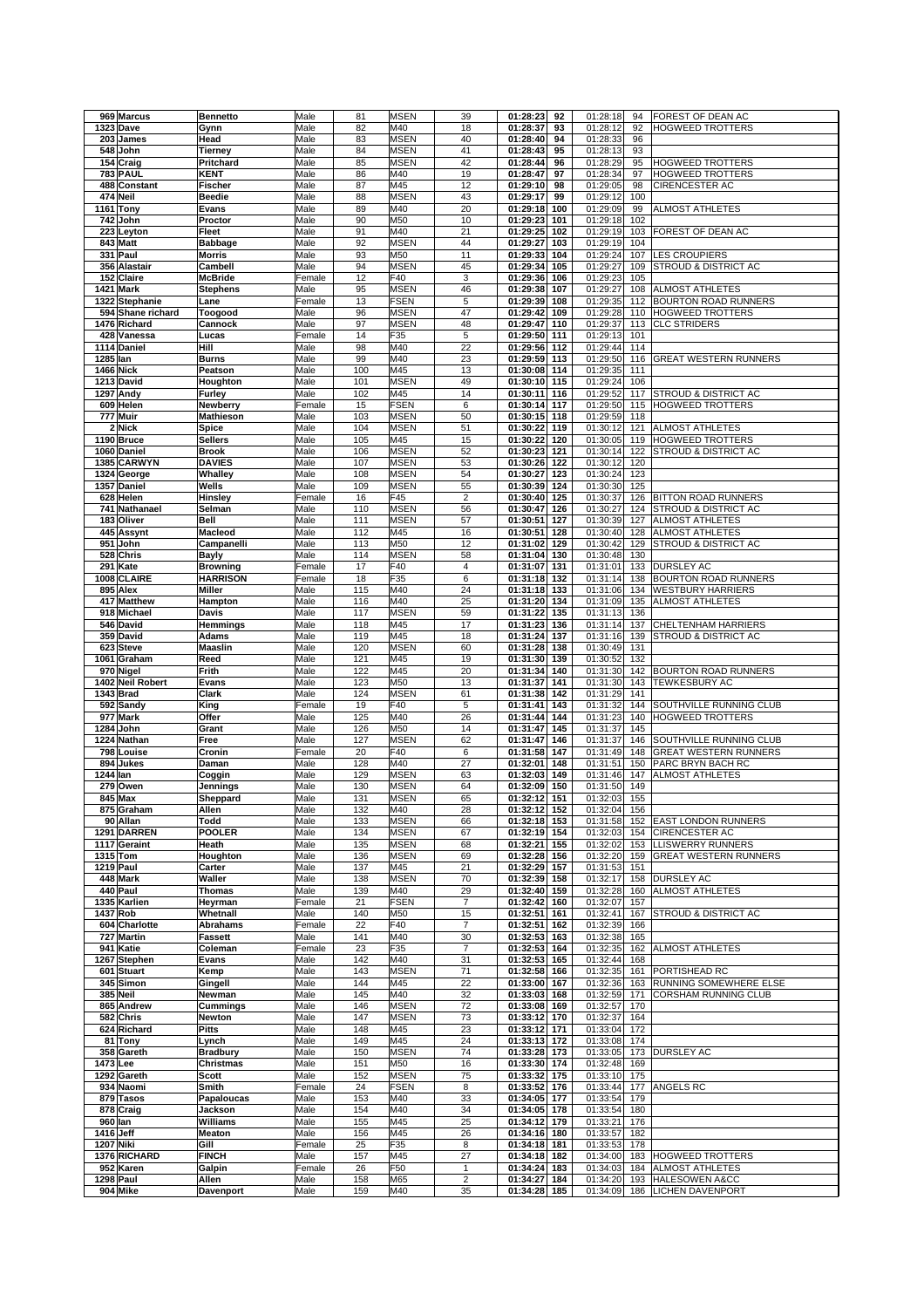| 969 Marcus            | <b>Bennetto</b>    | Male         | 81         | <b>MSEN</b> | 39             | 01:28:23<br>92                     | 01:28:18             | 94  | FOREST OF DEAN AC                             |
|-----------------------|--------------------|--------------|------------|-------------|----------------|------------------------------------|----------------------|-----|-----------------------------------------------|
| 1323 Dave             | Gynn               | Male         | 82         | M40         | 18             | 01:28:37<br>93                     | 01:28:12             | 92  | HOGWEED TROTTERS                              |
| 203 James             | Head               | Male         | 83         | <b>MSEN</b> | 40             | 01:28:40<br>94                     | 01:28:33             | 96  |                                               |
| 548 John              | Tierney            | Male         | 84         | <b>MSEN</b> | 41             | 01:28:43<br>95                     | 01:28:13             | 93  |                                               |
| 154 Craig             | Pritchard          | Male         | 85         | <b>MSEN</b> | 42             | 01:28:44<br>96                     | 01:28:29             | 95  | <b>HOGWEED TROTTERS</b>                       |
|                       |                    |              |            |             |                |                                    |                      |     | <b>HOGWEED TROTTERS</b>                       |
| <b>783 PAUL</b>       | <b>KENT</b>        | Male         | 86         | M40         | 19             | 01:28:47<br>97                     | 01:28:34             | 97  |                                               |
| 488 Constant          | Fischer            | Male         | 87         | M45         | 12             | 01:29:10<br>98                     | 01:29:05             | 98  | <b>CIRENCESTER AC</b>                         |
| 474 Neil              | <b>Beedie</b>      | Male         | 88         | <b>MSEN</b> | 43             | 01:29:17<br>99                     | 01:29:12             | 100 |                                               |
| Tony<br>1161          | Evans              | Male         | 89         | M40         | 20             | 01:29:18<br>100                    | 01:29:09             | 99  | <b>ALMOST ATHLETES</b>                        |
| 742 John              | Proctor            | Male         | 90         | M50         | 10             | 01:29:23<br>101                    | 01:29:18             | 102 |                                               |
| 223 Leyton            | Fleet              | Male         | 91         | M40         | 21             | 01:29:25<br>102                    | 01:29:19             | 103 | FOREST OF DEAN AC                             |
| 843 Matt              | Babbage            | Male         | 92         | <b>MSEN</b> | 44             | 01:29:27<br>103                    | 01:29:19             | 104 |                                               |
| 331 Paul              | <b>Morris</b>      | Male         | 93         | M50         | 11             | 01:29:33<br>104                    | 01:29:24             | 107 | <b>LES CROUPIERS</b>                          |
| 356 Alastair          | Cambell            | Male         | 94         | <b>MSEN</b> | 45             | 01:29:34<br>105                    | 01:29:27             | 109 | STROUD & DISTRICT AC                          |
| 152 Claire            | <b>McBride</b>     | Female       | 12         | F40         | 3              | 01:29:36<br>106                    | 01:29:23             | 105 |                                               |
| Mark<br>1421          | <b>Stephens</b>    | Male         | 95         | <b>MSEN</b> | 46             | 01:29:38<br>107                    | 01:29:27             | 108 | <b>ALMOST ATHLETES</b>                        |
| 1322 Stephanie        | Lane               | Female       | 13         | <b>FSEN</b> | 5              | 01:29:39<br>108                    | 01:29:35             | 112 | <b>BOURTON ROAD RUNNERS</b>                   |
| 594 Shane richard     | Toogood            | Male         | 96         | <b>MSEN</b> | 47             | 01:29:42<br>109                    | 01:29:28             | 110 | <b>HOGWEED TROTTERS</b>                       |
| 1476 Richard          | Cannock            | Male         | 97         | <b>MSEN</b> | 48             | 01:29:47<br>110                    | 01:29:37             | 113 | <b>CLC STRIDERS</b>                           |
| 428 Vanessa           | Lucas              | Female       | 14         | F35         | 5              | 01:29:50<br>111                    | 01:29:13             | 101 |                                               |
| 1114 Daniel           | Hill               | Male         | 98         | M40         | 22             | 01:29:56<br>112                    | 01:29:44             | 114 |                                               |
| 1285 lan              | <b>Burns</b>       | Male         | 99         | M40         | 23             | 01:29:59<br>113                    | 01:29:50             | 116 | <b>GREAT WESTERN RUNNERS</b>                  |
| 1466 Nick             | Peatson            | Male         | 100        | M45         | 13             | 01:30:08<br>114                    | 01:29:35             | 111 |                                               |
| 1213 David            | Houghton           | Male         | 101        | <b>MSEN</b> | 49             | 01:30:10<br>115                    | 01:29:24             | 106 |                                               |
| 1297 Andy             | Furley             | Male         | 102        | M45         | 14             | 01:30:11<br>116                    | 01:29:52             | 117 | STROUD & DISTRICT AC                          |
| 609 Helen             | Newberry           | Female       | 15         | <b>FSEN</b> | 6              | 01:30:14<br>117                    | 01:29:50             | 115 | <b>HOGWEED TROTTERS</b>                       |
| 777 Muir              | Mathieson          | Male         | 103        | <b>MSEN</b> | 50             | 01:30:15<br>118                    | 01:29:59             | 118 |                                               |
| 2 Nick                | Spice              | Male         | 104        | <b>MSEN</b> | 51             | 01:30:22<br>119                    | 01:30:12             | 121 | <b>ALMOST ATHLETES</b>                        |
| 1190 Bruce            | <b>Sellers</b>     | Male         | 105        | M45         | 15             | 01:30:22<br>120                    | 01:30:05             | 119 | <b>HOGWEED TROTTERS</b>                       |
| 1060 Daniel           | <b>Brook</b>       | Male         | 106        | <b>MSEN</b> | 52             | 01:30:23<br>121                    | 01:30:14             | 122 | STROUD & DISTRICT AC                          |
| 1385 CARWYN           | <b>DAVIES</b>      | Male         | 107        | <b>MSEN</b> | 53             | 01:30:26<br>122                    | 01:30:12             | 120 |                                               |
| 1324 George           | Whalley            | Male         | 108        | <b>MSEN</b> | 54             | 01:30:27<br>123                    | 01:30:24             | 123 |                                               |
| 1357 Daniel           | Wells              | Male         | 109        | <b>MSEN</b> | 55             | 01:30:39<br>124                    | 01:30:30             | 125 |                                               |
| 628 Helen             | <b>Hinsley</b>     | Female       | 16         | F45         | $\overline{2}$ | 01:30:40<br>125                    | 01:30:37             |     | 126 BITTON ROAD RUNNERS                       |
| 741 Nathanael         |                    | Male         | 110        | <b>MSEN</b> | 56             | 01:30:47<br>126                    | 01:30:27             |     | 124 STROUD & DISTRICT AC                      |
|                       | Selman             |              |            |             |                |                                    |                      |     | <b>ALMOST ATHLETES</b>                        |
| 183 Oliver            | Bell               | Male         | 111        | <b>MSEN</b> | 57             | 01:30:51<br>127                    | 01:30:39             | 127 |                                               |
| 445 Assynt            | Macleod            | Male         | 112        | M45         | 16             | 01:30:51<br>128                    | 01:30:40             | 128 | <b>ALMOST ATHLETES</b>                        |
| 951<br>John           | Campanelli         | Male         | 113        | M50         | 12             | 01:31:02<br>129                    | 01:30:42             | 129 | STROUD & DISTRICT AC                          |
| 528 Chris             | <b>Bayly</b>       | Male         | 114        | <b>MSEN</b> | 58             | 01:31:04<br>130                    | 01:30:48             | 130 |                                               |
| 291<br>Kate           | <b>Browning</b>    | Female       | 17         | F40         | 4              | 01:31:07<br>131                    | 01:31:01             | 133 | <b>DURSLEY AC</b>                             |
| <b>CLAIRE</b><br>1008 | <b>HARRISON</b>    | Female       | 18         | F35         | 6              | 01:31:18<br>132                    | 01:31:14             | 138 | <b>BOURTON ROAD RUNNERS</b>                   |
| 895 Alex              | <b>Miller</b>      | Male         | 115        | M40         | 24             | 01:31:18<br>133                    | 01:31:06             | 134 | <b>WESTBURY HARRIERS</b>                      |
| 417 Matthew           | Hampton            | Male         | 116        | M40         | 25             | 01:31:20<br>134                    | 01:31:09             | 135 | ALMOST ATHLETES                               |
| 918 Michael           | Davis              | Male         | 117        | <b>MSEN</b> | 59             | 01:31:22<br>135                    | 01:31:13             | 136 |                                               |
| 546 David             | Hemmings           | Male         | 118        | M45         | 17             | 01:31:23<br>136                    | 01:31:14             | 137 | CHELTENHAM HARRIERS                           |
| 359 David             | Adams              | Male         | 119        | M45         | 18             | 01:31:24<br>137                    | 01:31:16             | 139 | STROUD & DISTRICT AC                          |
| 623 Steve             | Maaslin            | Male         | 120        | <b>MSEN</b> | 60             | 01:31:28<br>138                    | 01:30:49             | 131 |                                               |
| 1061 Graham           | Reed               | Male         | 121        | M45         | 19             | 01:31:30<br>139                    | 01:30:52             | 132 |                                               |
| 970 Nigel             | Frith              | Male         | 122        | M45         | 20             | 01:31:34<br>140                    | 01:31:30             | 142 | <b>BOURTON ROAD RUNNERS</b>                   |
| 1402 Neil Robert      | Evans              | Male         | 123        | M50         | 13             | 01:31:37<br>141                    | 01:31:30             | 143 | <b>TEWKESBURY AC</b>                          |
| 1343 Brad             | Clark              | Male         | 124        | <b>MSEN</b> | 61             | 01:31:38<br>142                    | 01:31:29             | 141 |                                               |
| 592 Sandy             | King               | Female       | 19         | F40         | 5              | 01:31:41<br>143                    | 01:31:32             | 144 | SOUTHVILLE RUNNING CLUB                       |
| 977<br><b>Mark</b>    | Offer              | Male         | 125        | M40         | 26             | 01:31:44<br>144                    | 01:31:23             | 140 | <b>HOGWEED TROTTERS</b>                       |
| 1284<br>John          | Grant              | Male         | 126        | M50         | 14             | 01:31:47<br>145                    | 01:31:37             | 145 |                                               |
| 1224<br>Nathan        | Free               | Male         | 127        | <b>MSEN</b> | 62             | 01:31:47<br>146                    | 01:31:37             | 146 | SOUTHVILLE RUNNING CLUB                       |
| 798 Louise            | Cronin             | Female       | 20         | F40         | 6              | 01:31:58<br>147                    | 01:31:49             | 148 | <b>GREAT WESTERN RUNNERS</b>                  |
| 894<br>Jukes          | Daman              | Male         | 128        | M40         | 27             | 01:32:01<br>148                    | 01:31:51             | 150 | PARC BRYN BACH RC                             |
| 1244 lan              | Coggin             | Male         | 129        | <b>MSEN</b> | 63             | 01:32:03<br>149                    | 01:31:46             | 147 | <b>ALMOST ATHLETES</b>                        |
| 279 Owen              | Jennings           | Male         | 130        | <b>MSEN</b> | 64             | 01:32:09<br>150                    | 01:31:50             | 149 |                                               |
| 845 Max               | Sheppard           | Male         | 131        | <b>MSEN</b> | 65             | 01:32:12<br>151                    | 01:32:03             | 155 |                                               |
| 875 Graham            | Allen              | Male         | 132        | M40         | 28             | 01:32:12 152                       | 01:32:04 156         |     |                                               |
| 90 Allan              | Todd               | Male         | 133        | <b>MSEN</b> | 66             | 01:32:18<br>153                    | 01:31:58             |     | 152 EAST LONDON RUNNERS                       |
| 1291 DARREN           | <b>POOLER</b>      | Male         | 134        | <b>MSEN</b> | 67             | 01:32:19<br>154                    | 01:32:03             | 154 | <b>CIRENCESTER AC</b>                         |
| 1117 Geraint          | Heath              | Male         | 135        | <b>MSEN</b> | 68             | 01:32:21<br>155                    | 01:32:02             | 153 | <b>LLISWERRY RUNNERS</b>                      |
| 1315 Tom              | Houghton           | Male         | 136        | <b>MSEN</b> | 69             | 01:32:28<br>156                    | 01:32:20             | 159 | <b>GREAT WESTERN RUNNERS</b>                  |
| <b>1219 Paul</b>      | Carter             | Male         |            | M45         |                |                                    |                      |     |                                               |
| 448 Mark              |                    |              |            |             |                |                                    |                      |     |                                               |
|                       |                    |              | 137        |             | 21             | 01:32:29<br>157                    | 01:31:53             | 151 |                                               |
|                       | Waller             | Male         | 138        | <b>MSEN</b> | 70             | 01:32:39<br>158                    | 01:32:17             | 158 | <b>DURSLEY AC</b>                             |
| 440 Paul              | <b>Thomas</b>      | Male         | 139        | M40         | 29             | 01:32:40<br>159                    | 01:32:28             | 160 | ALMOST ATHLETES                               |
| 1335 Karlien          | Heyrman            | Female       | 21         | <b>FSEN</b> | $\overline{7}$ | 01:32:42<br>160                    | 01:32:07             | 157 |                                               |
| 1437 Rob              | Whetnall           | Male         | 140        | M50         | 15             | 01:32:51<br>161                    | 01:32:41             | 167 | STROUD & DISTRICT AC                          |
| 604 Charlotte         | Abrahams           | Female       | 22         | F40         | 7              | 01:32:51<br>162                    | 01:32:39             | 166 |                                               |
| 727 Martin            | Fassett            | Male         | 141        | M40         | 30             | 01:32:53<br>163                    | 01:32:38             | 165 |                                               |
| 941 Katie             | Coleman            | Female       | 23         | F35         | 7              | 01:32:53<br>164                    | 01:32:35             |     | 162 ALMOST ATHLETES                           |
| 1267 Stephen          | Evans              | Male         | 142        | M40         | 31             | 01:32:53<br>165                    | 01:32:44             | 168 |                                               |
| 601 Stuart            | Kemp               | Male         | 143        | <b>MSEN</b> | 71             | 01:32:58<br>166                    | 01:32:35             | 161 | PORTISHEAD RC                                 |
| 345 Simon             | Gingell            | Male         | 144        | M45         | 22             | 01:33:00<br>167                    | 01:32:36             | 163 | RUNNING SOMEWHERE ELSE                        |
| 385 Neil              | Newman             | Male         | 145        | M40         | 32             | 01:33:03<br>168                    | 01:32:59             | 171 | CORSHAM RUNNING CLUB                          |
| 865 Andrew            | Cummings           | Male         | 146        | <b>MSEN</b> | 72             | 01:33:08<br>169                    | 01:32:57             | 170 |                                               |
| 582 Chris             | Newton             | Male         | 147        | <b>MSEN</b> | 73             | 01:33:12<br>170                    | 01:32:37             | 164 |                                               |
| 624 Richard           | <b>Pitts</b>       | Male         | 148        | M45         | 23             | 01:33:12<br>171                    | 01:33:04             | 172 |                                               |
| Tony<br>81            | Lynch              | Male         | 149        | M45         | 24             | 01:33:13<br>172                    | 01:33:08             | 174 |                                               |
| 358 Gareth            | <b>Bradbury</b>    | Male         | 150        | <b>MSEN</b> | 74             | 01:33:28<br>173                    | 01:33:05             | 173 | <b>DURSLEY AC</b>                             |
| 1473 Lee              | Christmas          | Male         | 151        | M50         | 16             | 01:33:30<br>174                    | 01:32:48             | 169 |                                               |
| 1292 Gareth           | Scott              | Male         | 152        | <b>MSEN</b> | 75             | 01:33:32<br>175                    | 01:33:10 175         |     |                                               |
| 934 Naomi             | Smith              | Female       | 24         | <b>FSEN</b> | 8              | 01:33:52<br>176                    | 01:33:44             |     | 177 ANGELS RC                                 |
| 879 Tasos             | Papaloucas         | Male         | 153        | M40         | 33             | 01:34:05<br>177                    | 01:33:54             | 179 |                                               |
| 878 Craig             | Jackson            | Male         | 154        | M40         | 34             | 01:34:05<br>178                    | 01:33:54             | 180 |                                               |
| 960 lan               | Williams           | Male         | 155        | M45         | 25             | 01:34:12<br>179                    | 01:33:21             | 176 |                                               |
| 1416 Jeff             | Meaton             | Male         | 156        | M45         | 26             | 01:34:16<br>180                    | 01:33:57             | 182 |                                               |
| 1207 Niki             | Gill               | Female       | 25         | F35         | 8              | 01:34:18<br>181                    | 01:33:53             | 178 |                                               |
| 1376 RICHARD          | <b>FINCH</b>       | Male         | 157        | M45         | 27             | 01:34:18<br>182                    | 01:34:00             |     | 183 HOGWEED TROTTERS                          |
| 952 Karen             | Galpin             | Female       | 26         | F50         | $\mathbf{1}$   | 01:34:24<br>183                    | 01:34:03             | 184 | <b>ALMOST ATHLETES</b>                        |
| 1298 Paul<br>904 Mike | Allen<br>Davenport | Male<br>Male | 158<br>159 | M65<br>M40  | 2<br>35        | 01:34:27<br>184<br>01:34:28<br>185 | 01:34:20<br>01:34:09 | 186 | 193 HALESOWEN A&CC<br><b>LICHEN DAVENPORT</b> |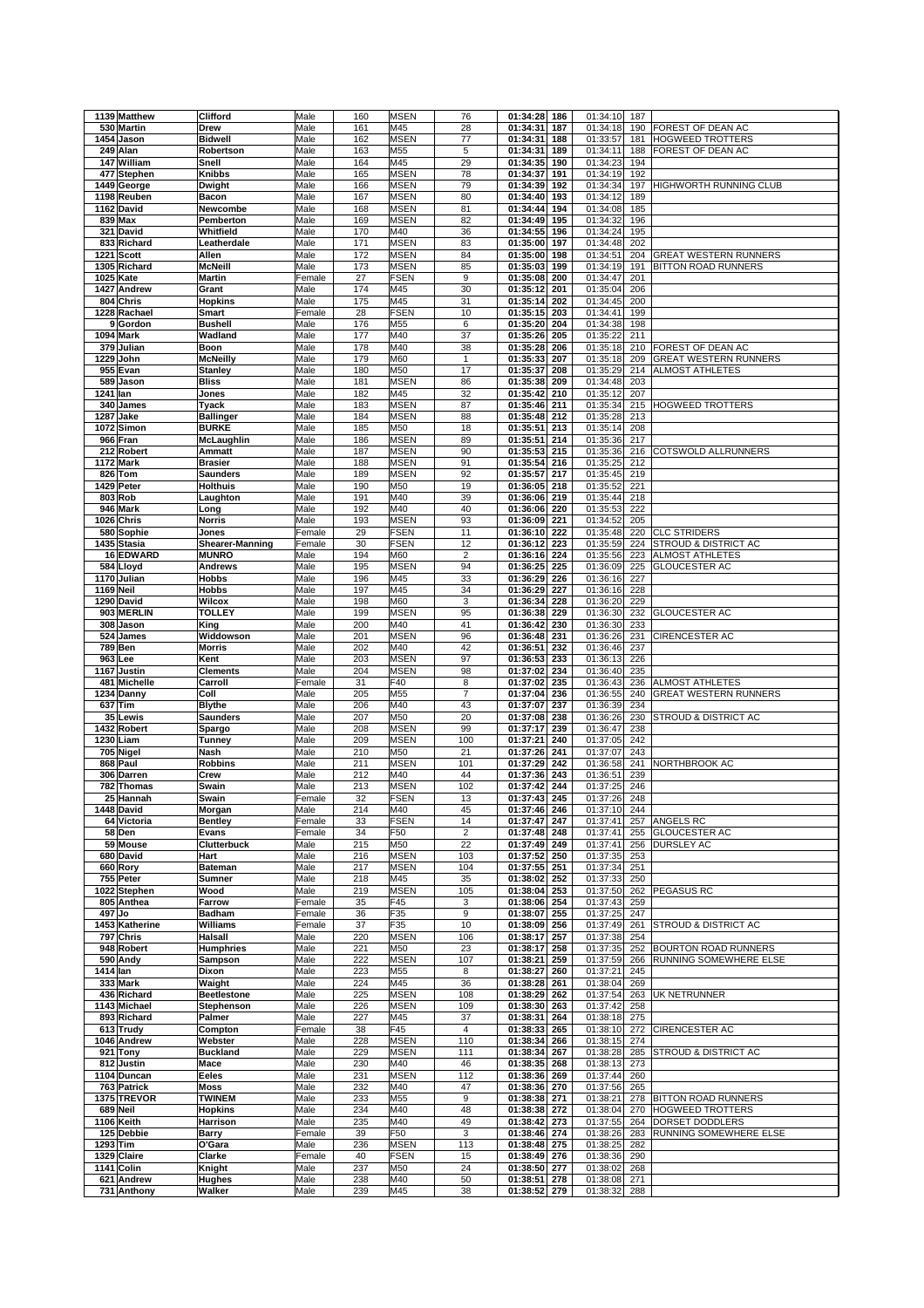|           | 1139 Matthew              | Clifford               | Male         | 160        | <b>MSEN</b> | 76                      | 01:34:28             | 186        | 01:34:10             | 187        |                                 |
|-----------|---------------------------|------------------------|--------------|------------|-------------|-------------------------|----------------------|------------|----------------------|------------|---------------------------------|
|           | 530 Martin                | Drew                   | Male         | 161        | M45         | 28                      | 01:34:31             | 187        | 01:34:18             | 190        | FOREST OF DEAN AC               |
|           |                           |                        |              |            |             |                         |                      |            |                      |            | HOGWEED TROTTERS                |
|           | 1454 Jason                | <b>Bidwell</b>         | Male         | 162        | <b>MSEN</b> | 77                      | 01:34:31             | 188        | 01:33:57             | 181        |                                 |
|           | 249 Alan                  | Robertson              | Male         | 163        | M55         | 5                       | 01:34:31             | 189        | 01:34:11             | 188        | FOREST OF DEAN AC               |
|           | 147 William               | Snell                  | Male         | 164        | M45         | 29                      | 01:34:35             | 190        | 01:34:23             | 194        |                                 |
|           | 477 Stephen               | Knibbs                 | Male         | 165        | <b>MSEN</b> | 78                      | 01:34:37             | 191        | 01:34:19             | 192        |                                 |
|           | 1449 George               | Dwight                 | Male         | 166        | <b>MSEN</b> | 79                      | 01:34:39             | 192        | 01:34:34             | 197        | HIGHWORTH RUNNING CLUB          |
|           | 1198 Reuben               | Bacon                  | Male         | 167        | <b>MSEN</b> | 80                      | 01:34:40             | 193        | 01:34:12             | 189        |                                 |
|           | 1162 David                | Newcombe               | Male         | 168        | <b>MSEN</b> | 81                      | 01:34:44             | 194        | 01:34:08             | 185        |                                 |
|           | 839 Max                   |                        |              | 169        |             |                         | 01:34:49             | 195        |                      |            |                                 |
|           |                           | Pemberton              | Male         |            | <b>MSEN</b> | 82                      |                      |            | 01:34:32             | 196        |                                 |
|           | 321 David                 | Whitfield              | Male         | 170        | M40         | 36                      | 01:34:55             | 196        | 01:34:24             | 195        |                                 |
|           | 833 Richard               | Leatherdale            | Male         | 171        | <b>MSEN</b> | 83                      | 01:35:00             | 197        | 01:34:48             | 202        |                                 |
|           | 1221 Scott                | Allen                  | Male         | 172        | <b>MSEN</b> | 84                      | 01:35:00             | 198        | 01:34:51             | 204        | <b>GREAT WESTERN RUNNERS</b>    |
|           | 1305 Richard              | <b>McNeill</b>         | Male         | 173        | <b>MSEN</b> | 85                      | 01:35:03             | 199        | 01:34:19             | 191        | BITTON ROAD RUNNERS             |
|           | 1025 Kate                 | <b>Martin</b>          | Female       | 27         | <b>FSEN</b> | 9                       | 01:35:08             | 200        | 01:34:47             | 201        |                                 |
|           | 1427 Andrew               | Grant                  | Male         | 174        | M45         | 30                      | 01:35:12             | 201        | 01:35:04             | 206        |                                 |
|           | 804 Chris                 |                        |              | 175        |             | 31                      |                      |            |                      |            |                                 |
|           |                           | <b>Hopkins</b>         | Male         |            | M45         |                         | 01:35:14             | 202        | 01:34:45             | 200        |                                 |
|           | 1228 Rachael              | Smart                  | Female       | 28         | <b>FSEN</b> | 10                      | 01:35:15             | 203        | 01:34:41             | 199        |                                 |
|           | 9 Gordon                  | <b>Bushell</b>         | Male         | 176        | M55         | 6                       | 01:35:20             | 204        | 01:34:38             | 198        |                                 |
|           | 1094 Mark                 | Wadland                | Male         | 177        | M40         | 37                      | 01:35:26             | 205        | 01:35:22             | 211        |                                 |
|           | 379 Julian                | Boon                   | Male         | 178        | M40         | 38                      | 01:35:28             | 206        | 01:35:18             | 210        | FOREST OF DEAN AC               |
|           | 1229 John                 | <b>McNeilly</b>        | Male         | 179        | M60         | 1                       | 01:35:33             | 207        | 01:35:18             | 209        | <b>GREAT WESTERN RUNNERS</b>    |
|           | 955 Evan                  | <b>Stanley</b>         | Male         | 180        | M50         | 17                      | 01:35:37             | 208        | 01:35:29             | 214        | <b>ALMOST ATHLETES</b>          |
|           | 589 Jason                 | <b>Bliss</b>           | Male         | 181        | <b>MSEN</b> | 86                      | 01:35:38             | 209        | 01:34:48             | 203        |                                 |
|           |                           |                        |              |            |             |                         |                      |            |                      |            |                                 |
| 1241 lan  |                           | Jones                  | Male         | 182        | M45         | 32                      | 01:35:42             | 210        | 01:35:12             | 207        |                                 |
|           | 340 James                 | <b>Tyack</b>           | Male         | 183        | <b>MSEN</b> | 87                      | 01:35:46             | 211        | 01:35:34             | 215        | HOGWEED TROTTERS                |
|           | 1287 Jake                 | <b>Ballinger</b>       | Male         | 184        | <b>MSEN</b> | 88                      | 01:35:48             | 212        | 01:35:28             | 213        |                                 |
|           | 1072 Simon                | <b>BURKE</b>           | Male         | 185        | M50         | 18                      | 01:35:51             | 213        | 01:35:14             | 208        |                                 |
|           | 966 Fran                  | McLaughlin             | Male         | 186        | <b>MSEN</b> | 89                      | 01:35:51             | 214        | 01:35:36             | 217        |                                 |
|           | 212 Robert                | Ammatt                 | Male         | 187        | <b>MSEN</b> | 90                      | 01:35:53             | 215        | 01:35:36             | 216        | COTSWOLD ALLRUNNERS             |
|           | <b>1172 Mark</b>          | <b>Brasier</b>         | Male         | 188        | <b>MSEN</b> | 91                      | 01:35:54             | 216        | 01:35:25             | 212        |                                 |
|           | 826 Tom                   |                        |              |            | <b>MSEN</b> |                         |                      | 217        |                      |            |                                 |
|           |                           | <b>Saunders</b>        | Male         | 189        |             | 92                      | 01:35:57             |            | 01:35:45             | 219        |                                 |
|           | 1429 Peter                | <b>Holthuis</b>        | Male         | 190        | M50         | 19                      | 01:36:05             | 218        | 01:35:52             | 221        |                                 |
|           | 803 Rob                   | Laughton               | Male         | 191        | M40         | 39                      | 01:36:06             | 219        | 01:35:44             | 218        |                                 |
|           | 946 Mark                  | Long                   | Male         | 192        | M40         | 40                      | 01:36:06             | 220        | 01:35:53             | 222        |                                 |
|           | 1026 Chris                | <b>Norris</b>          | Male         | 193        | <b>MSEN</b> | 93                      | 01:36:09             | 221        | 01:34:52             | 205        |                                 |
|           | 580 Sophie                | Jones                  | Female       | 29         | <b>FSEN</b> | 11                      | 01:36:10             | 222        | 01:35:48             | 220        | <b>CLC STRIDERS</b>             |
|           | 1435 Stasia               | <b>Shearer-Manning</b> | Female       | 30         | <b>FSEN</b> | 12                      | 01:36:12             | 223        | 01:35:59             | 224        | STROUD & DISTRICT AC            |
|           | 16 EDWARD                 | <b>MUNRO</b>           | Male         | 194        | M60         | $\overline{\mathbf{c}}$ | 01:36:16             | 224        |                      | 223        | <b>ALMOST ATHLETES</b>          |
|           |                           |                        |              |            |             |                         |                      |            | 01:35:56             |            |                                 |
|           | 584 Lloyd                 | <b>Andrews</b>         | Male         | 195        | <b>MSEN</b> | 94                      | 01:36:25             | 225        | 01:36:09             | 225        | <b>GLOUCESTER AC</b>            |
|           | 1170 Julian               | <b>Hobbs</b>           | Male         | 196        | M45         | 33                      | 01:36:29             | 226        | 01:36:16             | 227        |                                 |
| 1169 Neil |                           | <b>Hobbs</b>           | Male         | 197        | M45         | 34                      | 01:36:29             | 227        | 01:36:16             | 228        |                                 |
|           | 1290 David                | Wilcox                 | Male         | 198        | M60         | 3                       | 01:36:34             | 228        | 01:36:20             | 229        |                                 |
|           | 903 MERLIN                | <b>TOLLEY</b>          | Male         | 199        | <b>MSEN</b> | 95                      | 01:36:38             | 229        | 01:36:30             | 232        | <b>GLOUCESTER AC</b>            |
|           | 308 Jason                 | King                   | Male         | 200        | M40         | 41                      | 01:36:42             | 230        | 01:36:30             | 233        |                                 |
|           |                           |                        | Male         | 201        | <b>MSEN</b> | 96                      |                      | 231        | 01:36:26             |            |                                 |
|           | 524 James                 | Widdowson              |              |            |             |                         | 01:36:48             |            |                      | 231        | CIRENCESTER AC                  |
|           | <b>789 Ben</b>            | <b>Morris</b>          | Male         | 202        | M40         | 42                      | 01:36:51             | 232        | 01:36:46             | 237        |                                 |
|           | 963 Lee                   | Kent                   | Male         | 203        | <b>MSEN</b> | 97                      | 01:36:53             | 233        | 01:36:13             | 226        |                                 |
|           | 1167 Justin               | <b>Clements</b>        | Male         | 204        | <b>MSEN</b> | 98                      | 01:37:02             | 234        | 01:36:40             | 235        |                                 |
|           | 481 Michelle              | Carroll                | Female       | 31         | F40         | 8                       | 01:37:02             | 235        | 01:36:43             | 236        | ALMOST ATHLETES                 |
|           | 1234 Danny                | Coll                   | Male         | 205        | M55         | 7                       | 01:37:04             | 236        | 01:36:55             | 240        | GREAT WESTERN RUNNERS           |
|           | 637 Tim                   | <b>Blythe</b>          | Male         | 206        | M40         | 43                      | 01:37:07             | 237        | 01:36:39             | 234        |                                 |
|           | 35 Lewis                  | <b>Saunders</b>        | Male         | 207        | M50         | 20                      | 01:37:08             | 238        | 01:36:26             | 230        | STROUD & DISTRICT AC            |
|           |                           |                        |              |            |             |                         |                      |            |                      |            |                                 |
|           | 1432 Robert               | Spargo                 | Male         | 208        | <b>MSEN</b> | 99                      | 01:37:17             | 239        | 01:36:47             | 238        |                                 |
|           | 1230 Liam                 | <b>Tunney</b>          | Male         | 209        | <b>MSEN</b> | 100                     | 01:37:21             | 240        | 01:37:05             | 242        |                                 |
|           | 705 Nigel                 | Nash                   | Male         | 210        | M50         | 21                      | 01:37:26             | 241        | 01:37:07             | 243        |                                 |
|           | 868 Paul                  | <b>Robbins</b>         | Male         | 211        | <b>MSEN</b> | 101                     | 01:37:29             | 242        | 01:36:58             | 241        | NORTHBROOK AC                   |
|           | 306 Darren                | Crew                   | Male         | 212        | M40         | 44                      | 01:37:36             | 243        | 01:36:51             | 239        |                                 |
|           | 782 Thomas                | Swain                  | Male         | 213        | <b>MSEN</b> | 102                     | 01:37:42             | 244        | 01:37:25             | 246        |                                 |
|           | 25 Hannah                 | Swain                  | Female       | 32         | FSEN        | 13                      | 01:37:43             | 245        | 01:37:26             | 248        |                                 |
|           |                           |                        |              |            |             |                         |                      |            | 01:37:10 244         |            |                                 |
|           | 1448 David                | Morgan                 | Male         | 214        | M40         | 45                      | 01:37:46 246         |            |                      |            |                                 |
|           | 64 Victoria               | Bentley                | Female       | 33         | <b>FSEN</b> | 14                      | 01:37:47             | 247        | 01:37:41             | 257        | ANGELS RC                       |
|           | 58 Den                    | Evans                  | Female       | 34         | F50         | 2                       | 01:37:48             | 248        | 01:37:41             | 255        | <b>GLOUCESTER AC</b>            |
|           | 59 Mouse                  | Clutterbuck            | Male         | 215        | M50         | 22                      | 01:37:49             | 249        | 01:37:41             | 256        | DURSLEY AC                      |
|           | 680 David                 | Hart                   | Male         | 216        | <b>MSEN</b> | 103                     | 01:37:52             | 250        | 01:37:35             | 253        |                                 |
|           | 660 Rory                  | <b>Bateman</b>         | Male         | 217        | <b>MSEN</b> | 104                     | 01:37:55             | 251        | 01:37:34             | 251        |                                 |
|           | 755 Peter                 | Sumner                 | Male         | 218        | M45         | 35                      | 01:38:02             | 252        | 01:37:33             | 250        |                                 |
|           | 1022 Stephen              | Wood                   | Male         | 219        | <b>MSEN</b> | 105                     | 01:38:04             | 253        | 01:37:50             | 262        | PEGASUS RC                      |
|           | 805 Anthea                | Farrow                 | Female       | 35         | F45         | 3                       | 01:38:06             | 254        | 01:37:43             | 259        |                                 |
| 497 Jo    |                           | <b>Badham</b>          | Female       | 36         | F35         | 9                       | 01:38:07             | 255        | 01:37:25             | 247        |                                 |
|           | 1453 Katherine            | Williams               | Female       | 37         | F35         | 10                      | 01:38:09             | 256        | 01:37:49             | 261        | <b>STROUD &amp; DISTRICT AC</b> |
|           |                           |                        |              |            |             |                         |                      |            | 01:37:38             |            |                                 |
|           | 797 Chris                 | <b>Halsall</b>         | Male         | 220        | <b>MSEN</b> | 106                     | 01:38:17             | 257        |                      | 254        |                                 |
|           | 948 Robert                | <b>Humphries</b>       | Male         | 221        | M50         | 23                      | 01:38:17             | 258        | 01:37:35             | 252        | BOURTON ROAD RUNNERS            |
|           | 590 Andy                  | Sampson                | Male         | 222        | <b>MSEN</b> | 107                     | 01:38:21             | 259        | 01:37:59             | 266        | RUNNING SOMEWHERE ELSE          |
| 1414 lan  |                           | Dixon                  | Male         | 223        | M55         | 8                       | 01:38:27             | 260        | 01:37:21             | 245        |                                 |
|           | 333 Mark                  | Waight                 | Male         | 224        | M45         | 36                      | 01:38:28             | 261        | 01:38:04             | 269        |                                 |
|           | 436 Richard               | <b>Beetlestone</b>     | Male         | 225        | <b>MSEN</b> | 108                     | 01:38:29             | 262        | 01:37:54             | 263        | UK NETRUNNER                    |
|           | 1143 Michael              | Stephenson             | Male         | 226        | <b>MSEN</b> | 109                     | 01:38:30             | 263        | 01:37:42             | 258        |                                 |
|           |                           |                        |              |            | M45         | 37                      | 01:38:31             | 264        | 01:38:18             | 275        |                                 |
|           |                           |                        |              |            |             |                         |                      |            |                      |            |                                 |
|           | 893 Richard               | Palmer                 | Male         | 227        |             |                         |                      |            |                      |            |                                 |
|           | 613 Trudy                 | Compton                | Female       | 38         | F45         | 4                       | 01:38:33             | 265        | 01:38:10             | 272        | CIRENCESTER AC                  |
|           | 1046 Andrew               | Webster                | Male         | 228        | <b>MSEN</b> | 110                     | 01:38:34             | 266        | 01:38:15             | 274        |                                 |
|           | 921 Tony                  | <b>Buckland</b>        | Male         | 229        | <b>MSEN</b> | 111                     | 01:38:34             | 267        | 01:38:28             | 285        | STROUD & DISTRICT AC            |
|           | 812 Justin                | Mace                   | Male         | 230        | M40         | 46                      | 01:38:35             | 268        | 01:38:13             | 273        |                                 |
|           | 1104 Duncan               | Eeles                  | Male         | 231        | <b>MSEN</b> | 112                     | 01:38:36 269         |            | 01:37:44             | 260        |                                 |
|           |                           |                        |              |            |             |                         |                      |            |                      |            |                                 |
|           | 763 Patrick               | <b>Moss</b>            | Male         | 232        | M40         | 47                      | 01:38:36             | 270        | 01:37:56             | 265        |                                 |
|           | 1375 TREVOR               | <b>TWINEM</b>          | Male         | 233        | M55         | 9                       | 01:38:38 271         |            | 01:38:21             | 278        | BITTON ROAD RUNNERS             |
|           | 689 Neil                  | <b>Hopkins</b>         | Male         | 234        | M40         | 48                      | 01:38:38             | 272        | 01:38:04             | 270        | HOGWEED TROTTERS                |
|           | 1106 Keith                | Harrison               | Male         | 235        | M40         | 49                      | 01:38:42             | 273        | 01:37:55             | 264        | DORSET DODDLERS                 |
|           | 125 Debbie                | <b>Barry</b>           | Female       | 39         | F50         | 3                       | 01:38:46             | 274        | 01:38:26             | 283        | RUNNING SOMEWHERE ELSE          |
| 1293 Tim  |                           | O'Gara                 | Male         | 236        | <b>MSEN</b> | 113                     | 01:38:48             | 275        | 01:38:25             | 282        |                                 |
|           | 1329 Claire               | Clarke                 | Female       | 40         | <b>FSEN</b> | 15                      | 01:38:49             | 276        | 01:38:36             | 290        |                                 |
|           | 1141 Colin                | Knight                 | Male         | 237        | M50         | 24                      | 01:38:50             | 277        |                      | 268        |                                 |
|           |                           |                        |              |            |             |                         |                      |            | 01:38:02             |            |                                 |
|           | 621 Andrew<br>731 Anthony | Hughes<br>Walker       | Male<br>Male | 238<br>239 | M40<br>M45  | 50<br>38                | 01:38:51<br>01:38:52 | 278<br>279 | 01:38:08<br>01:38:32 | 271<br>288 |                                 |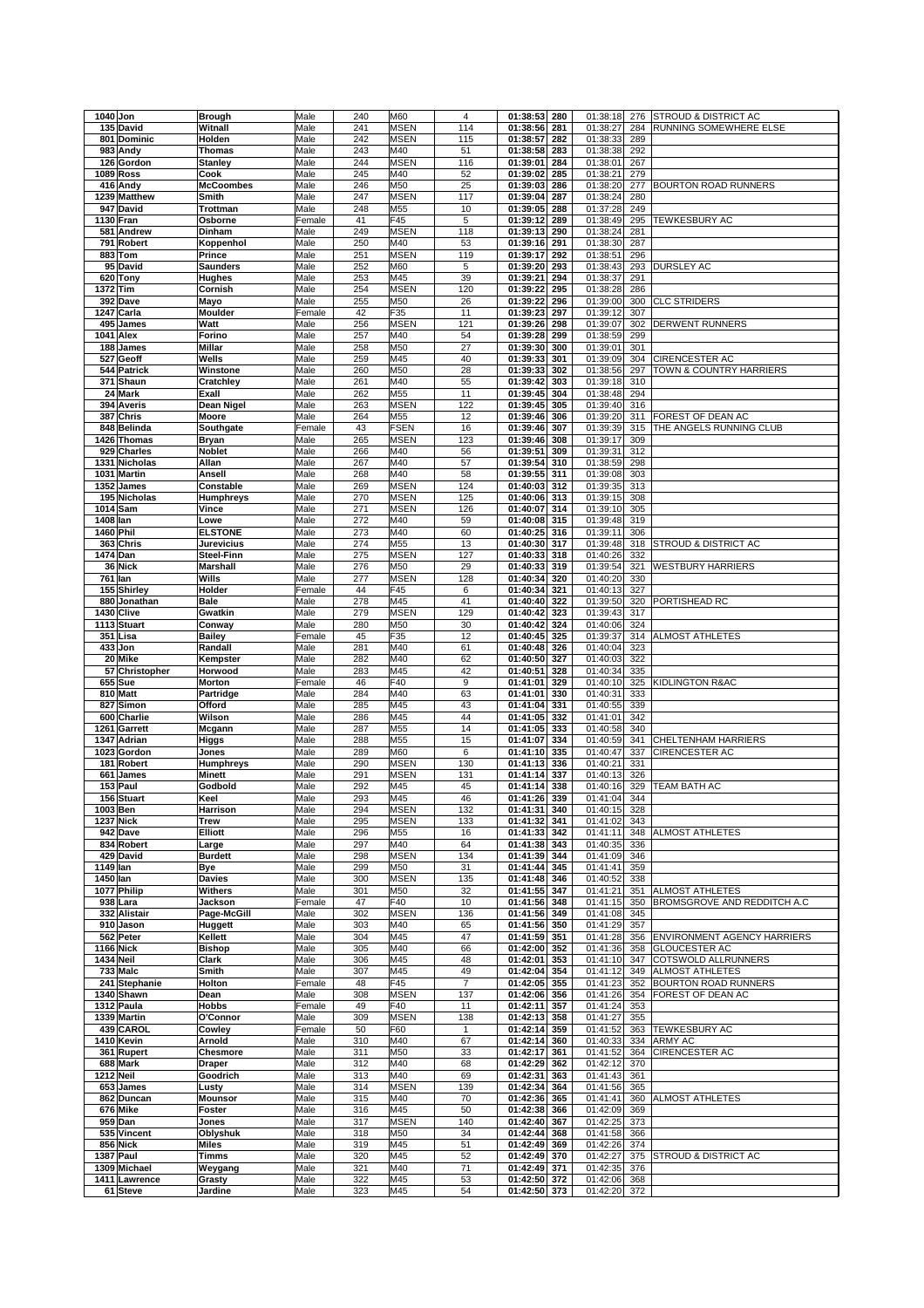|           | 1040 Jon                  | <b>Brough</b>     | Male         | 240        | M60         | $\overline{4}$ | 01:38:53                     | 280 | 01:38:18             | 276        | <b>STROUD &amp; DISTRICT AC</b> |
|-----------|---------------------------|-------------------|--------------|------------|-------------|----------------|------------------------------|-----|----------------------|------------|---------------------------------|
|           |                           |                   |              |            |             |                |                              |     |                      |            |                                 |
|           | 135 David                 | Witnall           | Male         | 241        | <b>MSEN</b> | 114            | 01:38:56                     | 281 | 01:38:27             | 284        | RUNNING SOMEWHERE ELSE          |
| 801       | Dominic                   | Holden            | Male         | 242        | <b>MSEN</b> | 115            | 01:38:57                     | 282 | 01:38:33             | 289        |                                 |
| 983       | Andy                      | <b>Thomas</b>     | Male         | 243        | M40         | 51             | 01:38:58                     | 283 | 01:38:38             | 292        |                                 |
|           |                           |                   |              |            |             |                |                              |     |                      |            |                                 |
|           | 126 Gordon                | <b>Stanley</b>    | Male         | 244        | <b>MSEN</b> | 116            | 01:39:01                     | 284 | 01:38:01             | 267        |                                 |
|           | <b>1089 Ross</b>          | Cook              | Male         | 245        | M40         | 52             | 01:39:02                     | 285 | 01:38:21             | 279        |                                 |
|           | 416 Andy                  | <b>McCoombes</b>  | Male         | 246        | M50         | 25             | 01:39:03                     | 286 | 01:38:20             | 277        | <b>BOURTON ROAD RUNNERS</b>     |
|           |                           |                   |              |            |             |                |                              |     |                      |            |                                 |
|           | 1239 Matthew              | Smith             | Male         | 247        | <b>MSEN</b> | 117            | 01:39:04                     | 287 | 01:38:24             | 280        |                                 |
|           | 947 David                 | Trottman          | Male         | 248        | M55         | 10             | 01:39:05                     | 288 | 01:37:28             | 249        |                                 |
|           |                           |                   |              |            | F45         |                |                              |     |                      |            |                                 |
|           | 1130 Fran                 | Osborne           | Female       | 41         |             | 5              | 01:39:12                     | 289 | 01:38:49             | 295        | TEWKESBURY AC                   |
|           | 581 Andrew                | Dinham            | Male         | 249        | <b>MSEN</b> | 118            | 01:39:13                     | 290 | 01:38:24             | 281        |                                 |
| 791       | Robert                    | Koppenhol         | Male         | 250        | M40         | 53             | 01:39:16                     | 291 | 01:38:30             | 287        |                                 |
|           |                           |                   |              |            |             |                |                              |     |                      |            |                                 |
| 883       | Tom                       | Prince            | Male         | 251        | <b>MSEN</b> | 119            | 01:39:17                     | 292 | 01:38:51             | 296        |                                 |
| 95        | David                     | <b>Saunders</b>   | Male         | 252        | M60         | 5              | 01:39:20                     | 293 | 01:38:43             | 293        | DURSLEY AC                      |
|           | 620 Tony                  | Hughes            | Male         | 253        | M45         | 39             | 01:39:21                     | 294 | 01:38:37             | 291        |                                 |
|           |                           |                   |              |            |             |                |                              |     |                      |            |                                 |
| 1372      | <b>Tim</b>                | Cornish           | Male         | 254        | <b>MSEN</b> | 120            | 01:39:22                     | 295 | 01:38:28             | 286        |                                 |
|           | 392 Dave                  | Mayo              | Male         | 255        | M50         | 26             | 01:39:22                     | 296 | 01:39:00             | 300        | <b>CLC STRIDERS</b>             |
|           | 1247 Carla                | Moulder           | Female       | 42         | F35         | 11             | 01:39:23                     | 297 | 01:39:12             | 307        |                                 |
|           |                           |                   |              |            |             |                |                              |     |                      |            |                                 |
|           | 495 James                 | Watt              | Male         | 256        | <b>MSEN</b> | 121            | 01:39:26                     | 298 | 01:39:07             | 302        | <b>DERWENT RUNNERS</b>          |
| 1041      | Alex                      | Forino            | Male         | 257        | M40         | 54             | 01:39:28                     | 299 | 01:38:59             | 299        |                                 |
|           | 188 James                 | Millar            | Male         | 258        | M50         | 27             | 01:39:30                     | 300 | 01:39:01             | 301        |                                 |
|           |                           |                   |              |            |             |                |                              |     |                      |            |                                 |
| 527       | Geoff                     | Wells             | Male         | 259        | M45         | 40             | 01:39:33                     | 301 | 01:39:09             | 304        | <b>CIRENCESTER AC</b>           |
|           | 544 Patrick               | Winstone          | Male         | 260        | M50         | 28             | 01:39:33                     | 302 | 01:38:56             | 297        | TOWN & COUNTRY HARRIERS         |
|           | 371 Shaun                 | Cratchley         | Male         | 261        | M40         | 55             | 01:39:42                     | 303 | 01:39:18             | 310        |                                 |
|           |                           |                   |              |            |             |                |                              |     |                      |            |                                 |
|           | 24 Mark                   | Exall             | Male         | 262        | M55         | 11             | 01:39:45                     | 304 | 01:38:48             | 294        |                                 |
| 394       | Averis                    | Dean Nigel        | Male         | 263        | <b>MSEN</b> | 122            | 01:39:45                     | 305 | 01:39:40             | 316        |                                 |
| 387       | Chris                     | Moore             | Male         | 264        | M55         | 12             | 01:39:46                     | 306 | 01:39:20             | 311        | FOREST OF DEAN AC               |
|           |                           |                   |              |            |             |                |                              |     |                      |            |                                 |
|           | 848 Belinda               | Southgate         | Female       | 43         | <b>FSEN</b> | 16             | 01:39:46                     | 307 | 01:39:39             | 315        | THE ANGELS RUNNING CLUB         |
|           | 1426 Thomas               | <b>Bryan</b>      | Male         | 265        | <b>MSEN</b> | 123            | 01:39:46                     | 308 | 01:39:17             | 309        |                                 |
|           | 929 Charles               | Noblet            | Male         | 266        | M40         | 56             | 01:39:51                     | 309 | 01:39:31             | 312        |                                 |
|           |                           |                   |              |            |             |                |                              |     |                      |            |                                 |
|           | 1331 Nicholas             | Allan             | Male         | 267        | M40         | 57             | 01:39:54                     | 310 | 01:38:59             | 298        |                                 |
|           | 1031 Martin               | Ansell            | Male         | 268        | M40         | 58             | 01:39:55                     | 311 | 01:39:08             | 303        |                                 |
|           | 1352 James                | Constable         | Male         | 269        | <b>MSEN</b> | 124            | 01:40:03                     | 312 | 01:39:35             | 313        |                                 |
|           |                           |                   |              |            |             |                |                              |     |                      |            |                                 |
|           | 195 Nicholas              | <b>Humphreys</b>  | Male         | 270        | <b>MSEN</b> | 125            | 01:40:06                     | 313 | 01:39:15             | 308        |                                 |
|           | 1014 Sam                  | Vince             | Male         | 271        | <b>MSEN</b> | 126            | 01:40:07                     | 314 | 01:39:10             | 305        |                                 |
| 1408 Ian  |                           | Lowe              | Male         | 272        | M40         | 59             | 01:40:08                     | 315 | 01:39:48             | 319        |                                 |
|           |                           |                   |              |            |             |                |                              |     |                      |            |                                 |
| 1460 Phil |                           | <b>ELSTONE</b>    | Male         | 273        | M40         | 60             | 01:40:25                     | 316 | 01:39:11             | 306        |                                 |
|           | 363 Chris                 | <b>Jurevicius</b> | Male         | 274        | M55         | 13             | 01:40:30                     | 317 | 01:39:48             | 318        | STROUD & DISTRICT AC            |
| 1474 Dan  |                           | Steel-Finn        | Male         | 275        | <b>MSEN</b> | 127            | 01:40:33                     | 318 | 01:40:26             | 332        |                                 |
|           |                           |                   |              |            |             |                |                              |     |                      |            |                                 |
|           | 36 Nick                   | <b>Marshall</b>   | Male         | 276        | M50         | 29             | 01:40:33                     | 319 | 01:39:54             | 321        | WESTBURY HARRIERS               |
| 761       | lan                       | Wills             | Male         | 277        | <b>MSEN</b> | 128            | 01:40:34                     | 320 | 01:40:20             | 330        |                                 |
|           |                           |                   |              |            |             |                |                              |     |                      |            |                                 |
|           | 155 Shirley               | Holder            | Female       | 44         | F45         | 6              | 01:40:34                     | 321 | 01:40:13             | 327        |                                 |
|           | 880 Jonathan              | Bale              | Male         | 278        | M45         | 41             | 01:40:40                     | 322 | 01:39:50             | 320        | PORTISHEAD RC                   |
|           | 1430 Clive                | Gwatkin           | Male         | 279        | <b>MSEN</b> | 129            | 01:40:42                     | 323 | 01:39:43             | 317        |                                 |
|           |                           |                   |              |            |             |                |                              |     |                      |            |                                 |
|           | 1113 Stuart               | Conway            | Male         | 280        | M50         | 30             | 01:40:42                     | 324 | 01:40:06             | 324        |                                 |
|           | 351 Lisa                  | <b>Bailey</b>     | Female       | 45         | F35         | 12             | 01:40:45                     | 325 | 01:39:37             | 314        | ALMOST ATHLETES                 |
|           | 433 Jon                   | Randall           | Male         | 281        | M40         | 61             | 01:40:48                     | 326 | 01:40:04             | 323        |                                 |
|           |                           |                   |              |            |             | 62             | 01:40:50                     |     |                      |            |                                 |
|           | 20 Mike                   | Kempster          | Male         | 282        | M40         |                |                              | 327 | 01:40:03             | 322        |                                 |
|           |                           |                   |              |            |             |                |                              |     |                      |            |                                 |
|           | 57 Christopher            | Horwood           | Male         | 283        | M45         | 42             | 01:40:51                     | 328 | 01:40:34             | 335        |                                 |
|           |                           |                   |              |            |             |                |                              |     |                      |            |                                 |
|           | <b>655</b> Sue            | Morton            | Female       | 46         | F40         | 9              | 01:41:01                     | 329 | 01:40:10             | 325        | KIDLINGTON R&AC                 |
|           | 810 Matt                  | Partridge         | Male         | 284        | M40         | 63             | 01:41:01                     | 330 | 01:40:31             | 333        |                                 |
| 827       | Simon                     | Offord            | Male         | 285        | M45         | 43             | 01:41:04                     | 331 | 01:40:55             | 339        |                                 |
|           |                           |                   |              |            |             |                |                              |     |                      |            |                                 |
| 600       | Charlie                   | Wilson            | Male         | 286        | M45         | 44             | 01:41:05                     | 332 | 01:41:01             | 342        |                                 |
| 1261      | Garrett                   | Mcgann            | Male         | 287        | M55         | 14             | 01:41:05                     | 333 | 01:40:58             | 340        |                                 |
| 1347      | Adrian                    | Higgs             | Male         | 288        | M55         | 15             | 01:41:07                     | 334 | 01:40:59             | 341        | CHELTENHAM HARRIERS             |
|           |                           |                   |              |            |             |                |                              |     |                      |            |                                 |
|           | 1023 Gordon               | Jones             | Male         | 289        | M60         | 6              | 01:41:10                     | 335 | 01:40:47             | 337        | CIRENCESTER AC                  |
| 181       | <b>Robert</b>             | <b>Humphreys</b>  | Male         | 290        | <b>MSEN</b> | 130            | 01:41:13                     | 336 | 01:40:21             | 331        |                                 |
| 661       | James                     | <b>Minett</b>     | Male         | 291        | <b>MSEN</b> | 131            | 01:41:14                     | 337 | 01:40:13             | 326        |                                 |
|           |                           |                   |              |            |             |                |                              |     |                      |            |                                 |
|           | 153 Paul                  | Godbold           | Male         | 292        | M45         | 45             | 01:41:14                     | 338 | 01:40:16             | 329        | <b>TEAM BATH AC</b>             |
|           | 156 Stuart                | Keel              | Male         | 293        | M45         | 46             | 01:41:26                     | 339 | 01:41:04             | 344        |                                 |
| 1003 Ben  |                           | Harrison          | Male         | 294        | <b>MSEN</b> | 132            | 01:41:31 340                 |     | 01:40:15             | 328        |                                 |
|           |                           |                   |              |            |             |                |                              |     |                      |            |                                 |
|           | <b>1237 Nick</b>          | <b>Trew</b>       | Male         | 295        | <b>MSEN</b> | 133            | 01:41:32 341                 |     | 01:41:02             | 343        |                                 |
|           | 942 Dave                  | Elliott           | Male         | 296        | M55         | 16             | 01:41:33                     | 342 | 01:41:11             | 348        | <b>ALMOST ATHLETES</b>          |
|           | 834 Robert                | Large             | Male         | 297        | M40         | 64             | 01:41:38                     | 343 | 01:40:35             | 336        |                                 |
|           |                           |                   |              |            |             |                |                              | 344 |                      | 346        |                                 |
|           | 429 David                 | <b>Burdett</b>    | Male         | 298        | <b>MSEN</b> | 134            | 01:41:39                     |     | 01:41:09             |            |                                 |
| 1149 lan  |                           | Bye               | Male         | 299        | M50         | 31             | 01:41:44                     | 345 | 01:41:41             | 359        |                                 |
| 1450 lan  |                           | Davies            | Male         | 300        | <b>MSEN</b> | 135            | 01:41:48                     | 346 | 01:40:52             | 338        |                                 |
|           | 1077 Philip               | Withers           | Male         | 301        | M50         | 32             | 01:41:55                     | 347 | 01:41:21             | 351        | ALMOST ATHLETES                 |
|           |                           |                   |              |            |             |                |                              |     |                      |            |                                 |
|           | 938 Lara                  | Jackson           | Female       | 47         | F40         | 10             | 01:41:56                     | 348 | 01:41:15             | 350        | BROMSGROVE AND REDDITCH A.C     |
|           | 332 Alistair              | Page-McGill       | Male         | 302        | <b>MSEN</b> | 136            | 01:41:56                     | 349 | 01:41:08             | 345        |                                 |
|           | 910 Jason                 |                   | Male         | 303        | M40         | 65             | 01:41:56 350                 |     |                      | 357        |                                 |
|           |                           | Huggett           |              |            |             |                |                              |     | 01:41:29             |            |                                 |
|           | 562 Peter                 | Kellett           | Male         | 304        | M45         | 47             | 01:41:59                     | 351 | 01:41:28             |            | 356 ENVIRONMENT AGENCY HARRIERS |
|           | 1166 Nick                 | <b>Bishop</b>     | Male         | 305        | M40         | 66             | 01:42:00 352                 |     | 01:41:36             | 358        | <b>GLOUCESTER AC</b>            |
|           | 1434 Neil                 |                   | Male         | 306        | M45         | 48             |                              | 353 |                      | 347        | COTSWOLD ALLRUNNERS             |
|           |                           | Clark             |              |            |             |                | 01:42:01                     |     | 01:41:10             |            |                                 |
|           | 733 Malc                  | Smith             | Male         | 307        | M45         | 49             | 01:42:04 354                 |     | 01:41:12             | 349        | ALMOST ATHLETES                 |
|           | 241 Stephanie             | Holton            | Female       | 48         | F45         | $\overline{7}$ | 01:42:05                     | 355 | 01:41:23             | 352        | <b>BOURTON ROAD RUNNERS</b>     |
|           |                           |                   |              |            |             |                |                              |     |                      |            |                                 |
|           | 1340 Shawn                | Dean              | Male         | 308        | <b>MSEN</b> | 137            | 01:42:06 356                 |     | 01:41:26             | 354        | FOREST OF DEAN AC               |
|           | 1312 Paula                | <b>Hobbs</b>      | Female       | 49         | F40         | 11             | 01:42:11                     | 357 | 01:41:24             | 353        |                                 |
|           | 1339 Martin               | O'Connor          | Male         | 309        | <b>MSEN</b> | 138            | 01:42:13 358                 |     | 01:41:27             | 355        |                                 |
|           |                           |                   |              |            |             |                |                              |     |                      |            |                                 |
|           | 439 CAROL                 | Cowley            | Female       | 50         | F60         | 1              | 01:42:14                     | 359 | 01:41:52             | 363        | TEWKESBURY AC                   |
|           | 1410 Kevin                | Arnold            | Male         | 310        | M40         | 67             | 01:42:14                     | 360 | 01:40:33             | 334        | ARMY AC                         |
|           | 361 Rupert                | Chesmore          | Male         | 311        | M50         | 33             | 01:42:17                     | 361 | 01:41:52             | 364        | <b>CIRENCESTER AC</b>           |
|           |                           |                   |              |            |             |                |                              |     |                      |            |                                 |
|           | 688 Mark                  | Draper            | Male         | 312        | M40         | 68             | 01:42:29                     | 362 | 01:42:12             | 370        |                                 |
|           | 1212 Neil                 | Goodrich          | Male         | 313        | M40         | 69             | 01:42:31                     | 363 | 01:41:43             | 361        |                                 |
|           | 653 James                 | Lusty             | Male         | 314        | <b>MSEN</b> | 139            | 01:42:34                     | 364 | 01:41:56             | 365        |                                 |
|           |                           |                   |              |            |             |                |                              |     |                      |            |                                 |
|           | 862 Duncan                | <b>Mounsor</b>    | Male         | 315        | M40         | 70             | 01:42:36                     | 365 | 01:41:41             | 360        | ALMOST ATHLETES                 |
|           | 676 Mike                  | Foster            | Male         | 316        | M45         | 50             | 01:42:38                     | 366 | 01:42:09 369         |            |                                 |
|           | 959 Dan                   | Jones             | Male         | 317        | <b>MSEN</b> | 140            | 01:42:40                     | 367 | 01:42:25             | 373        |                                 |
|           |                           |                   |              |            |             |                |                              |     |                      |            |                                 |
|           | 535 Vincent               | Oblyshuk          | Male         | 318        | M50         | 34             | 01:42:44                     | 368 | 01:41:58             | 366        |                                 |
|           | 856 Nick                  | Miles             | Male         | 319        | M45         | 51             | 01:42:49                     | 369 | 01:42:26             | 374        |                                 |
|           | 1387 Paul                 | Timms             | Male         | 320        | M45         | 52             | 01:42:49 370                 |     |                      | 375        | STROUD & DISTRICT AC            |
|           |                           |                   |              |            |             |                |                              |     | 01:42:27             |            |                                 |
|           | 1309 Michael              | Weygang           | Male         | 321        | M40         | 71             | 01:42:49                     | 371 | 01:42:35             | 376        |                                 |
|           | 1411 Lawrence<br>61 Steve | Grasty<br>Jardine | Male<br>Male | 322<br>323 | M45<br>M45  | 53<br>54       | 01:42:50 372<br>01:42:50 373 |     | 01:42:06<br>01:42:20 | 368<br>372 |                                 |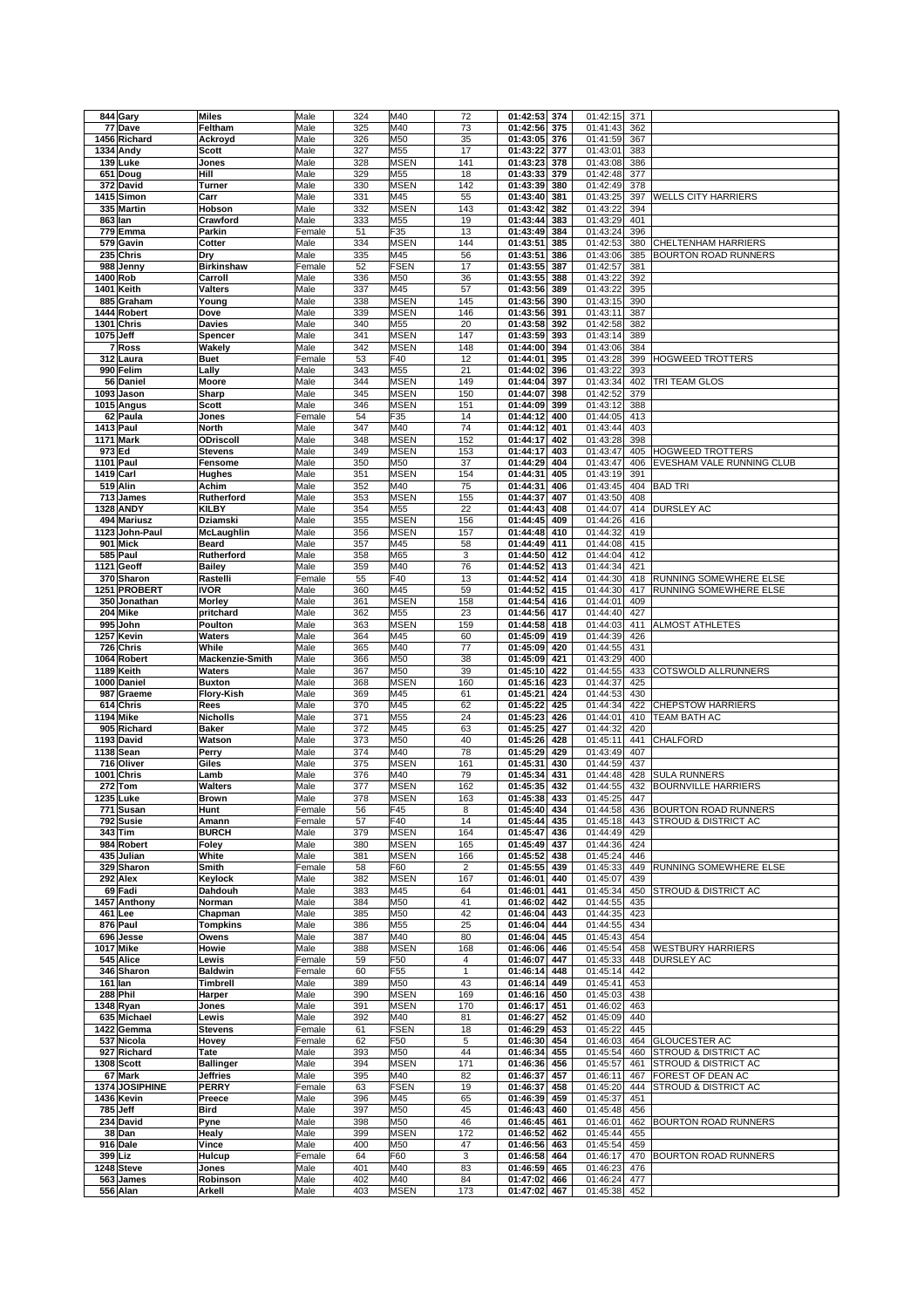|                       | <b>Miles</b>      | Male   | 324 | M40                | 72        | 01:42:53<br>374                    | 01:42:15<br>371                    |                                 |
|-----------------------|-------------------|--------|-----|--------------------|-----------|------------------------------------|------------------------------------|---------------------------------|
| 77 Dave               | Feltham           | Male   | 325 | M40                | 73        | 01:42:56<br>375                    | 01:41:43<br>362                    |                                 |
| 1456 Richard          | Ackroyd           | Male   | 326 | M50                | 35        | 01:43:05<br>376                    | 01:41:59<br>367                    |                                 |
| 1334 Andy             | Scott             | Male   | 327 | M55                | 17        | 01:43:22<br>377                    | 01:43:01<br>383                    |                                 |
| 139 Luke              | Jones             | Male   | 328 | <b>MSEN</b>        | 141       | 01:43:23<br>378                    | 01:43:08<br>386                    |                                 |
| 651 Doug              | Hill              | Male   | 329 | M55                | 18        | 01:43:33<br>379                    | 01:42:48<br>377                    |                                 |
| 372 David             | Turner            | Male   | 330 | <b>MSEN</b>        | 142       | 01:43:39<br>380                    | 01:42:49<br>378                    |                                 |
| 1415 Simon            | Carr              | Male   | 331 | M45                | 55        | 01:43:40<br>381                    | 01:43:25<br>397                    | <b>WELLS CITY HARRIERS</b>      |
| 335 Martin            | Hobson            | Male   | 332 | <b>MSEN</b>        | 143       | 01:43:42<br>382                    | 01:43:22<br>394                    |                                 |
| 863 lan               | Crawford          | Male   | 333 | M55                | 19        | 01:43:44<br>383                    | 01:43:29<br>401                    |                                 |
| 779 Emma              | Parkin            | Female | 51  | F35                | 13        | 01:43:49<br>384                    | 01:43:24<br>396                    |                                 |
| 579 Gavin             | Cotter            | Male   | 334 | <b>MSEN</b>        | 144       | 01:43:51<br>385                    | 01:42:53<br>380                    | CHELTENHAM HARRIERS             |
| 235 Chris             | Dry               | Male   | 335 | M45                | 56        | 01:43:51<br>386                    | 01:43:06<br>385                    | <b>BOURTON ROAD RUNNERS</b>     |
| 988<br>Jenny          | <b>Birkinshaw</b> | Female | 52  | <b>FSEN</b>        | 17        | 01:43:55<br>387                    | 01:42:57<br>381                    |                                 |
| 1400 Rob              | Carroll           | Male   | 336 | M50                | 36        | 01:43:55<br>388                    | 01:43:22<br>392                    |                                 |
| 1401 Keith            | Valters           | Male   | 337 | M45                | 57        | 01:43:56<br>389                    | 01:43:22<br>395                    |                                 |
| 885 Graham            | Young             | Male   | 338 | <b>MSEN</b>        | 145       | 01:43:56<br>390                    | 01:43:15<br>390                    |                                 |
| 1444 Robert           | Dove              | Male   | 339 | <b>MSEN</b>        | 146       | 01:43:56<br>391                    | 01:43:11<br>387                    |                                 |
| 1301 Chris            | <b>Davies</b>     | Male   | 340 | M55                | 20        | 01:43:58<br>392                    | 01:42:58<br>382                    |                                 |
| 1075 Jeff             | Spencer           | Male   | 341 | <b>MSEN</b>        | 147       | 01:43:59<br>393                    | 01:43:14<br>389                    |                                 |
| 7 Ross                | Wakely            | Male   | 342 | <b>MSEN</b>        | 148       | 01:44:00<br>394                    | 01:43:06<br>384                    |                                 |
| 312 Laura             | <b>Buet</b>       | Female | 53  | F40                | 12        | 01:44:01<br>395                    | 01:43:28<br>399                    | <b>HOGWEED TROTTERS</b>         |
| 990 Felim             | Lally             | Male   | 343 | M55                | 21        | 01:44:02<br>396                    | 01:43:22<br>393                    |                                 |
| 56 Daniel             | Moore             | Male   | 344 | <b>MSEN</b>        | 149       | 01:44:04<br>397                    | 01:43:34<br>402                    | TRI TEAM GLOS                   |
| 1093 Jason            | Sharp             | Male   | 345 | <b>MSEN</b>        | 150       | 01:44:07<br>398                    | 01:42:52<br>379                    |                                 |
| 1015 Angus            | <b>Scott</b>      | Male   | 346 | <b>MSEN</b>        | 151       | 01:44:09<br>399                    | 01:43:12<br>388                    |                                 |
| 62 Paula              | Jones             | Female | 54  | F35                | 14        | 01:44:12<br>400                    | 01:44:05<br>413                    |                                 |
| 1413 Paul             | <b>North</b>      | Male   | 347 | M40                | 74        | 01:44:12<br>401                    | 01:43:44<br>403                    |                                 |
| <b>1171 Mark</b>      | ODriscoll         | Male   | 348 | <b>MSEN</b>        | 152       | 01:44:17<br>402                    | 01:43:28<br>398                    |                                 |
| 973 Ed                | <b>Stevens</b>    | Male   | 349 | <b>MSEN</b>        | 153       | 01:44:17<br>403                    | 01:43:47<br>405                    | <b>HOGWEED TROTTERS</b>         |
| 1101 Paul             | Fensome           | Male   | 350 | M50                | 37        | 01:44:29<br>404                    | 01:43:47<br>406                    | EVESHAM VALE RUNNING CLUB       |
| 1419 Carl             | Hughes            | Male   | 351 | <b>MSEN</b>        | 154       | 01:44:31<br>405                    | 01:43:19<br>391                    |                                 |
| 519 Alin              | Achim             | Male   | 352 | M40                | 75        | 01:44:31<br>406                    | 01:43:45<br>404                    | <b>BAD TRI</b>                  |
| 713 James             | Rutherford        | Male   | 353 | <b>MSEN</b>        | 155       | 01:44:37<br>407                    | 01:43:50<br>408                    |                                 |
| 1328 ANDY             | <b>KILBY</b>      | Male   | 354 | M55                | 22        | 01:44:43<br>408                    | 01:44:07<br>414                    | <b>DURSLEY AC</b>               |
| 494 Mariusz           | Dziamski          | Male   | 355 | <b>MSEN</b>        | 156       | 01:44:45<br>409                    | 01:44:26<br>416                    |                                 |
| 1123 John-Paul        | <b>McLaughlin</b> | Male   | 356 | <b>MSEN</b>        | 157       | 01:44:48<br>410                    | 01:44:32<br>419                    |                                 |
| 901 Mick              | Beard             | Male   | 357 | M45                | 58        | 01:44:49<br>411                    | 01:44:08<br>415                    |                                 |
| 585 Paul              | Rutherford        | Male   | 358 | M65                | 3         | 01:44:50<br>412                    | 01:44:04<br>412                    |                                 |
| 1121 Geoff            | <b>Bailey</b>     | Male   | 359 | M40                | 76        | 01:44:52<br>413                    | 01:44:34<br>421                    |                                 |
| 370 Sharon            | Rastelli          | Female | 55  | F40                | 13        | 01:44:52<br>414                    | 01:44:30<br>418                    | RUNNING SOMEWHERE ELSE          |
| 1251 PROBERT          | <b>IVOR</b>       | Male   | 360 | M45                | 59        | 01:44:52<br>415                    | 01:44:30<br>417                    | RUNNING SOMEWHERE ELSE          |
| 350 Jonathan          | Morley            | Male   | 361 | <b>MSEN</b>        | 158       | 01:44:54<br>416                    | 01:44:01<br>409                    |                                 |
| 204 Mike              | pritchard         | Male   | 362 | M55                | 23        | 01:44:56<br>417                    | 01:44:40<br>427                    |                                 |
| 995 John              | Poulton           | Male   | 363 | <b>MSEN</b>        | 159       | 01:44:58<br>418                    | 01:44:03<br>411                    | ALMOST ATHLETES                 |
| 1257 Kevin            | Waters            | Male   | 364 | M45                | 60        | 01:45:09<br>419                    | 01:44:39<br>426                    |                                 |
| 726<br>Chris          | While             | Male   | 365 | M40                | 77        | 01:45:09<br>420                    | 01:44:55<br>431                    |                                 |
| 1064 Robert           | Mackenzie-Smith   | Male   | 366 | M50                | 38        | 01:45:09<br>421                    | 01:43:29<br>400                    |                                 |
| 1189 Keith            | Waters            | Male   | 367 | M50                | 39        | 01:45:10<br>422                    | 01:44:55<br>433                    | COTSWOLD ALLRUNNERS             |
| 1000 Daniel           | <b>Buxton</b>     | Male   | 368 | <b>MSEN</b>        | 160       | 01:45:16<br>423                    | 01:44:37<br>425                    |                                 |
| 987 Graeme            | Flory-Kish        | Male   | 369 | M45                | 61        | 01:45:21<br>424                    | 01:44:53<br>430                    |                                 |
|                       |                   |        |     |                    |           |                                    |                                    |                                 |
|                       |                   |        |     |                    |           |                                    |                                    |                                 |
| 614 Chris             | Rees              | Male   | 370 | M45                | 62        | 01:45:22<br>425                    | 01:44:34<br>422                    | <b>CHEPSTOW HARRIERS</b>        |
| 1194 Mike             | Nicholls          | Male   | 371 | M55                | 24        | 01:45:23<br>426                    | 01:44:01<br>410                    | <b>TEAM BATH AC</b>             |
| 905 Richard           | <b>Baker</b>      | Male   | 372 | M45                | 63        | 01:45:25<br>427                    | 01:44:32<br>420                    |                                 |
| 1193 David            | Watson            | Male   | 373 | M50                | 40        | 01:45:26<br>428                    | 01:45:11<br>441                    | CHALFORD                        |
| 1138 Sean             | Perry             | Male   | 374 | M40                | 78        | 01:45:29<br>429                    | 01:43:49<br>407                    |                                 |
| 716 Oliver            | Giles             | Male   | 375 | <b>MSEN</b>        | 161       | 01:45:31<br>430                    | 01:44:59<br>437                    |                                 |
| 1001<br><b>Chris</b>  | Lamb              | Male   | 376 | M40                | 79        | 01:45:34<br>431                    | 01:44:48<br>428                    | <b>SULA RUNNERS</b>             |
| 272<br><b>Tom</b>     | Walters           | Male   | 377 | <b>MSEN</b>        | 162       | 01:45:35<br>432                    | 01:44:55<br>432                    | <b>BOURNVILLE HARRIERS</b>      |
| 1235 Luke             | Brown             | Male   | 378 | <b>MSEN</b>        | 163       | 01:45:38<br>433                    | 01:45:25<br>447                    |                                 |
| 771 Susan             | Hunt              | Female | 56  | F45                | 8         | 01:45:40 434                       | 01:44:58 436                       | <b>BOURTON ROAD RUNNERS</b>     |
| 792 Susie             | Amann             | Female | 57  | F40                | 14        | 01:45:44<br>435                    | 01:45:18<br>443                    | STROUD & DISTRICT AC            |
| 343 Tim               | <b>BURCH</b>      | Male   | 379 | <b>MSEN</b>        | 164       | 01:45:47<br>436                    | 01:44:49<br>429                    |                                 |
| 984 Robert            | Foley             | Male   | 380 | <b>MSEN</b>        | 165       | 01:45:49<br>437                    | 01:44:36<br>424                    |                                 |
| 435 Julian            | White             | Male   | 381 | <b>MSEN</b>        | 166       | 01:45:52<br>438                    | 01:45:24<br>446                    |                                 |
| 329 Sharon            | Smith             | Female | 58  | F60                | 2         | 01:45:55<br>439                    | 01:45:33<br>449                    | RUNNING SOMEWHERE ELSE          |
| 292 Alex              | Keylock           | Male   | 382 | <b>MSEN</b>        | 167       | 01:46:01<br>440                    | 01:45:07<br>439                    |                                 |
| 69 Fadi               | Dahdouh           | Male   | 383 | M45                | 64        | 01:46:01<br>441                    | 01:45:34<br>450                    | STROUD & DISTRICT AC            |
| 1457 Anthony          | Norman            | Male   | 384 | M50                | 41        | 01:46:02<br>442                    | 01:44:55<br>435                    |                                 |
| 461 Lee               | Chapman           | Male   | 385 | M50                | 42        | 01:46:04<br>443                    | 01:44:35<br>423                    |                                 |
| 876 Paul              | <b>Tompkins</b>   | Male   | 386 | M55                | 25        | 01:46:04<br>444                    | 01:44:55<br>434                    |                                 |
| 696 Jesse             | Owens             | Male   | 387 | M40                | 80        | 01:46:04<br>445                    | 01:45:43<br>454                    |                                 |
| 1017 Mike             | Howie             | Male   | 388 | <b>MSEN</b>        | 168       | 01:46:06<br>446                    | 01:45:54<br>458                    | <b>WESTBURY HARRIERS</b>        |
| 545 Alice             | Lewis             | Female | 59  | F50                | 4         | 01:46:07<br>447                    | 01:45:33<br>448                    | DURSLEY AC                      |
| 346 Sharon            | <b>Baldwin</b>    | Female | 60  | F <sub>55</sub>    | 1         | 01:46:14<br>448                    | 01:45:14<br>442                    |                                 |
| 161 lan               | <b>Timbrell</b>   | Male   | 389 | M50                | 43        | 01:46:14<br>449                    | 01:45:41<br>453                    |                                 |
| 288 Phil              | Harper            | Male   | 390 | <b>MSEN</b>        | 169       | 01:46:16<br>450                    | 01:45:03<br>438                    |                                 |
| 1348 Ryan             | Jones             | Male   | 391 | <b>MSEN</b>        | 170       | 01:46:17<br>451                    | 01:46:02<br>463                    |                                 |
| 635 Michael           | Lewis             | Male   | 392 | M40                | 81        | 01:46:27<br>452                    | 01:45:09<br>440                    |                                 |
| 1422 Gemma            | <b>Stevens</b>    | Female | 61  | <b>FSEN</b>        | 18        | 01:46:29<br>453                    | 01:45:22<br>445                    |                                 |
| 537 Nicola            | Hovey             | Female | 62  | F50                | 5         | 01:46:30<br>454                    | 01:46:03<br>464                    | <b>GLOUCESTER AC</b>            |
| 927 Richard           | Tate              | Male   | 393 | M50                | 44        | 01:46:34<br>455                    | 01:45:54<br>460                    | <b>STROUD &amp; DISTRICT AC</b> |
| 1308 Scott            | <b>Ballinger</b>  | Male   | 394 | <b>MSEN</b>        | 171       | 01:46:36<br>456                    | 01:45:57<br>461                    | STROUD & DISTRICT AC            |
| 67 Mark               | <b>Jeffries</b>   | Male   | 395 | M40                | 82        | 01:46:37<br>457                    | 01:46:11<br>467                    | FOREST OF DEAN AC               |
| 1374 JOSIPHINE        | <b>PERRY</b>      | Female | 63  | <b>FSEN</b>        | 19        | 01:46:37<br>458                    | 01:45:20<br>444                    | STROUD & DISTRICT AC            |
| 1436 Kevin            | Preece            | Male   | 396 | M45                | 65        | 01:46:39<br>459                    | 01:45:37<br>451                    |                                 |
| 785 Jeff              | Bird              | Male   | 397 | M50                | 45        | 01:46:43<br>460                    | 01:45:48<br>456                    |                                 |
| 234 David             | Pyne              | Male   | 398 | M50                | 46        | 01:46:45<br>461                    | 01:46:01<br>462                    | <b>BOURTON ROAD RUNNERS</b>     |
| 38 Dan                | Healy             | Male   | 399 | <b>MSEN</b>        | 172       | 01:46:52<br>462                    | 01:45:44<br>455                    |                                 |
| 916 Dale              | Vince             | Male   | 400 | M50                | 47        | 01:46:56<br>463                    | 01:45:54<br>459                    |                                 |
| 399 Liz               | Hulcup            | Female | 64  | F60                | 3         | 01:46:58<br>464                    | 01:46:17<br>470                    | <b>BOURTON ROAD RUNNERS</b>     |
| 1248 Steve            | Jones             | Male   | 401 | M40                | 83        | 01:46:59<br>465                    | 01:46:23<br>476                    |                                 |
| 563 James<br>556 Alan | Robinson          | Male   | 402 | M40<br><b>MSEN</b> | 84<br>173 | 01:47:02<br>466<br>01:47:02<br>467 | 01:46:24<br>477<br>01:45:38<br>452 |                                 |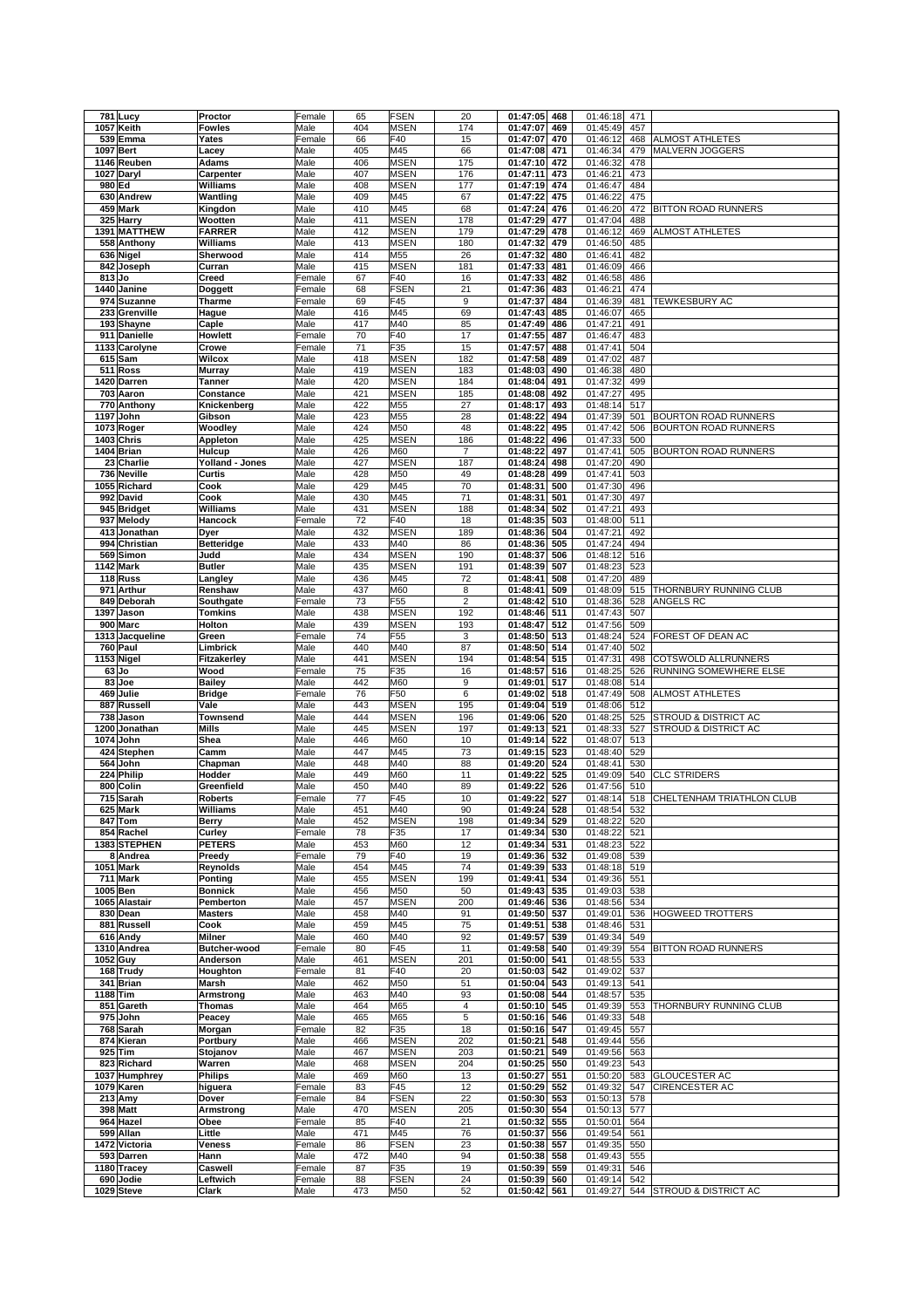| 781     | Lucy            | Proctor           | Female | 65  | FSEN        | 20                      | 01:47:05     | 468 | 01:46:18 | 471 |                             |
|---------|-----------------|-------------------|--------|-----|-------------|-------------------------|--------------|-----|----------|-----|-----------------------------|
| 1057    | Keith           | <b>Fowles</b>     | Male   | 404 | MSEN        | 174                     | 01:47:07     | 469 | 01:45:49 | 457 |                             |
|         | 539 Emma        | Yates             | Female | 66  | F40         | 15                      | 01:47:07     | 470 | 01:46:12 | 468 | <b>ALMOST ATHLETES</b>      |
| 1097    | <b>Bert</b>     | Lacey             | Male   | 405 | M45         | 66                      | 01:47:08     | 471 | 01:46:34 | 479 | <b>MALVERN JOGGERS</b>      |
|         | 1146 Reuben     | Adams             | Male   | 406 | MSEN        | 175                     | 01:47:10     | 472 | 01:46:32 | 478 |                             |
|         | 1027 Daryl      | Carpenter         | Male   | 407 | <b>MSEN</b> | 176                     | 01:47:11     | 473 | 01:46:21 | 473 |                             |
| 980 Ed  |                 | Williams          | Male   | 408 | <b>MSEN</b> | 177                     | 01:47:19     | 474 | 01:46:47 | 484 |                             |
|         | 630 Andrew      | Wantling          | Male   | 409 | M45         | 67                      | 01:47:22     | 475 | 01:46:22 | 475 |                             |
|         | 459 Mark        |                   |        |     |             |                         | 01:47:24     |     |          |     |                             |
|         |                 | Kingdon           | Male   | 410 | M45         | 68                      |              | 476 | 01:46:20 | 472 | <b>BITTON ROAD RUNNERS</b>  |
|         | 325 Harry       | Wootten           | Male   | 411 | <b>MSEN</b> | 178                     | 01:47:29     | 477 | 01:47:04 | 488 |                             |
|         | 1391 MATTHEW    | <b>FARRER</b>     | Male   | 412 | <b>MSEN</b> | 179                     | 01:47:29     | 478 | 01:46:12 | 469 | ALMOST ATHLETES             |
|         | 558 Anthony     | Williams          | Male   | 413 | <b>MSEN</b> | 180                     | 01:47:32     | 479 | 01:46:50 | 485 |                             |
|         | 636 Nigel       | Sherwood          | Male   | 414 | M55         | 26                      | 01:47:32     | 480 | 01:46:41 | 482 |                             |
|         | 842 Joseph      | Curran            | Male   | 415 | <b>MSEN</b> | 181                     | 01:47:33     | 481 | 01:46:09 | 466 |                             |
| 813 Jo  |                 | Creed             | Female | 67  | F40         | 16                      | 01:47:33     | 482 | 01:46:58 | 486 |                             |
|         | 1440 Janine     | Doggett           | Female | 68  | <b>FSEN</b> | 21                      | 01:47:36     | 483 | 01:46:21 | 474 |                             |
| 974     | <b>Suzanne</b>  | Tharme            | Female | 69  | F45         | 9                       | 01:47:37     | 484 | 01:46:39 | 481 | <b>TEWKESBURY AC</b>        |
| 233     | Grenville       | Hague             | Male   | 416 | M45         | 69                      | 01:47:43     | 485 | 01:46:07 | 465 |                             |
|         | 193 Shayne      | Caple             | Male   | 417 | M40         | 85                      | 01:47:49     | 486 | 01:47:21 | 491 |                             |
|         | 911 Danielle    | Howlett           | Female | 70  | F40         | 17                      | 01:47:55     | 487 | 01:46:47 | 483 |                             |
|         | 1133 Carolyne   | Crowe             | Female | 71  | F35         | 15                      | 01:47:57     | 488 | 01:47:41 | 504 |                             |
|         | 615 Sam         | Wilcox            | Male   | 418 | MSEN        | 182                     | 01:47:58     | 489 | 01:47:02 | 487 |                             |
|         |                 |                   |        |     | <b>MSEN</b> |                         |              |     |          |     |                             |
|         | 511 Ross        | <b>Murray</b>     | Male   | 419 |             | 183                     | 01:48:03     | 490 | 01:46:38 | 480 |                             |
|         | 1420 Darren     | Tanner            | Male   | 420 | MSEN        | 184                     | 01:48:04     | 491 | 01:47:32 | 499 |                             |
|         | 703 Aaron       | Constance         | Male   | 421 | MSEN        | 185                     | 01:48:08     | 492 | 01:47:27 | 495 |                             |
|         | 770 Anthony     | Knickenberg       | Male   | 422 | M55         | 27                      | 01:48:17     | 493 | 01:48:14 | 517 |                             |
| 1197    | John            | Gibson            | Male   | 423 | M55         | 28                      | 01:48:22     | 494 | 01:47:39 | 501 | <b>BOURTON ROAD RUNNERS</b> |
|         | 1073 Roger      | Woodley           | Male   | 424 | M50         | 48                      | 01:48:22     | 495 | 01:47:42 | 506 | <b>BOURTON ROAD RUNNERS</b> |
|         | 1403 Chris      | Appleton          | Male   | 425 | MSEN        | 186                     | 01:48:22     | 496 | 01:47:33 | 500 |                             |
|         | 1404 Brian      | Hulcup            | Male   | 426 | M60         | $\overline{7}$          | 01:48:22     | 497 | 01:47:41 | 505 | BOURTON ROAD RUNNERS        |
|         | 23 Charlie      | Yolland - Jones   | Male   | 427 | MSEN        | 187                     | 01:48:24     | 498 | 01:47:20 | 490 |                             |
|         | 736 Neville     | Curtis            | Male   | 428 | M50         | 49                      | 01:48:28     | 499 | 01:47:41 | 503 |                             |
|         | 1055 Richard    | Cook              | Male   | 429 | M45         | 70                      | 01:48:31     | 500 | 01:47:30 | 496 |                             |
|         | 992 David       | Cook              | Male   | 430 | M45         | 71                      | 01:48:31     | 501 | 01:47:30 | 497 |                             |
|         | 945 Bridget     | Williams          | Male   | 431 | <b>MSEN</b> | 188                     | 01:48:34     | 502 | 01:47:21 | 493 |                             |
|         | 937 Melody      | Hancock           | Female | 72  | F40         | 18                      | 01:48:35     | 503 | 01:48:00 | 511 |                             |
|         | 413 Jonathan    | Dyer              | Male   | 432 | MSEN        | 189                     | 01:48:36     | 504 | 01:47:21 | 492 |                             |
|         | 994 Christian   |                   | Male   | 433 | M40         |                         | 01:48:36     | 505 |          |     |                             |
|         |                 | <b>Betteridge</b> |        |     |             | 86                      |              |     | 01:47:24 | 494 |                             |
| 569     | Simon           | Judd              | Male   | 434 | <b>MSEN</b> | 190                     | 01:48:37     | 506 | 01:48:12 | 516 |                             |
|         | 1142 Mark       | <b>Butler</b>     | Male   | 435 | <b>MSEN</b> | 191                     | 01:48:39     | 507 | 01:48:23 | 523 |                             |
|         | 118 Russ        | Langley           | Male   | 436 | M45         | 72                      | 01:48:41     | 508 | 01:47:20 | 489 |                             |
| 971     | Arthur          | Renshaw           | Male   | 437 | M60         | 8                       | 01:48:41     | 509 | 01:48:09 | 515 | THORNBURY RUNNING CLUB      |
| 849     | Deborah         | Southgate         | Female | 73  | F55         | $\overline{\mathbf{c}}$ | 01:48:42     | 510 | 01:48:36 | 528 | ANGELS RC                   |
| 1397    | Jason           | Tomkins           | Male   | 438 | <b>MSEN</b> | 192                     | 01:48:46     | 511 | 01:47:43 | 507 |                             |
|         | 900 Marc        | Holton            | Male   | 439 | MSEN        | 193                     | 01:48:47     | 512 | 01:47:56 | 509 |                             |
|         | 1313 Jacqueline | Green             | Female | 74  | F55         | 3                       | 01:48:50     | 513 | 01:48:24 | 524 | FOREST OF DEAN AC           |
|         | 760 Paul        | Limbrick          | Male   | 440 | M40         | 87                      | 01:48:50     | 514 | 01:47:40 | 502 |                             |
|         | 1153 Nigel      | Fitzakerley       | Male   | 441 | <b>MSEN</b> | 194                     | 01:48:54     | 515 | 01:47:31 | 498 | COTSWOLD ALLRUNNERS         |
|         |                 |                   |        |     |             |                         |              |     |          |     | RUNNING SOMEWHERE ELSE      |
|         |                 |                   |        |     |             |                         |              |     |          |     |                             |
| $63$ Jo |                 | Wood              | Female | 75  | F35         | 16                      | 01:48:57     | 516 | 01:48:25 | 526 |                             |
|         | 83 Joe          | <b>Bailey</b>     | Male   | 442 | M60         | 9                       | 01:49:01     | 517 | 01:48:08 | 514 |                             |
|         | 469 Julie       | <b>Bridge</b>     | Female | 76  | F50         | 6                       | 01:49:02     | 518 | 01:47:49 | 508 | <b>ALMOST ATHLETES</b>      |
|         | 887 Russell     | Vale              | Male   | 443 | MSEN        | 195                     | 01:49:04     | 519 | 01:48:06 | 512 |                             |
| 738     | Jason           | <b>Townsend</b>   | Male   | 444 | MSEN        | 196                     | 01:49:06     | 520 | 01:48:25 | 525 | STROUD & DISTRICT AC        |
| 1200    | Jonathan        | Mills             | Male   | 445 | MSEN        | 197                     | 01:49:13     | 521 | 01:48:33 | 527 | STROUD & DISTRICT AC        |
| 1074    | John            | Shea              | Male   | 446 | M60         | 10                      | 01:49:14     | 522 | 01:48:07 | 513 |                             |
|         | 424 Stephen     | Camm              | Male   | 447 | M45         | 73                      | 01:49:15     | 523 | 01:48:40 | 529 |                             |
| 564     | John            | Chapman           | Male   | 448 | M40         | 88                      | 01:49:20     | 524 | 01:48:41 | 530 |                             |
|         | 224 Philip      | Hodder            | Male   | 449 | M60         | 11                      | 01:49:22     | 525 | 01:49:09 | 540 | <b>CLC STRIDERS</b>         |
|         | 800 Colin       | Greenfield        | Male   | 450 | M40         | 89                      | 01:49:22     | 526 | 01:47:56 | 510 |                             |
|         | 715 Sarah       | <b>Roberts</b>    | Female | 77  | F45         | 10                      | 01:49:22     | 527 | 01:48:14 | 518 | CHELTENHAM TRIATHLON CLUB   |
|         | 625 Mark        | Williams          | Male   | 451 | M40         | 90                      | 01:49:24 528 |     | 01:48:54 | 532 |                             |
|         | 847 Tom         | Berry             | Male   | 452 | MSEN        | 198                     | 01:49:34 529 |     | 01:48:22 | 520 |                             |
|         |                 |                   |        |     |             |                         |              |     |          |     |                             |
|         | 854 Rachel      | Curley            | Female | 78  | F35         | 17                      | 01:49:34 530 |     | 01:48:22 | 521 |                             |
|         | 1383 STEPHEN    | <b>PETERS</b>     | Male   | 453 | M60         | 12                      | 01:49:34     | 531 | 01:48:23 | 522 |                             |
|         | 8 Andrea        | Preedy            | Female | 79  | F40         | 19                      | 01:49:36 532 |     | 01:49:08 | 539 |                             |
|         | 1051 Mark       | Reynolds          | Male   | 454 | M45         | 74                      | 01:49:39     | 533 | 01:48:18 | 519 |                             |
|         | 711 Mark        | Ponting           | Male   | 455 | MSEN        | 199                     | 01:49:41     | 534 | 01:49:36 | 551 |                             |
|         | 1005 Ben        | <b>Bonnick</b>    | Male   | 456 | M50         | 50                      | 01:49:43     | 535 | 01:49:03 | 538 |                             |
|         | 1065 Alastair   | Pemberton         | Male   | 457 | <b>MSEN</b> | 200                     | 01:49:46 536 |     | 01:48:56 | 534 |                             |
|         | 830 Dean        | <b>Masters</b>    | Male   | 458 | M40         | 91                      | 01:49:50     | 537 | 01:49:01 | 536 | HOGWEED TROTTERS            |
|         | 881 Russell     | Cook              | Male   | 459 | M45         | 75                      | 01:49:51     | 538 | 01:48:46 | 531 |                             |
|         | 616 Andy        | Milner            | Male   | 460 | M40         | 92                      | 01:49:57     | 539 | 01:49:34 | 549 |                             |
|         | 1310 Andrea     | Butcher-wood      | Female | 80  | F45         | 11                      | 01:49:58 540 |     | 01:49:39 | 554 | <b>BITTON ROAD RUNNERS</b>  |
|         | 1052 Guy        | Anderson          | Male   | 461 | MSEN        | 201                     | 01:50:00     | 541 | 01:48:55 | 533 |                             |
|         | 168 Trudy       | Houghton          | Female | 81  | F40         | 20                      | 01:50:03 542 |     | 01:49:02 | 537 |                             |
|         | 341 Brian       | Marsh             | Male   | 462 | M50         | 51                      | 01:50:04     | 543 | 01:49:13 | 541 |                             |
|         | 1188 Tim        | Armstrong         | Male   | 463 | M40         | 93                      | 01:50:08 544 |     | 01:48:57 | 535 |                             |
|         | 851 Gareth      | <b>Thomas</b>     | Male   | 464 | M65         | 4                       | 01:50:10     | 545 | 01:49:39 | 553 | THORNBURY RUNNING CLUB      |
|         | 975 John        | Peacey            | Male   | 465 | M65         | 5                       | 01:50:16     | 546 | 01:49:33 | 548 |                             |
|         | 768 Sarah       | Morgan            | Female | 82  | F35         | 18                      | 01:50:16     | 547 | 01:49:45 | 557 |                             |
|         |                 |                   |        |     |             |                         |              | 548 |          |     |                             |
|         | 874 Kieran      | Portbury          | Male   | 466 | MSEN        | 202                     | 01:50:21     |     | 01:49:44 | 556 |                             |
|         | 925 Tim         | Stojanov          | Male   | 467 | MSEN        | 203                     | 01:50:21     | 549 | 01:49:56 | 563 |                             |
|         | 823 Richard     | Warren            | Male   | 468 | MSEN        | 204                     | 01:50:25     | 550 | 01:49:23 | 543 |                             |
|         | 1037 Humphrey   | <b>Philips</b>    | Male   | 469 | M60         | 13                      | 01:50:27 551 |     | 01:50:20 | 583 | <b>GLOUCESTER AC</b>        |
|         | 1079 Karen      | higuera           | Female | 83  | F45         | 12                      | 01:50:29 552 |     | 01:49:32 | 547 | CIRENCESTER AC              |
|         | 213 Amy         | Dover             | Female | 84  | FSEN        | 22                      | 01:50:30 553 |     | 01:50:13 | 578 |                             |
|         | 398 Matt        | Armstrong         | Male   | 470 | <b>MSEN</b> | 205                     | 01:50:30 554 |     | 01:50:13 | 577 |                             |
|         | 964 Hazel       | Obee              | Female | 85  | F40         | 21                      | 01:50:32 555 |     | 01:50:01 | 564 |                             |
|         | 599 Allan       | Little            | Male   | 471 | M45         | 76                      | 01:50:37     | 556 | 01:49:54 | 561 |                             |
|         | 1472 Victoria   | Veness            | Female | 86  | FSEN        | 23                      | 01:50:38 557 |     | 01:49:35 | 550 |                             |
|         | 593 Darren      | Hann              | Male   | 472 | M40         | 94                      | 01:50:38     | 558 | 01:49:43 | 555 |                             |
|         | 1180 Tracey     | Caswell           | Female | 87  | F35         | 19                      | 01:50:39 559 |     | 01:49:31 | 546 |                             |
|         | 690 Jodie       | Leftwich          | Female | 88  | <b>FSEN</b> | 24                      | 01:50:39     | 560 | 01:49:14 | 542 |                             |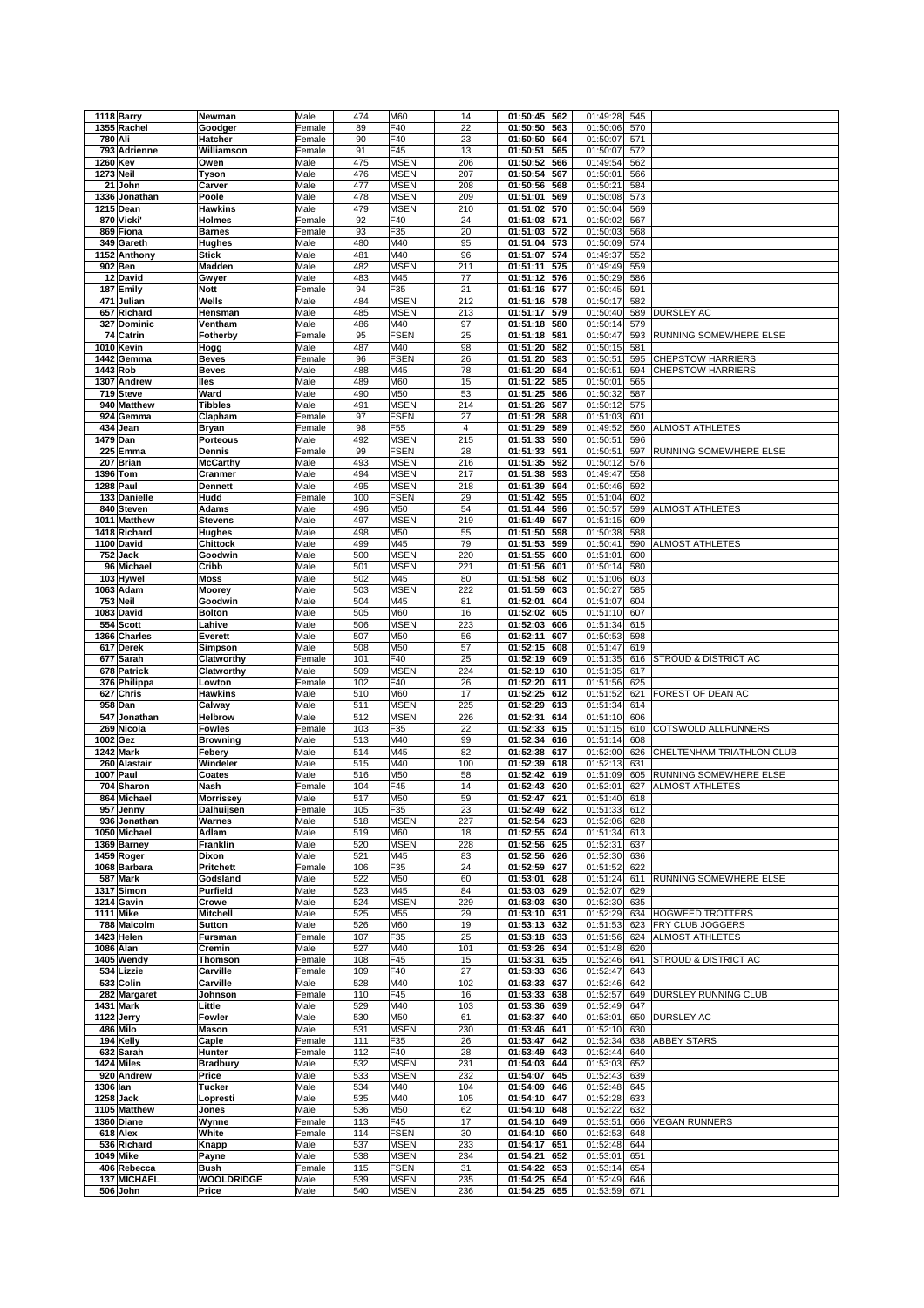|                  | 1118 Barry       | Newman           | Male   | 474              | M60             | 14                      | 01:50:45       | 562 | 01:49:28     | 545 |                           |
|------------------|------------------|------------------|--------|------------------|-----------------|-------------------------|----------------|-----|--------------|-----|---------------------------|
|                  |                  |                  |        |                  |                 |                         |                |     |              |     |                           |
|                  | 1355 Rachel      | Goodger          | Female | 89               | F40             | 22                      | 01:50:50       | 563 | 01:50:06     | 570 |                           |
| 780 Ali          |                  | Hatcher          | Female | 90               | F40             | 23                      | 01:50:50       | 564 | 01:50:07     | 571 |                           |
|                  | 793 Adrienne     | Williamson       | Female | 91               | F45             | 13                      | 01:50:51       | 565 | 01:50:07     | 572 |                           |
|                  |                  |                  |        |                  |                 |                         |                |     |              |     |                           |
| 1260 Kev         |                  | Owen             | Male   | 475              | <b>MSEN</b>     | 206                     | 01:50:52       | 566 | 01:49:54     | 562 |                           |
| <b>1273 Neil</b> |                  | Tyson            | Male   | 476              | <b>MSEN</b>     | 207                     | 01:50:54       | 567 | 01:50:01     | 566 |                           |
|                  | 21 John          | Carver           | Male   | 477              | MSEN            | 208                     | 01:50:56       | 568 | 01:50:21     | 584 |                           |
|                  |                  |                  |        |                  |                 |                         |                |     |              |     |                           |
|                  | 1336 Jonathan    | Poole            | Male   | 478              | MSEN            | 209                     | 01:51:01       | 569 | 01:50:08     | 573 |                           |
|                  | 1215 Dean        | Hawkins          | Male   | 479              | MSEN            | 210                     | 01:51:02       | 570 | 01:50:04     | 569 |                           |
|                  | 870 Vicki'       | Holmes           | Female | 92               | F40             | 24                      | 01:51:03       | 571 | 01:50:02     | 567 |                           |
|                  |                  |                  |        |                  |                 |                         |                |     |              |     |                           |
|                  | 869 Fiona        | <b>Barnes</b>    | Female | 93               | F35             | 20                      | 01:51:03       | 572 | 01:50:03     | 568 |                           |
|                  | 349 Gareth       | <b>Hughes</b>    | Male   | 480              | M40             | 95                      | 01:51:04       | 573 | 01:50:09     | 574 |                           |
|                  | 1152 Anthony     | <b>Stick</b>     | Male   | 481              | M40             | 96                      | 01:51:07       | 574 | 01:49:37     | 552 |                           |
|                  |                  |                  |        |                  |                 |                         |                |     |              |     |                           |
|                  | 902 Ben          | Madden           | Male   | 482              | MSEN            | 211                     | 01:51:11       | 575 | 01:49:49     | 559 |                           |
|                  | 12 David         | Gwyer            | Male   | 483              | M45             | 77                      | 01:51:12       | 576 | 01:50:29     | 586 |                           |
| 187              | Emily            | <b>Nott</b>      | Female | 94               | F35             | 21                      | 01:51:16       | 577 | 01:50:45     | 591 |                           |
|                  |                  |                  |        |                  |                 |                         |                |     |              |     |                           |
| 471              | Julian           | Wells            | Male   | 484              | MSEN            | 212                     | 01:51:16       | 578 | 01:50:17     | 582 |                           |
|                  | 657 Richard      | Hensman          | Male   | 485              | MSEN            | 213                     | 01:51:17       | 579 | 01:50:40     | 589 | <b>DURSLEY AC</b>         |
|                  | 327 Dominic      | Ventham          | Male   | 486              | M40             | 97                      | 01:51:18       | 580 | 01:50:14     | 579 |                           |
|                  |                  |                  |        |                  |                 |                         |                |     |              |     |                           |
|                  | 74 Catrin        | Fotherby         | Female | 95               | <b>FSEN</b>     | 25                      | 01:51:18       | 581 | 01:50:47     | 593 | RUNNING SOMEWHERE ELSE    |
|                  | 1010 Kevin       | Hogg             | Male   | 487              | M40             | 98                      | 01:51:20       | 582 | 01:50:15     | 581 |                           |
|                  | 1442 Gemma       | <b>Beves</b>     | Female | 96               | <b>FSEN</b>     | 26                      | 01:51:20       | 583 | 01:50:51     | 595 | <b>CHEPSTOW HARRIERS</b>  |
|                  |                  | <b>Beves</b>     |        |                  |                 | 78                      |                |     |              |     |                           |
|                  | 1443 Rob         |                  | Male   | 488              | M45             |                         | 01:51:20       | 584 | 01:50:51     | 594 | <b>CHEPSTOW HARRIERS</b>  |
|                  | 1307 Andrew      | lles             | Male   | 489              | M60             | 15                      | 01:51:22       | 585 | 01:50:01     | 565 |                           |
|                  | 719 Steve        | Ward             | Male   | 490              | M50             | 53                      | 01:51:25       | 586 | 01:50:32     | 587 |                           |
|                  | 940 Matthew      | <b>Tibbles</b>   | Male   | 491              | <b>MSEN</b>     | 214                     | 01:51:26       | 587 | 01:50:12     | 575 |                           |
|                  |                  |                  |        |                  |                 |                         |                |     |              |     |                           |
| 924              | Gemma            | Clapham          | Female | 97               | <b>FSEN</b>     | 27                      | 01:51:28       | 588 | 01:51:03     | 601 |                           |
| 434              | Jean             | <b>Bryan</b>     | Female | 98               | F <sub>55</sub> | $\overline{\mathbf{4}}$ | 01:51:29       | 589 | 01:49:52     | 560 | <b>ALMOST ATHLETES</b>    |
| 1479 Dan         |                  | Porteous         | Male   | 492              | <b>MSEN</b>     | 215                     | 01:51:33       | 590 | 01:50:51     | 596 |                           |
|                  |                  |                  |        |                  |                 |                         |                |     |              |     |                           |
| 225              | Emma             | Dennis           | Female | 99               | <b>FSEN</b>     | 28                      | 01:51:33       | 591 | 01:50:51     | 597 | RUNNING SOMEWHERE ELSE    |
|                  | 207 Brian        | <b>McCarthy</b>  | Male   | 493              | <b>MSEN</b>     | 216                     | 01:51:35       | 592 | 01:50:12     | 576 |                           |
|                  | 1396 Tom         | Cranmer          | Male   | 494              | MSEN            | 217                     | 01:51:38       | 593 | 01:49:47     | 558 |                           |
|                  |                  |                  |        |                  |                 |                         |                |     |              |     |                           |
|                  | 1288 Paul        | Dennett          | Male   | 495              | MSEN            | 218                     | 01:51:39       | 594 | 01:50:46     | 592 |                           |
|                  | 133 Danielle     | Hudd             | Female | 100              | FSEN            | 29                      | 01:51:42       | 595 | 01:51:04     | 602 |                           |
|                  | 840 Steven       | <b>Adams</b>     | Male   | 496              | M50             | 54                      | 01:51:44       | 596 | 01:50:57     | 599 | <b>ALMOST ATHLETES</b>    |
|                  |                  |                  |        |                  |                 |                         |                |     |              |     |                           |
|                  | 1011 Matthew     | <b>Stevens</b>   | Male   | 497              | <b>MSEN</b>     | 219                     | 01:51:49       | 597 | 01:51:15     | 609 |                           |
|                  | 1418 Richard     | Hughes           | Male   | 498              | M50             | 55                      | 01:51:50       | 598 | 01:50:38     | 588 |                           |
|                  | 1100 David       | Chittock         | Male   | 499              | M45             | 79                      | 01:51:53       | 599 | 01:50:41     | 590 | ALMOST ATHLETES           |
|                  |                  | Goodwin          |        |                  |                 |                         |                |     |              |     |                           |
|                  | 752 Jack         |                  | Male   | 500              | MSEN            | 220                     | 01:51:55       | 600 | 01:51:01     | 600 |                           |
|                  | 96 Michael       | Cribb            | Male   | 501              | MSEN            | 221                     | 01:51:56       | 601 | 01:50:14     | 580 |                           |
|                  | 103 Hywel        | <b>Moss</b>      | Male   | 502              | M45             | 80                      | 01:51:58       | 602 | 01:51:06     | 603 |                           |
|                  |                  |                  |        |                  |                 |                         |                |     |              |     |                           |
|                  | 1063 Adam        | Moorey           | Male   | 503              | MSEN            | 222                     | 01:51:59       | 603 | 01:50:27     | 585 |                           |
|                  | 753 Neil         | Goodwin          | Male   | 504              | M45             | 81                      | 01:52:01       | 604 | 01:51:07     | 604 |                           |
|                  | 1083 David       | <b>Bolton</b>    | Male   | 505              | M60             | 16                      | 01:52:02       | 605 | 01:51:10     | 607 |                           |
|                  |                  |                  |        |                  |                 |                         |                |     |              |     |                           |
|                  | 554 Scott        | Lahive           | Male   | 506              | MSEN            | 223                     | 01:52:03       | 606 | 01:51:34     | 615 |                           |
|                  | 1366 Charles     | Everett          | Male   | 507              | M50             | 56                      | 01:52:11       | 607 | 01:50:53     | 598 |                           |
|                  | 617 Derek        | Simpson          | Male   | 508              | M50             | 57                      | 01:52:15       | 608 | 01:51:47     | 619 |                           |
|                  | 677 Sarah        | Clatworthy       | Female | 101              | F40             | 25                      | 01:52:19       | 609 | 01:51:35     | 616 | STROUD & DISTRICT AC      |
|                  |                  |                  |        |                  |                 |                         |                |     |              |     |                           |
|                  | 678 Patrick      | Clatworthy       | Male   | 509              | MSEN            | 224                     | 01:52:19       | 610 | 01:51:35     | 617 |                           |
|                  | 376 Philippa     | Lowton           | Female | 102              | F40             | 26                      | 01:52:20       | 611 | 01:51:56     | 625 |                           |
| 627              | Chris            | Hawkins          | Male   | 510              | M60             | 17                      | 01:52:25       | 612 | 01:51:52     | 621 | FOREST OF DEAN AC         |
|                  |                  |                  |        |                  |                 |                         |                |     |              |     |                           |
|                  | 958 Dan          | Calway           | Male   | 511              | <b>MSEN</b>     | 225                     | 01:52:29       | 613 | 01:51:34     | 614 |                           |
| 547              | Jonathan         | Helbrow          | Male   | 512              | <b>MSEN</b>     | 226                     | 01:52:31       | 614 | 01:51:10     | 606 |                           |
| 269              | Nicola           | <b>Fowles</b>    | Female | 103              | F35             | 22                      | 01:52:33       | 615 | 01:51:15     | 610 | COTSWOLD ALLRUNNERS       |
|                  |                  | <b>Browning</b>  |        |                  | M40             |                         |                |     |              |     |                           |
| 1002 Gez         |                  |                  | Male   | 513              |                 | 99                      | 01:52:34       | 616 | 01:51:14     | 608 |                           |
|                  | 1242 Mark        | Febery           | Male   | $\overline{514}$ | M45             | 82                      | 01:52:38       | 617 | 01:52:00     | 626 | CHELTENHAM TRIATHLON CLUB |
|                  | 260 Alastair     | Windeler         | Male   | 515              | M40             | 100                     | 01:52:39       | 618 | 01:52:13     | 631 |                           |
|                  | 1007 Paul        | Coates           | Male   | 516              | M50             | 58                      | 01:52:42       | 619 | 01:51:09     | 605 | RUNNING SOMEWHERE ELSE    |
|                  |                  |                  |        |                  |                 |                         |                |     |              |     |                           |
|                  | 704 Sharon       | Nash             | Female | 104              | F45             | 14                      | 01:52:43       | 620 | 01:52:01     | 627 | <b>ALMOST ATHLETES</b>    |
|                  | 864 Michael      | <b>Morrissey</b> | Male   | 517              | M50             | 59                      | 01:52:47       | 621 | 01:51:40     | 618 |                           |
|                  | 957 Jenny        | Dalhuijsen       | Female | 105              | F35             | 23                      | 01:52:49 622   |     | 01:51:33 612 |     |                           |
|                  |                  |                  |        |                  |                 |                         |                |     |              |     |                           |
|                  | 936 Jonathan     | Warnes           | Male   | 518              | MSEN            | 227                     | 01:52:54 623   |     | 01:52:06     | 628 |                           |
|                  | 1050 Michael     | Adlam            | Male   | 519              | M60             | 18                      | 01:52:55       | 624 | 01:51:34     | 613 |                           |
|                  | 1369 Barney      | Franklin         | Male   | 520              | MSEN            | 228                     | 01:52:56       | 625 | 01:52:31     | 637 |                           |
|                  | 1459 Roger       | Dixon            | Male   | 521              | M45             | 83                      | 01:52:56       |     |              | 636 |                           |
|                  |                  |                  |        |                  |                 |                         |                | 626 | 01:52:30     |     |                           |
|                  | 1068 Barbara     | Pritchett        | Female | 106              | F35             | 24                      | 01:52:59       | 627 | 01:51:52     | 622 |                           |
|                  | 587 Mark         | Godsland         | Male   | 522              | M50             | 60                      | 01:53:01       | 628 | 01:51:24     | 611 | RUNNING SOMEWHERE ELSE    |
|                  | 1317 Simon       | Purfield         | Male   | 523              | M45             | 84                      | 01:53:03       | 629 | 01:52:07     | 629 |                           |
|                  |                  |                  |        |                  |                 |                         |                |     |              |     |                           |
|                  | 1214 Gavin       | Crowe            | Male   | 524              | MSEN            | 229                     | 01:53:03       | 630 | 01:52:30     | 635 |                           |
|                  | <b>1111 Mike</b> | <b>Mitchell</b>  | Male   | 525              | M55             | 29                      | 01:53:10       | 631 | 01:52:29     | 634 | HOGWEED TROTTERS          |
|                  | 788 Malcolm      | Sutton           | Male   | 526              | M60             | 19                      | $01:53:13$ 632 |     | 01:51:53     | 623 | FRY CLUB JOGGERS          |
|                  | 1423 Helen       | Fursman          | Female | 107              | F35             | 25                      | 01:53:18       | 633 | 01:51:56     | 624 | <b>ALMOST ATHLETES</b>    |
|                  |                  |                  |        |                  |                 |                         |                |     |              |     |                           |
|                  | <b>1086 Alan</b> | Cremin           | Male   | 527              | M40             | 101                     | 01:53:26 634   |     | 01:51:48     | 620 |                           |
|                  | 1405 Wendy       | Thomson          | Female | 108              | F45             | 15                      | 01:53:31       | 635 | 01:52:46     | 641 | STROUD & DISTRICT AC      |
|                  | 534 Lizzie       | Carville         | Female | 109              | F40             | 27                      | 01:53:33       | 636 | 01:52:47     | 643 |                           |
|                  |                  |                  |        |                  |                 |                         | 01:53:33       |     |              |     |                           |
|                  | 533 Colin        | Carville         | Male   | 528              | M40             | 102                     |                | 637 | 01:52:46     | 642 |                           |
|                  | 282 Margaret     | Johnson          | Female | 110              | F45             | 16                      | 01:53:33       | 638 | 01:52:57     | 649 | DURSLEY RUNNING CLUB      |
|                  | 1431 Mark        | Little           | Male   | 529              | M40             | 103                     | 01:53:36       | 639 | 01:52:49     | 647 |                           |
|                  |                  | Fowler           | Male   |                  | M50             |                         | 01:53:37       | 640 |              |     |                           |
|                  | 1122 Jerry       |                  |        | 530              |                 | 61                      |                |     | 01:53:01     | 650 | DURSLEY AC                |
|                  | 486 Milo         | Mason            | Male   | 531              | <b>MSEN</b>     | 230                     | 01:53:46       | 641 | 01:52:10     | 630 |                           |
|                  | 194 Kelly        | Caple            | Female | 111              | F35             | 26                      | 01:53:47       | 642 | 01:52:34     | 638 | ABBEY STARS               |
|                  |                  |                  | Female | 112              | F40             | 28                      | 01:53:49       | 643 |              | 640 |                           |
|                  | 632 Sarah        | Hunter           |        |                  |                 |                         |                |     | 01:52:44     |     |                           |
|                  | 1424 Miles       | <b>Bradbury</b>  | Male   | 532              | <b>MSEN</b>     | 231                     | 01:54:03       | 644 | 01:53:03     | 652 |                           |
|                  | 920 Andrew       | Price            | Male   | 533              | MSEN            | 232                     | 01:54:07       | 645 | 01:52:43     | 639 |                           |
| 1306 lan         |                  | Tucker           | Male   | 534              | M40             | 104                     | 01:54:09       | 646 | 01:52:48     | 645 |                           |
|                  |                  |                  |        |                  |                 |                         |                |     |              |     |                           |
|                  | 1258 Jack        | Lopresti         | Male   | 535              | M40             | 105                     | 01:54:10       | 647 | 01:52:28     | 633 |                           |
|                  | 1105 Matthew     | Jones            | Male   | 536              | M50             | 62                      | 01:54:10 648   |     | 01:52:22     | 632 |                           |
|                  | 1360 Diane       | Wynne            |        | 113              | F45             | 17                      | 01:54:10       | 649 | 01:53:51     |     | <b>VEGAN RUNNERS</b>      |
|                  |                  |                  | Female |                  |                 |                         |                |     |              | 666 |                           |
|                  | 618 Alex         | White            | Female | 114              | FSEN            | 30                      | 01:54:10 650   |     | 01:52:53     | 648 |                           |
|                  | 536 Richard      | Knapp            | Male   | 537              | MSEN            | 233                     | 01:54:17       | 651 | 01:52:48     | 644 |                           |
|                  | 1049 Mike        | Payne            | Male   | 538              | MSEN            | 234                     | 01:54:21       | 652 | 01:53:01     | 651 |                           |
|                  |                  |                  |        |                  |                 |                         |                |     |              |     |                           |
|                  |                  |                  |        |                  |                 |                         |                | 653 | 01:53:14     | 654 |                           |
|                  | 406 Rebecca      | Bush             | Female | 115              | FSEN            | 31                      | 01:54:22       |     |              |     |                           |
|                  | 137 MICHAEL      | WOOLDRIDGE       | Male   | 539              | MSEN            | 235                     | 01:54:25       | 654 | 01:52:49     | 646 |                           |
|                  | 506 John         | Price            | Male   | 540              | MSEN            | 236                     | 01:54:25       | 655 | 01:53:59     | 671 |                           |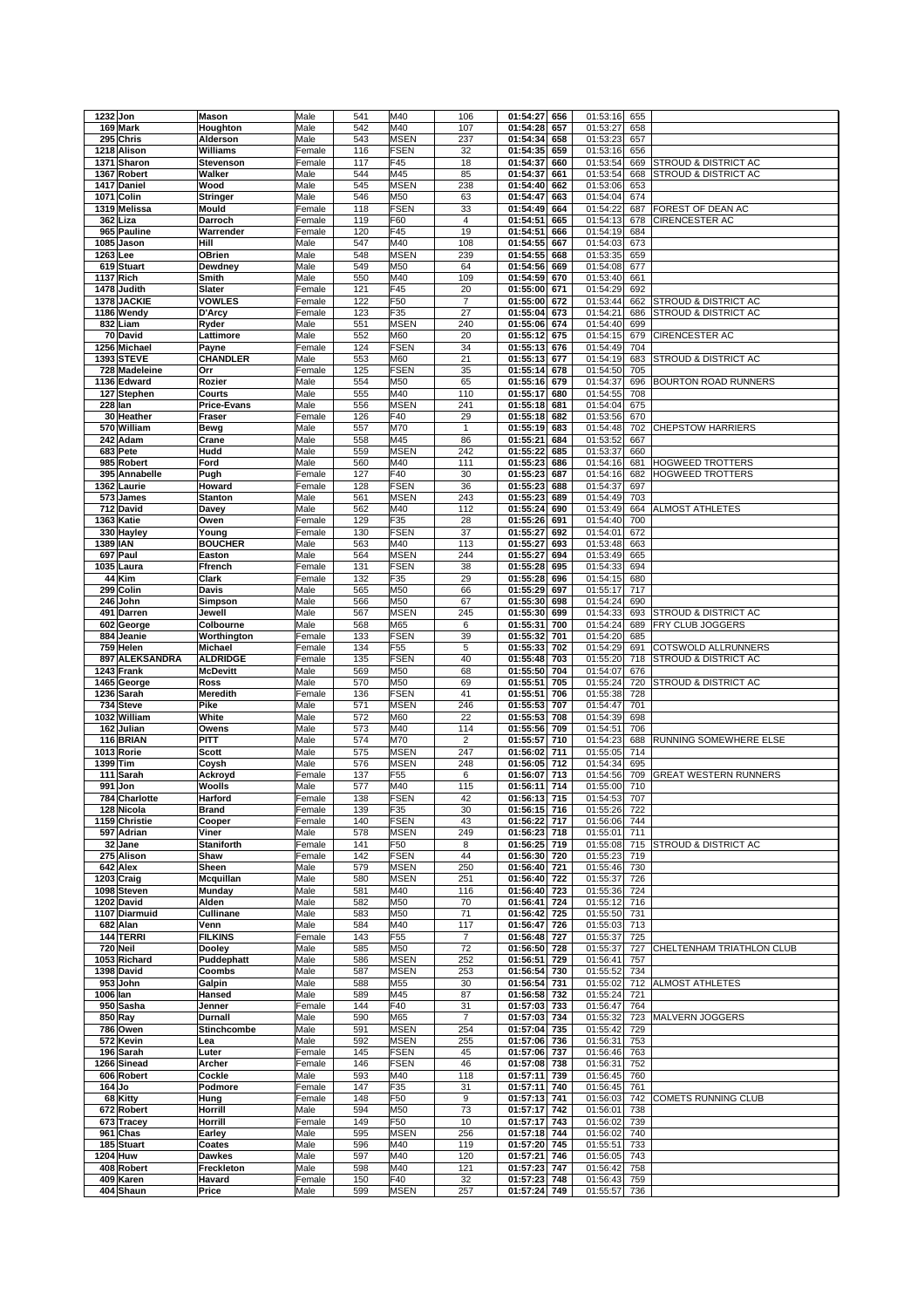| 1232 Jon                    | <b>Mason</b>       | Male             | 541 | M40                | 106                     | 01:54:27<br>656                 | 01:53:16<br>655              |                                 |
|-----------------------------|--------------------|------------------|-----|--------------------|-------------------------|---------------------------------|------------------------------|---------------------------------|
| 169 Mark                    | Houghton           | Male             | 542 | M40                | 107                     | 01:54:28<br>657                 | 01:53:27<br>658              |                                 |
| 295 Chris                   | Alderson           | Male             | 543 | <b>MSEN</b>        | 237                     | 01:54:34<br>658                 | 01:53:23<br>657              |                                 |
| 1218 Alison                 | Williams           | Female           | 116 | <b>FSEN</b>        | 32                      | 01:54:35<br>659                 | 01:53:16<br>656              |                                 |
| 1371 Sharon                 | Stevenson          | Female           | 117 | F45                | 18                      | 01:54:37<br>660                 | 01:53:54<br>669              | <b>STROUD &amp; DISTRICT AC</b> |
| 1367 Robert                 | Walker             | Male             | 544 | M45                | 85                      | 01:54:37<br>661                 | 01:53:54<br>668              | STROUD & DISTRICT AC            |
| 1417 Daniel                 | Wood               | Male             | 545 | <b>MSEN</b>        | 238                     | 01:54:40<br>662                 | 01:53:06<br>653              |                                 |
| 1071 Colin                  | <b>Stringer</b>    | Male             | 546 | M50                | 63                      | 01:54:47<br>663                 | 01:54:04<br>674              |                                 |
|                             |                    |                  |     |                    | 33                      |                                 | 01:54:22                     |                                 |
| 1319 Melissa                | Mould              | Female           | 118 | <b>FSEN</b>        |                         | 01:54:49<br>664                 | 687                          | FOREST OF DEAN AC               |
| 362 Liza                    | Darroch            | Female           | 119 | F60                | $\overline{4}$          | 01:54:51<br>665                 | 01:54:13<br>678              | <b>CIRENCESTER AC</b>           |
| 965 Pauline                 | Warrender          | Female           | 120 | F45                | 19                      | 01:54:51<br>666                 | 01:54:19<br>684              |                                 |
| 1085 Jason                  | Hill               | Male             | 547 | M40                | 108                     | 01:54:55<br>667                 | 01:54:03<br>673              |                                 |
| 1263 Lee                    | OBrien             | Male             | 548 | <b>MSEN</b>        | 239                     | 01:54:55<br>668                 | 01:53:35<br>659              |                                 |
| 619 Stuart                  | Dewdney            | Male             | 549 | M50                | 64                      | 01:54:56<br>669                 | 01:54:08<br>677              |                                 |
| 1137 Rich                   | Smith              | Male             | 550 | M40                | 109                     | 01:54:59<br>670                 | 01:53:40<br>661              |                                 |
| 1478 Judith                 | Slater             | Female           | 121 | F45                | 20                      | 01:55:00<br>671                 | 01:54:29<br>692              |                                 |
| 1378 JACKIE                 | <b>VOWLES</b>      | Female           | 122 | F50                | $\overline{7}$          | 01:55:00<br>672                 | 01:53:44<br>662              | <b>STROUD &amp; DISTRICT AC</b> |
| 1186 Wendy                  | D'Arcy             | Female           | 123 | F35                | 27                      | 01:55:04<br>673                 | 01:54:21<br>686              | STROUD & DISTRICT AC            |
| 832 Liam                    | Ryder              | Male             | 551 | <b>MSEN</b>        | 240                     | 01:55:06<br>674                 | 01:54:40<br>699              |                                 |
| 70 David                    | Lattimore          | Male             | 552 | M60                | 20                      | 01:55:12<br>675                 | 01:54:15<br>679              | CIRENCESTER AC                  |
| 1256 Michael                | Payne              | Female           | 124 | <b>FSEN</b>        | 34                      | 01:55:13<br>676                 | 01:54:49<br>704              |                                 |
| <b>1393 STEVE</b>           | <b>CHANDLER</b>    | Male             | 553 | M60                | 21                      | 01:55:13<br>677                 | 01:54:19<br>683              | STROUD & DISTRICT AC            |
|                             |                    |                  | 125 | <b>FSEN</b>        | 35                      |                                 |                              |                                 |
| 728 Madeleine               | Orr                | Female           |     |                    |                         | 01:55:14<br>678                 | 01:54:50<br>705              |                                 |
| 1136 Edward                 | Rozier             | Male             | 554 | M50                | 65                      | 01:55:16<br>679                 | 01:54:37<br>696              | BOURTON ROAD RUNNERS            |
| 127 Stephen                 | Courts             | Male             | 555 | M40                | 110                     | 01:55:17<br>680                 | 01:54:55<br>708              |                                 |
| 228 Ian                     | <b>Price-Evans</b> | Male             | 556 | <b>MSEN</b>        | 241                     | 01:55:18<br>681                 | 01:54:04<br>675              |                                 |
| 30 Heather                  | Fraser             | Female           | 126 | F40                | 29                      | 01:55:18<br>682                 | 01:53:56<br>670              |                                 |
| 570 William                 | Bewg               | Male             | 557 | M70                | 1                       | 01:55:19<br>683                 | 01:54:48<br>702              | <b>CHEPSTOW HARRIERS</b>        |
| 242 Adam                    | Crane              | Male             | 558 | M45                | 86                      | 01:55:21<br>684                 | 01:53:52<br>667              |                                 |
| 683 Pete                    | Hudd               | Male             | 559 | <b>MSEN</b>        | 242                     | 01:55:22<br>685                 | 01:53:37<br>660              |                                 |
| 985<br><b>Robert</b>        | Ford               | Male             | 560 | M40                | 111                     | 01:55:23<br>686                 | 01:54:16<br>681              | <b>HOGWEED TROTTERS</b>         |
| 395 Annabelle               | Pugh               | Female           | 127 | F40                | 30                      | 01:55:23<br>687                 | 01:54:16<br>682              | <b>HOGWEED TROTTERS</b>         |
| 1362 Laurie                 | Howard             | Female           | 128 | <b>FSEN</b>        | 36                      | 01:55:23<br>688                 | 01:54:37<br>697              |                                 |
| 573 James                   | <b>Stanton</b>     | Male             | 561 | <b>MSEN</b>        | 243                     | 01:55:23<br>689                 | 01:54:49<br>703              |                                 |
| 712 David                   | Davey              | Male             | 562 | M40                | 112                     | 01:55:24<br>690                 | 01:53:49<br>664              | <b>ALMOST ATHLETES</b>          |
| 1363 Katie                  | Owen               | Female           | 129 | F35                | 28                      | 01:55:26<br>691                 | 01:54:40<br>700              |                                 |
| 330 Hayley                  | Young              | Female           | 130 | <b>FSEN</b>        | 37                      | 01:55:27<br>692                 | 01:54:01<br>672              |                                 |
|                             |                    |                  | 563 | M40                | 113                     | 693                             | 663                          |                                 |
| 1389 IAN                    | <b>BOUCHER</b>     | Male             |     |                    |                         | 01:55:27                        | 01:53:48                     |                                 |
| 697 Paul                    | Easton             | Male             | 564 | <b>MSEN</b>        | 244                     | 01:55:27<br>694                 | 01:53:49<br>665              |                                 |
| 1035 Laura                  | Ffrench            | Female           | 131 | <b>FSEN</b>        | 38                      | 01:55:28<br>695                 | 01:54:33<br>694              |                                 |
| 44 Kim                      | Clark              | Female           | 132 | F35                | 29                      | 01:55:28<br>696                 | 01:54:15<br>680              |                                 |
| 299<br>Colin                | Davis              | Male             | 565 | M50                | 66                      | 01:55:29<br>697                 | 01:55:17<br>717              |                                 |
| 246<br>John                 | Simpson            | Male             | 566 | M50                | 67                      | 01:55:30<br>698                 | 01:54:24<br>690              |                                 |
| 491 Darren                  | Jewell             | Male             | 567 | <b>MSEN</b>        | 245                     | 01:55:30<br>699                 | 01:54:33<br>693              | STROUD & DISTRICT AC            |
| 602 George                  | Colbourne          | Male             | 568 | M65                | 6                       | 01:55:31<br>700                 | 01:54:24<br>689              | FRY CLUB JOGGERS                |
| 884 Jeanie                  | Worthington        | Female           | 133 | <b>FSEN</b>        | 39                      | 01:55:32<br>701                 | 01:54:20<br>685              |                                 |
| 759 Helen                   | Michael            | Female           | 134 | F <sub>55</sub>    | 5                       | 01:55:33<br>702                 | 01:54:29<br>691              | <b>COTSWOLD ALLRUNNERS</b>      |
| 897<br><b>ALEKSANDRA</b>    | <b>ALDRIDGE</b>    | Female           | 135 | <b>FSEN</b>        | 40                      | 01:55:48<br>703                 | 01:55:20<br>718              | STROUD & DISTRICT AC            |
|                             |                    |                  |     |                    |                         |                                 |                              |                                 |
|                             |                    |                  |     |                    |                         |                                 |                              |                                 |
| 1243 Frank                  | <b>McDevitt</b>    | Male             | 569 | M50                | 68                      | 01:55:50<br>704                 | 01:54:07<br>676              |                                 |
| 1465 George                 | Ross               | Male             | 570 | M50                | 69                      | 01:55:51<br>705                 | 01:55:24<br>720              | STROUD & DISTRICT AC            |
| 1236 Sarah                  | Meredith           | Female           | 136 | <b>FSEN</b>        | 41                      | 01:55:51<br>706                 | 01:55:38<br>728              |                                 |
| 734<br><b>Steve</b>         | Pike               | Male             | 571 | <b>MSEN</b>        | 246                     | 01:55:53<br>707                 | 01:54:47<br>701              |                                 |
| 1032 William                | White              | Male             | 572 | M60                | 22                      | 01:55:53<br>708                 | 01:54:39<br>698              |                                 |
| 162 Julian                  | Owens              | Male             | 573 | M40                | 114                     | 01:55:56<br>709                 | 01:54:51<br>706              |                                 |
| 116 BRIAN                   | <b>PITT</b>        | Male             | 574 | M70                | $\overline{\mathbf{c}}$ | 01:55:57<br>710                 | 01:54:23<br>688              | RUNNING SOMEWHERE ELSE          |
| 1013 Rorie                  | <b>Scott</b>       | Male             | 575 | <b>MSEN</b>        | 247                     | 01:56:02<br>711                 | 01:55:05<br>714              |                                 |
| 1399 Tim                    | Coysh              | Male             | 576 | <b>MSEN</b>        | 248                     | 01:56:05<br>712                 | 01:54:34<br>695              |                                 |
| 111<br>Sarah                | Ackroyd            | Female           | 137 | F <sub>55</sub>    | 6                       | 01:56:07<br>713                 | 01:54:56<br>709              | <b>GREAT WESTERN RUNNERS</b>    |
| 991<br>Jon                  | Woolls             | Male             | 577 | M40                | 115                     | 01:56:11<br>714                 | 01:55:00<br>710              |                                 |
| 784 Charlotte               | <b>Harford</b>     | Female           | 138 | <b>FSEN</b>        | 42                      | 715<br>01:56:13                 | 01:54:53<br>707              |                                 |
|                             | Brand              |                  | 139 |                    | 30                      |                                 |                              |                                 |
| 128 Nicola<br>1159 Christie |                    | Female<br>Female | 140 | F35<br><b>FSEN</b> | 43                      | 01:56:15 716<br>01:56:22<br>717 | 01:55:26 722<br>01:56:06 744 |                                 |
|                             | Cooper             |                  |     |                    |                         |                                 |                              |                                 |
| 597 Adrian                  | Viner              | Male             | 578 | <b>MSEN</b>        | 249                     | 01:56:23<br>718                 | 01:55:01<br>711              |                                 |
| 32 Jane                     | <b>Staniforth</b>  | Female           | 141 | F50                | 8                       | 01:56:25<br>719                 | 01:55:08<br>715              | <b>STROUD &amp; DISTRICT AC</b> |
| 275 Alison                  | Shaw               | Female           | 142 | FSEN               | 44                      | 01:56:30<br>720                 | 01:55:23<br>719              |                                 |
| 642 Alex                    | Sheen              | Male             | 579 | <b>MSEN</b>        | 250                     | 01:56:40<br>721                 | 01:55:46<br>730              |                                 |
| 1203 Craig                  | Mcquillan          | Male             | 580 | <b>MSEN</b>        | 251                     | 01:56:40<br>722                 | 01:55:37<br>726              |                                 |
| 1098 Steven                 | Munday             | Male             | 581 | M40                | 116                     | 01:56:40<br>723                 | 01:55:36<br>724              |                                 |
| 1202 David                  | Alden              | Male             | 582 | M50                | 70                      | 01:56:41<br>724                 | 01:55:12<br>716              |                                 |
| 1107 Diarmuid               | Cullinane          | Male             | 583 | M50                | 71                      | 01:56:42<br>725                 | 01:55:50<br>731              |                                 |
| 682 Alan                    | Venn               | Male             | 584 | M40                | 117                     | 01:56:47<br>726                 | 01:55:03<br>713              |                                 |
| 144 TERRI                   | <b>FILKINS</b>     | Female           | 143 | F <sub>55</sub>    | 7                       | 01:56:48<br>727                 | 01:55:37<br>725              |                                 |
| 720 Neil                    | Dooley             | Male             | 585 | M50                | 72                      | 01:56:50<br>728                 | 01:55:37<br>727              | CHELTENHAM TRIATHLON CLUB       |
| 1053 Richard                | Puddephatt         | Male             | 586 | <b>MSEN</b>        | 252                     | 01:56:51<br>729                 | 01:56:41<br>757              |                                 |
| 1398 David                  | Coombs             | Male             | 587 | <b>MSEN</b>        | 253                     | 01:56:54<br>730                 | 01:55:52<br>734              |                                 |
| 953 John                    | Galpin             | Male             | 588 | M55                | 30                      | 01:56:54<br>731                 | 01:55:02<br>712              | ALMOST ATHLETES                 |
| 1006 lan                    | Hansed             | Male             | 589 | M45                | 87                      | 01:56:58<br>732                 | 01:55:24<br>721              |                                 |
| 950 Sasha                   | Jenner             | Female           | 144 | F40                | 31                      | 01:57:03<br>733                 | 01:56:47<br>764              |                                 |
| 850 Ray                     | <b>Durnall</b>     | Male             | 590 | M65                | 7                       | 01:57:03<br>734                 | 01:55:32<br>723              | MALVERN JOGGERS                 |
| 786 Owen                    | Stinchcombe        | Male             | 591 | <b>MSEN</b>        | 254                     | 01:57:04<br>735                 | 01:55:42<br>729              |                                 |
|                             |                    |                  |     |                    |                         |                                 |                              |                                 |
| 572 Kevin                   | Lea                | Male             | 592 | <b>MSEN</b>        | 255                     | 01:57:06<br>736                 | 01:56:31<br>753              |                                 |
| 196 Sarah                   | Luter              | Female           | 145 | <b>FSEN</b>        | 45                      | 01:57:06<br>737                 | 01:56:46<br>763              |                                 |
| 1266 Sinead                 | Archer             | Female           | 146 | <b>FSEN</b>        | 46                      | 01:57:08<br>738                 | 01:56:31<br>752              |                                 |
| 606 Robert                  | Cockle             | Male             | 593 | M40                | 118                     | 01:57:11<br>739                 | 01:56:45<br>760              |                                 |
| 164 Jo                      | Podmore            | Female           | 147 | F35                | 31                      | 01:57:11<br>740                 | 01:56:45<br>761              |                                 |
| 68 Kitty                    | Hung               | Female           | 148 | F50                | 9                       | 01:57:13<br>741                 | 01:56:03<br>742              | COMETS RUNNING CLUB             |
| 672 Robert                  | Horrill            | Male             | 594 | M50                | 73                      | 01:57:17<br>742                 | 01:56:01<br>738              |                                 |
| 673 Tracey                  | Horrill            | Female           | 149 | F50                | 10                      | 01:57:17<br>743                 | 01:56:02<br>739              |                                 |
| 961 Chas                    | Earley             | Male             | 595 | <b>MSEN</b>        | 256                     | 01:57:18<br>744                 | 01:56:02<br>740              |                                 |
| 185 Stuart                  | Coates             | Male             | 596 | M40                | 119                     | 01:57:20<br>745                 | 01:55:51<br>733              |                                 |
| 1204 Huw                    | <b>Dawkes</b>      | Male             | 597 | M40                | 120                     | 01:57:21<br>746                 | 01:56:05<br>743              |                                 |
| 408 Robert                  | Freckleton         | Male             | 598 | M40                | 121                     | 01:57:23<br>747                 | 01:56:42<br>758              |                                 |
| 409 Karen<br>404 Shaun      | Havard             | Female           | 150 | F40                | 32                      | 01:57:23<br>748                 | 01:56:43<br>759              |                                 |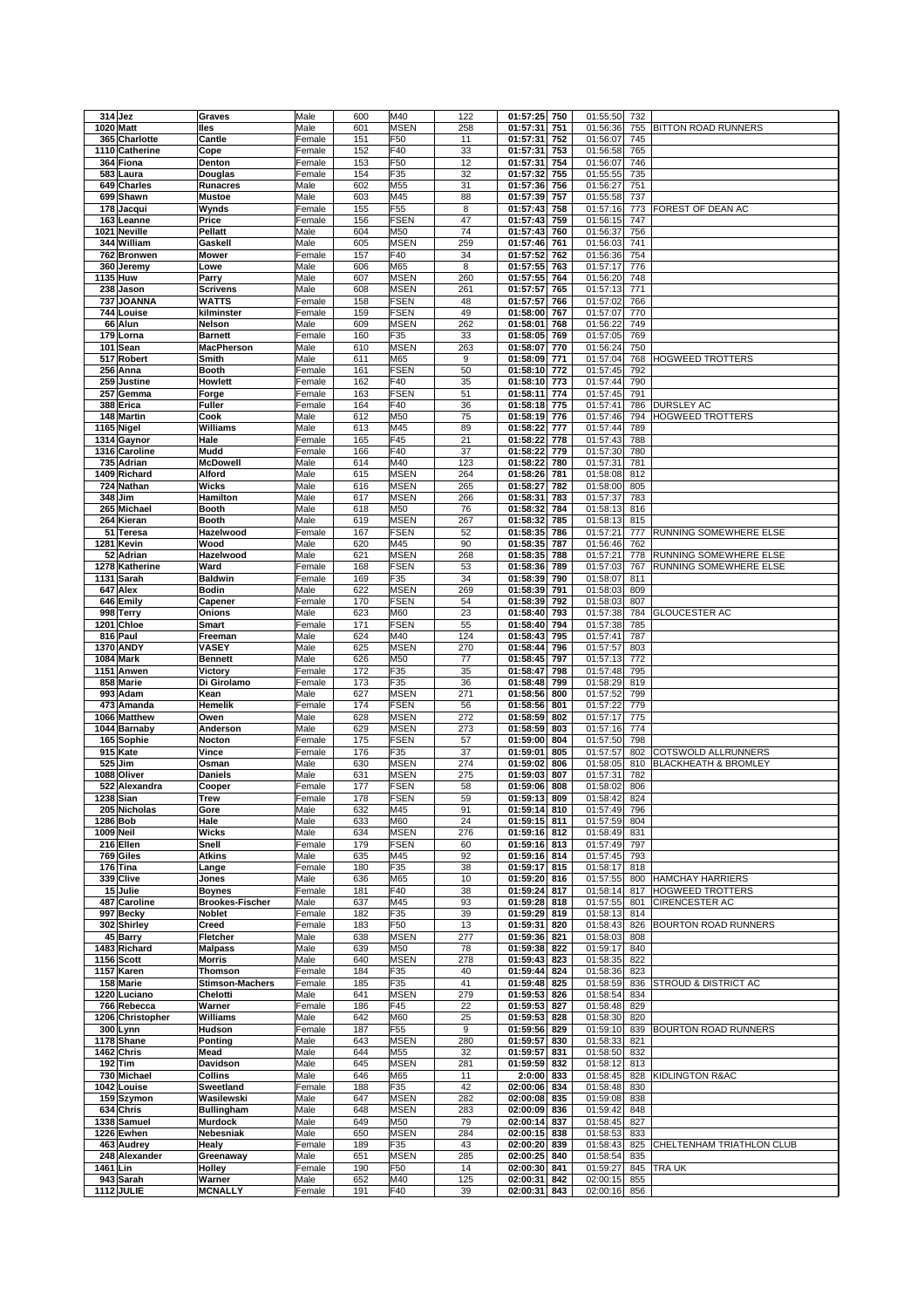|      | 314 Jez                        | Graves                   | Male           | 600        | M40             | 122       | 01:57:25<br>750                    | 01:55:50             | 732        |                                 |
|------|--------------------------------|--------------------------|----------------|------------|-----------------|-----------|------------------------------------|----------------------|------------|---------------------------------|
|      | 1020 Matt                      | lles                     | Male           | 601        | <b>MSEN</b>     | 258       | 01:57:31<br>751                    | 01:56:36             | 755        | BITTON ROAD RUNNERS             |
|      | 365 Charlotte                  | Cantle                   | Female         | 151        | F50             | 11        | 01:57:31<br>752                    | 01:56:07             | 745        |                                 |
|      | 1110 Catherine                 | Cope                     | Female         | 152        | F40             | 33        | 01:57:31<br>753                    | 01:56:58             | 765        |                                 |
|      | 364 Fiona                      | Denton                   | Female         | 153        | F50             | 12        | 01:57:31<br>754                    | 01:56:07             | 746        |                                 |
|      | 583 Laura                      | Douglas                  | Female         | 154        | F35             | 32        | 01:57:32<br>755                    | 01:55:55             | 735        |                                 |
|      | 649 Charles                    | <b>Runacres</b>          | Male           | 602        | M55             | 31        | 01:57:36<br>756                    | 01:56:27             | 751        |                                 |
|      | 699 Shawn                      | <b>Mustoe</b>            | Male           | 603        | M45             | 88        | 01:57:39<br>757                    | 01:55:58             | 737        |                                 |
| 178  | Jacqui                         | Wynds                    | Female         | 155        | F <sub>55</sub> | 8         | 01:57:43<br>758                    | 01:57:16             | 773        | FOREST OF DEAN AC               |
| 163  | Leanne                         | Price                    | Female         | 156        | <b>FSEN</b>     | 47        | 01:57:43<br>759                    | 01:56:15             | 747        |                                 |
|      | 1021 Neville                   | Pellatt                  | Male           | 604        | M50             | 74        | 01:57:43<br>760                    | 01:56:37             | 756        |                                 |
|      | 344 William                    | Gaskell                  | Male           | 605        | <b>MSEN</b>     | 259       | 01:57:46<br>761                    | 01:56:03             | 741        |                                 |
|      | 762 Bronwen                    |                          |                | 157        | F40             | 34        | 762                                |                      |            |                                 |
|      |                                | <b>Mower</b>             | Female         |            |                 | 8         | 01:57:52                           | 01:56:36             | 754        |                                 |
| 360  | Jeremy                         | Lowe                     | Male           | 606        | M65             |           | 01:57:55<br>763                    | 01:57:17             | 776        |                                 |
|      | 1135 Huw                       | Parry                    | Male           | 607        | <b>MSEN</b>     | 260       | 01:57:55<br>764                    | 01:56:20             | 748        |                                 |
|      | 238 Jason                      | <b>Scrivens</b>          | Male           | 608        | <b>MSEN</b>     | 261       | 01:57:57<br>765                    | 01:57:13             | 771        |                                 |
| 737  | <b>JOANNA</b>                  | WATTS                    | Female         | 158        | <b>FSEN</b>     | 48        | 01:57:57<br>766                    | 01:57:02             | 766        |                                 |
|      | 744 Louise                     | kilminster               | Female         | 159        | <b>FSEN</b>     | 49        | 01:58:00<br>767                    | 01:57:07             | 770        |                                 |
|      | 66 Alun                        | <b>Nelson</b>            | Male           | 609        | <b>MSEN</b>     | 262       | 01:58:01<br>768                    | 01:56:22             | 749        |                                 |
|      | 179 Lorna                      | <b>Barnett</b>           | Female         | 160        | F35             | 33        | 01:58:05<br>769                    | 01:57:05             | 769        |                                 |
|      | 101 Sean                       | <b>MacPherson</b>        | Male           | 610        | <b>MSEN</b>     | 263       | 01:58:07<br>770                    | 01:56:24             | 750        |                                 |
|      | 517 Robert                     | Smith                    | Male           | 611        | M65             | 9         | 01:58:09<br>771                    | 01:57:04             | 768        | HOGWEED TROTTERS                |
|      | 256 Anna                       | <b>Booth</b>             | Female         | 161        | <b>FSEN</b>     | 50        | 01:58:10<br>772                    | 01:57:45             | 792        |                                 |
|      | 259 Justine                    | Howlett                  | Female         | 162        | F40             | 35        | 01:58:10<br>773                    | 01:57:44             | 790        |                                 |
|      | 257 Gemma                      | Forge                    | Female         | 163        | <b>FSEN</b>     | 51        | 01:58:11<br>774                    | 01:57:45             | 791        |                                 |
|      | 388 Erica                      | <b>Fuller</b>            | Female         | 164        | F40             | 36        | 01:58:18<br>775                    | 01:57:41             | 786        | DURSLEY AC                      |
|      | 148 Martin                     | Cook                     | Male           | 612        | M50             | 75        | 01:58:19<br>776                    | 01:57:46             | 794        | HOGWEED TROTTERS                |
|      | 1165 Nigel                     | Williams                 | Male           | 613        | M45             | 89        | 01:58:22<br>777                    | 01:57:44             | 789        |                                 |
|      | 1314 Gaynor                    | Hale                     | Female         | 165        | F45             | 21        | 01:58:22<br>778                    | 01:57:43             | 788        |                                 |
|      | 1316 Caroline<br>735 Adrian    | Mudd                     | Female         | 166        | F40             | 37        | 01:58:22<br>779                    | 01:57:30             | 780        |                                 |
|      |                                | <b>McDowell</b>          | Male           | 614        | M40             | 123       | 01:58:22<br>780                    | 01:57:31             | 781        |                                 |
|      | 1409 Richard                   | Alford                   | Male           | 615        | <b>MSEN</b>     | 264       | 01:58:26<br>781                    | 01:58:08             | 812        |                                 |
|      | 724 Nathan                     | <b>Wicks</b>             | Male           | 616        | <b>MSEN</b>     | 265       | 01:58:27<br>782                    | 01:58:00             | 805        |                                 |
|      | 348 Jim                        | Hamilton                 | Male           | 617        | <b>MSEN</b>     | 266       | 01:58:31<br>783                    | 01:57:37             | 783        |                                 |
|      | 265 Michael                    | <b>Booth</b>             | Male           | 618        | M50             | 76        | 01:58:32<br>784                    | 01:58:13             | 816        |                                 |
|      | 264 Kieran                     | <b>Booth</b>             | Male           | 619        | <b>MSEN</b>     | 267       | 01:58:32<br>785                    | 01:58:13             | 815        |                                 |
|      | 51 Teresa                      | Hazelwood                | Female         | 167        | <b>FSEN</b>     | 52        | 01:58:35<br>786                    | 01:57:21             | 777        | RUNNING SOMEWHERE ELSE          |
|      | 1281 Kevin                     | Wood                     | Male           | 620        | M45             | 90        | 01:58:35<br>787                    | 01:56:46             | 762        |                                 |
|      | 52 Adrian                      | Hazelwood                | Male           | 621        | <b>MSEN</b>     | 268       | 01:58:35<br>788                    | 01:57:21             | 778        | RUNNING SOMEWHERE ELSE          |
|      | 1278 Katherine                 | Ward                     | Female         | 168        | <b>FSEN</b>     | 53        | 01:58:36<br>789                    | 01:57:03             | 767        | RUNNING SOMEWHERE ELSE          |
| 1131 | Sarah                          | <b>Baldwin</b>           | Female         | 169        | F35             | 34        | 01:58:39<br>790                    | 01:58:07             | 811        |                                 |
| 647  | Alex                           | <b>Bodin</b>             | Male           | 622        | <b>MSEN</b>     | 269       | 01:58:39<br>791                    | 01:58:03             | 809        |                                 |
|      | 646 Emily                      | Capener                  | Female         | 170        | <b>FSEN</b>     | 54        | 01:58:39<br>792                    | 01:58:03             | 807        |                                 |
|      | 998 Terry                      | Onions                   | Male           | 623        | M60             | 23        | 01:58:40<br>793                    | 01:57:38             | 784        | <b>GLOUCESTER AC</b>            |
|      | 1201 Chloe                     | <b>Smart</b>             | Female         | 171        | <b>FSEN</b>     | 55        | 01:58:40<br>794                    | 01:57:38             | 785        |                                 |
|      | 816 Paul                       | Freeman                  | Male           | 624        | M40             | 124       | 01:58:43<br>795                    | 01:57:41             | 787        |                                 |
|      | <b>1370 ANDY</b>               | VASEY                    | Male           | 625        | <b>MSEN</b>     | 270       | 01:58:44<br>796                    | 01:57:57             | 803        |                                 |
|      | <b>1084 Mark</b>               | <b>Bennett</b>           | Male           | 626        | M50             | 77        | 01:58:45<br>797                    | 01:57:13             | 772        |                                 |
|      | 1151 Anwen                     | Victory                  | Female         | 172        | F35             | 35        | 01:58:47<br>798                    | 01:57:48             | 795        |                                 |
|      | 858 Marie                      | Di Girolamo              | Female         | 173        | F35             | 36        | 01:58:48<br>799                    | 01:58:29             | 819        |                                 |
|      | 993 Adam                       | Kean                     | Male           | 627        | <b>MSEN</b>     | 271       | 01:58:56<br>800                    | 01:57:52             | 799        |                                 |
| 473  | Amanda                         | Hemelik                  | Female         | 174        | <b>FSEN</b>     | 56        | 01:58:56<br>801                    | 01:57:22             | 779        |                                 |
|      | 1066 Matthew                   | Owen                     | Male           | 628        | <b>MSEN</b>     | 272       | 01:58:59<br>802                    | 01:57:17             | 775        |                                 |
|      | 1044 Barnaby                   | Anderson                 | Male           | 629        | <b>MSEN</b>     | 273       | 01:58:59<br>803                    | 01:57:16             | 774        |                                 |
|      | 165 Sophie                     | Nocton                   | Female         | 175        | <b>FSEN</b>     | 57        | 01:59:00<br>804                    | 01:57:50             | 798        |                                 |
|      | 915 Kate                       | Vince                    | Female         | 176        | F35             | 37        | 01:59:01<br>805                    | 01:57:57             | 802        | COTSWOLD ALLRUNNERS             |
| 525  | Jim                            | Osman                    | Male           | 630        | <b>MSEN</b>     | 274       | 01:59:02<br>806                    | 01:58:05             | 810        | <b>BLACKHEATH &amp; BROMLEY</b> |
| 1088 | Oliver                         | Daniels                  | Male           | 631        | <b>MSEN</b>     | 275       | 01:59:03<br>807                    | 01:57:31             | 782        |                                 |
|      | 522 Alexandra                  | Cooper                   | Female         | 177        | <b>FSEN</b>     | 58        | 01:59:06<br>808                    | 01:58:02             | 806        |                                 |
|      | 1238 Sian                      | <b>Trew</b>              | Female         | 178        | FSEN            | 59        | 01:59:13<br>809                    | 01:58:42             | 824        |                                 |
|      | 205 Nicholas                   | Gore                     | Male           | 632        | M45             | 91        | 01:59:14 810                       | 01:57:49 796         |            |                                 |
|      | 1286 Bob                       | Hale                     | Male           | 633        | M60             | 24        | 01:59:15 811                       |                      | 804        |                                 |
|      | 1009 Neil                      | Wicks                    | Male           |            |                 |           |                                    | 01:57:59             |            |                                 |
|      | 216 Ellen                      | Snell                    |                | 634        | MSEN            | 276       | 01:59:16 812                       | 01:58:49             | 831        |                                 |
|      |                                |                          | Female         | 179        | <b>FSEN</b>     | 60        | 01:59:16<br>813                    | 01:57:49             | 797        |                                 |
|      | 769 Giles                      | Atkins                   | Male           | 635        | M45             | 92        | 01:59:16 814                       | 01:57:45             | 793        |                                 |
|      | 176 Tina                       | Lange                    | Female         | 180        | F35             | 38        | 01:59:17<br>815                    | 01:58:17             | 818        |                                 |
|      | 339 Clive                      | Jones                    | Male           | 636        | M65             | 10        | 01:59:20 816                       | 01:57:55             | 800        | <b>HAMCHAY HARRIERS</b>         |
|      | 15 Julie                       | <b>Boynes</b>            | Female         | 181        | F40             | 38        | 01:59:24<br>817                    | 01:58:14             | 817        | HOGWEED TROTTERS                |
|      | 487 Caroline                   | <b>Brookes-Fischer</b>   | Male           | 637        | M45             | 93        | 01:59:28<br>818                    | 01:57:55             | 801        | <b>CIRENCESTER AC</b>           |
|      | 997 Becky                      | Noblet                   | Female         | 182        | F35             | 39        | 01:59:29<br>819                    | 01:58:13             | 814        |                                 |
|      | 302 Shirley                    | Creed                    | Female         | 183        | F50             | 13        | 01:59:31<br>820                    | 01:58:43             | 826        | BOURTON ROAD RUNNERS            |
|      | 45 Barry                       | Fletcher                 | Male           | 638        | <b>MSEN</b>     | 277       | 01:59:36<br>821                    | 01:58:03             | 808        |                                 |
|      | 1483 Richard                   | <b>Malpass</b>           | Male           | 639        | M50             | 78        | 01:59:38 822                       | 01:59:17             | 840        |                                 |
|      | 1156 Scott                     | Morris                   | Male           | 640        | <b>MSEN</b>     | 278       | 01:59:43<br>823                    | 01:58:35             | 822        |                                 |
|      | 1157 Karen                     | Thomson                  | Female         | 184        | F35             | 40        | 01:59:44<br>824                    | 01:58:36             | 823        |                                 |
|      | 158 Marie                      | <b>Stimson-Machers</b>   | Female         | 185        | F35             | 41        | 01:59:48<br>825                    | 01:58:59             | 836        | <b>STROUD &amp; DISTRICT AC</b> |
|      | 1220 Luciano                   | Chelotti                 | Male           | 641        | <b>MSEN</b>     | 279       | 01:59:53<br>826                    | 01:58:54             | 834        |                                 |
|      | 766 Rebecca                    | Warner                   | Female         | 186        | F45             | 22        | 01:59:53<br>827                    | 01:58:48             | 829        |                                 |
|      | 1206 Christopher               | Williams                 | Male           | 642        | M60             | 25        | 01:59:53<br>828                    | 01:58:30             | 820        |                                 |
|      | 300 Lynn                       | Hudson                   | Female         | 187        | F55             | 9         | 01:59:56<br>829                    | 01:59:10             | 839        | BOURTON ROAD RUNNERS            |
|      | 1178 Shane                     | Ponting                  | Male           | 643        | <b>MSEN</b>     | 280       | 01:59:57<br>830                    | 01:58:33             | 821        |                                 |
|      | 1462 Chris                     | Mead                     | Male           | 644        | M55             | 32        | 01:59:57<br>831                    | 01:58:50             | 832        |                                 |
|      | $192$ Tim                      | Davidson                 | Male           | 645        | <b>MSEN</b>     | 281       | 01:59:59<br>832                    | 01:58:12             | 813        |                                 |
|      | 730 Michael                    | <b>Collins</b>           | Male           | 646        | M65             | 11        | 2:0:00 833                         | 01:58:45             | 828        | KIDLINGTON R&AC                 |
|      | 1042 Louise                    | Sweetland                | Female         | 188        | F35             | 42        | 02:00:06 834                       | 01:58:48             | 830        |                                 |
|      | 159 Szymon                     | Wasilewski               | Male           | 647        | <b>MSEN</b>     | 282       | 02:00:08 835                       | 01:59:08             | 838        |                                 |
|      | 634 Chris                      | <b>Bullingham</b>        | Male           | 648        | <b>MSEN</b>     | 283       | 02:00:09 836                       | 01:59:42             | 848        |                                 |
|      | 1338 Samuel                    | <b>Murdock</b>           | Male           | 649        | M50             | 79        | 02:00:14 837                       | 01:58:45             | 827        |                                 |
|      | 1226 Ewhen                     | Nebesniak                | Male           | 650        | <b>MSEN</b>     | 284       | 02:00:15<br>838                    | 01:58:53             | 833        |                                 |
|      | 463 Audrey                     | Healy                    | Female         | 189        | F35             | 43        | 02:00:20 839                       | 01:58:43             | 825        | CHELTENHAM TRIATHLON CLUB       |
|      | 248 Alexander                  | Greenaway                | Male           | 651        | <b>MSEN</b>     | 285       | 02:00:25<br>840                    | 01:58:54             | 835        |                                 |
|      | 1461 Lin                       | Holley                   | Female         | 190        | F50             | 14        | 02:00:30<br>841                    | 01:59:27             | 845        | TRA UK                          |
|      | 943 Sarah<br><b>1112 JULIE</b> | Warner<br><b>MCNALLY</b> | Male<br>Female | 652<br>191 | M40<br>F40      | 125<br>39 | 02:00:31<br>842<br>02:00:31<br>843 | 02:00:15<br>02:00:16 | 855<br>856 |                                 |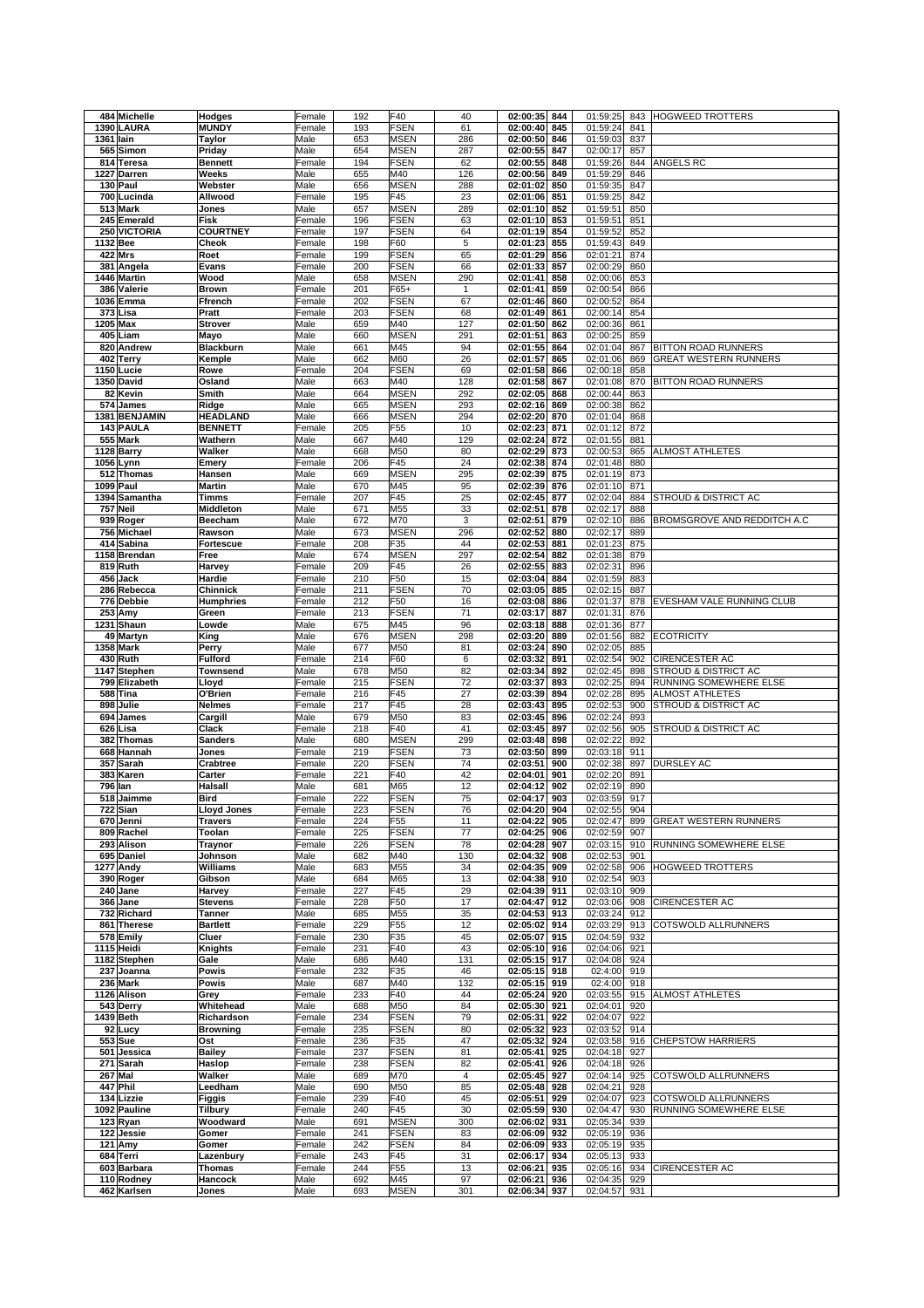| 484 Michelle             | Hodges                    | Female           | 192        | F40                        | 40       | 02:00:35                     | 844        | 01:59:25                     | 843 | HOGWEED TROTTERS                |
|--------------------------|---------------------------|------------------|------------|----------------------------|----------|------------------------------|------------|------------------------------|-----|---------------------------------|
| 1390 LAURA               | <b>MUNDY</b>              | Female           | 193        | <b>FSEN</b>                | 61       | 02:00:40                     | 845        | 01:59:24                     | 841 |                                 |
| 1361 lain                | <b>Taylor</b>             | Male             | 653        | <b>MSEN</b>                | 286      | 02:00:50                     | 846        | 01:59:03                     | 837 |                                 |
| 565 Simon                | Priday                    | Male             | 654        | <b>MSEN</b>                | 287      | 02:00:55                     | 847        | 02:00:17                     | 857 |                                 |
| 814 Teresa               | <b>Bennett</b>            | Female           | 194        | <b>FSEN</b>                | 62       | 02:00:55                     | 848        | 01:59:26                     | 844 | ANGELS RC                       |
| 1227 Darren              | Weeks                     | Male             | 655        | M40                        | 126      | 02:00:56                     | 849        | 01:59:29                     | 846 |                                 |
| 130 Paul                 | Webster                   | Male             | 656        | <b>MSEN</b>                | 288      | 02:01:02                     | 850        | 01:59:35                     | 847 |                                 |
| 700 Lucinda              | Allwood                   | Female           | 195        | F45                        | 23       | 02:01:06                     | 851        | 01:59:25                     | 842 |                                 |
| 513 Mark                 | Jones                     | Male             | 657        | <b>MSEN</b>                | 289      | 02:01:10                     | 852        | 01:59:51                     | 850 |                                 |
| 245 Emerald              | Fisk                      | Female           | 196        | <b>FSEN</b>                | 63       | 02:01:10                     | 853        | 01:59:51                     | 851 |                                 |
| 250 VICTORIA             | <b>COURTNEY</b>           | Female           | 197        | <b>FSEN</b>                | 64       | 02:01:19                     | 854        | 01:59:52                     | 852 |                                 |
| 1132 Bee                 | Cheok                     | Female           | 198        | F60                        | 5        | 02:01:23                     | 855        | 01:59:43                     | 849 |                                 |
| <b>422 Mrs</b>           | Roet                      | Female           | 199        | <b>FSEN</b>                | 65       | 02:01:29                     | 856        | 02:01:21                     | 874 |                                 |
| 381 Angela               | Evans                     | Female           | 200        | <b>FSEN</b>                | 66       | 02:01:33                     | 857        | 02:00:29                     | 860 |                                 |
| 1446 Martin              | Wood                      | Male             | 658        | <b>MSEN</b>                | 290      | 02:01:41                     | 858        | 02:00:06                     | 853 |                                 |
| 386 Valerie              | <b>Brown</b>              | Female           | 201        | F65+                       | 1        | 02:01:41                     | 859        | 02:00:54                     | 866 |                                 |
| 1036 Emma                | Ffrench                   | Female           | 202        | <b>FSEN</b>                | 67       | 02:01:46                     | 860        | 02:00:52                     | 864 |                                 |
| 373 Lisa                 | Pratt                     | Female           | 203        | <b>FSEN</b>                | 68       | 02:01:49                     | 861        | 02:00:14                     | 854 |                                 |
| 1205 Max                 | <b>Strover</b>            | Male             | 659        | M40                        | 127      | 02:01:50                     | 862        | 02:00:36                     | 861 |                                 |
| 405 Liam                 | Mayo                      | Male             | 660        | <b>MSEN</b>                | 291      | 02:01:51                     | 863        | 02:00:25                     | 859 |                                 |
| 820 Andrew               | <b>Blackburn</b>          | Male             | 661        | M45                        | 94       | 02:01:55                     | 864        | 02:01:04                     | 867 | BITTON ROAD RUNNERS             |
| 402 Terry                | Kemple                    | Male             | 662        | M60                        | 26       | 02:01:57                     | 865        | 02:01:06                     | 869 | GREAT WESTERN RUNNERS           |
| 1150 Lucie               | Rowe                      | Female           | 204        | <b>FSEN</b>                | 69       | 02:01:58                     | 866        | 02:00:18                     | 858 |                                 |
| 1350 David               | Osland                    | Male             | 663        | M40                        | 128      | 02:01:58                     | 867        | 02:01:08                     | 870 | BITTON ROAD RUNNERS             |
| 82 Kevin                 | Smith                     | Male             | 664        | <b>MSEN</b>                | 292      | 02:02:05                     | 868        | 02:00:44                     | 863 |                                 |
| 574 James                | Ridge                     | Male             | 665        | <b>MSEN</b>                | 293      | 02:02:16                     | 869        | 02:00:38                     | 862 |                                 |
| 1381 BENJAMIN            | <b>HEADLAND</b>           | Male             | 666        | <b>MSEN</b>                | 294      | 02:02:20                     | 870        | 02:01:04                     | 868 |                                 |
| 143 PAULA                | <b>BENNETT</b>            | Female           | 205        | F <sub>55</sub>            | 10       | 02:02:23                     | 871        | 02:01:12                     | 872 |                                 |
| 555 Mark                 | Wathern                   | Male             | 667        | M40                        | 129      | 02:02:24                     | 872        | 02:01:55                     | 881 |                                 |
| 1128 Barry               | Walker                    | Male             | 668        | M50                        | 80       | 02:02:29                     | 873        | 02:00:53                     | 865 | ALMOST ATHLETES                 |
| 1056 Lynn                | Emery                     | Female           | 206        | F45                        | 24       | 02:02:38                     | 874        | 02:01:48                     | 880 |                                 |
| 512 Thomas               | Hansen                    | Male             | 669        | <b>MSEN</b>                | 295      | 02:02:39                     | 875        | 02:01:19                     | 873 |                                 |
| 1099 Paul                | <b>Martin</b>             | Male             | 670        | M45                        | 95       | 02:02:39                     | 876        | 02:01:10                     | 871 |                                 |
| 1394 Samantha            | Timms                     | Female           | 207        | F45                        | 25       | 02:02:45                     | 877        | 02:02:04                     | 884 | STROUD & DISTRICT AC            |
| 757 Neil                 | Middleton                 | Male             | 671        | M55                        | 33       | 02:02:51                     | 878        | 02:02:17                     | 888 |                                 |
| 939 Roger                | Beecham                   | Male             | 672        | M70                        | 3        | 02:02:51                     | 879        | 02:02:10                     | 886 | BROMSGROVE AND REDDITCH A.C     |
| 756 Michael              | Rawson                    | Male             | 673        | <b>MSEN</b>                | 296      | 02:02:52                     | 880        | 02:02:17                     | 889 |                                 |
| 414 Sabina               | <b>Fortescue</b>          | Female           | 208        | F35                        | 44       | 02:02:53                     | 881        | 02:01:23                     | 875 |                                 |
| 1158 Brendan             | Free                      | Male             | 674        | <b>MSEN</b>                | 297      | 02:02:54                     | 882        | 02:01:38                     | 879 |                                 |
| 819 Ruth                 | Harvey                    | Female           | 209        | F45                        | 26       | 02:02:55                     | 883        | 02:02:31                     | 896 |                                 |
| 456 Jack                 | Hardie                    | Female           | 210        | F50                        | 15       | 02:03:04                     | 884        | 02:01:59                     | 883 |                                 |
| 286 Rebecca              | Chinnick                  | Female           | 211        | <b>FSEN</b>                | 70       | 02:03:05                     | 885        | 02:02:15                     | 887 |                                 |
| 776 Debbie               | <b>Humphries</b>          | Female           | 212        | F50                        | 16       | 02:03:08                     | 886        | 02:01:37                     | 878 | EVESHAM VALE RUNNING CLUB       |
| 253 Amy                  | Green                     | Female           | 213        | <b>FSEN</b>                | 71       | 02:03:17                     | 887        | 02:01:31                     | 876 |                                 |
| 1231 Shaun               | Lowde                     | Male             | 675        | M45                        | 96       | 02:03:18                     | 888        | 02:01:36                     | 877 |                                 |
| 49 Martyn                | King                      | Male             | 676        | <b>MSEN</b>                | 298      | 02:03:20                     | 889        | 02:01:56                     | 882 | <b>ECOTRICITY</b>               |
| 1358 Mark                | Perry                     | Male             | 677        | M50                        | 81       | 02:03:24                     | 890        | 02:02:05                     | 885 |                                 |
| 430 Ruth                 | <b>Fulford</b>            | Female           | 214        | F60                        | 6        | 02:03:32                     | 891        | 02:02:54                     | 902 | <b>CIRENCESTER AC</b>           |
|                          |                           |                  |            |                            |          |                              |            |                              |     |                                 |
| 1147 Stephen             | <b>Townsend</b>           | Male             | 678        | M50                        | 82       | 02:03:34                     | 892        | 02:02:45                     | 898 | STROUD & DISTRICT AC            |
| 799 Elizabeth            | Lloyd                     | Female           | 215        | <b>FSEN</b>                | 72       | 02:03:37                     | 893        | 02:02:25                     | 894 | RUNNING SOMEWHERE ELSE          |
| 588 Tina                 | O'Brien                   | Female           | 216        | F45                        | 27       | 02:03:39                     | 894        | 02:02:28                     | 895 | ALMOST ATHLETES                 |
| 898 Julie                | <b>Nelmes</b>             | Female           | 217        | F45                        | 28       | 02:03:43                     | 895        | 02:02:53                     | 900 | <b>STROUD &amp; DISTRICT AC</b> |
| 694 James                | Cargill                   | Male             | 679        | M50                        | 83       | 02:03:45                     | 896        | 02:02:24                     | 893 |                                 |
| 626 Lisa                 | Clack                     | Female           | 218        | F40                        | 41       | 02:03:45                     | 897        | 02:02:56                     | 905 | STROUD & DISTRICT AC            |
| 382 Thomas               | Sanders                   | Male             | 680        | <b>MSEN</b>                | 299      | 02:03:48                     | 898        | 02:02:22                     | 892 |                                 |
| 668 Hannah               | Jones                     | Female           | 219        | <b>FSEN</b>                | 73       | 02:03:50                     | 899        | 02:03:18                     | 911 |                                 |
| 357 Sarah                | Crabtree                  | Female           | 220        | <b>FSEN</b>                | 74       | 02:03:51                     | 900        | 02:02:38                     | 897 | <b>DURSLEY AC</b>               |
| 383<br>Karen             | Carter                    | Female           | 221        | F40                        | 42       | 02:04:01                     | 901        | 02:02:20                     | 891 |                                 |
| <b>796 lan</b>           | Halsall                   | Male             | 681        | M65                        | 12       | 02:04:12                     | 902        | 02:02:19                     | 890 |                                 |
| 518 Jaimme               | <b>Bird</b>               | Female           | 222        | <b>FSEN</b>                | 75       | 02:04:17                     | 903        | 02:03:59                     | 917 |                                 |
| 722 Sian                 | <b>Lloyd Jones</b>        | Female           | 223        | <b>FSEN</b>                | 76       | 02:04:20 904                 |            | 02:02:55 904                 |     |                                 |
| 670 Jenni                | <b>Travers</b>            | Female           | 224        | F55                        | 11       | 02:04:22                     | 905        | 02:02:47                     | 899 | GREAT WESTERN RUNNERS           |
| 809 Rachel<br>293 Alison | Toolan                    | Female<br>Female | 225<br>226 | <b>FSEN</b><br><b>FSEN</b> | 77<br>78 | 02:04:25<br>02:04:28         | 906<br>907 | 02:02:59<br>02:03:15         | 907 | 910 RUNNING SOMEWHERE ELSE      |
| 695 Daniel               | <b>Traynor</b><br>Johnson | Male             | 682        | M40                        | 130      | 02:04:32                     | 908        |                              | 901 |                                 |
| 1277 Andy                | Williams                  | Male             | 683        | M55                        | 34       | 02:04:35 909                 |            | 02:02:53<br>02:02:58         | 906 | HOGWEED TROTTERS                |
| 390 Roger                | Gibson                    | Male             | 684        | M65                        | 13       | 02:04:38 910                 |            | 02:02:54                     | 903 |                                 |
| 240 Jane                 | Harvey                    | Female           | 227        | F45                        | 29       | 02:04:39                     | 911        | 02:03:10                     | 909 |                                 |
| 366 Jane                 | <b>Stevens</b>            | Female           | 228        | F50                        | 17       | 02:04:47 912                 |            | 02:03:06                     | 908 | CIRENCESTER AC                  |
| 732 Richard              | <b>Tanner</b>             | Male             | 685        | M55                        | 35       | 02:04:53                     | 913        | 02:03:24                     | 912 |                                 |
| 861 Therese              | <b>Bartlett</b>           | Female           | 229        | F55                        | 12       | 02:05:02                     | 914        | 02:03:29                     | 913 | COTSWOLD ALLRUNNERS             |
| 578 Emily                | Cluer                     | Female           | 230        | F35                        | 45       | 02:05:07                     | 915        | 02:04:59                     | 932 |                                 |
| 1115 Heidi               | Knights                   | Female           | 231        | F40                        | 43       | 02:05:10 916                 |            | 02:04:06                     | 921 |                                 |
| 1182 Stephen             | Gale                      | Male             | 686        | M40                        | 131      | 02:05:15                     | 917        | 02:04:08                     | 924 |                                 |
| 237 Joanna               | Powis                     | Female           | 232        | F35                        | 46       | 02:05:15                     | 918        | 02:4:00                      | 919 |                                 |
| 236 Mark                 | Powis                     | Male             | 687        | M40                        | 132      | 02:05:15                     | 919        | 02:4:00                      | 918 |                                 |
| 1126 Alison              | Grey                      | Female           | 233        | F40                        | 44       | 02:05:24 920                 |            | 02:03:55 915                 |     | <b>ALMOST ATHLETES</b>          |
| 543 Derry                | Whitehead                 | Male             | 688        | M50                        | 84       | 02:05:30                     | 921        | 02:04:01                     | 920 |                                 |
| 1439 Beth                | Richardson                | Female           | 234        | <b>FSEN</b>                | 79       | 02:05:31                     | 922        | 02:04:07                     | 922 |                                 |
| 92 Lucy                  | <b>Browning</b>           | Female           | 235        | <b>FSEN</b>                | 80       | 02:05:32                     | 923        | 02:03:52                     | 914 |                                 |
| 553 Sue                  | Ost                       | Female           | 236        | F35                        | 47       | 02:05:32                     | 924        | 02:03:58 916                 |     | <b>CHEPSTOW HARRIERS</b>        |
| 501 Jessica              | <b>Bailey</b>             | Female           | 237        | <b>FSEN</b>                | 81       | 02:05:41                     | 925        | 02:04:18                     | 927 |                                 |
| 271 Sarah                | Haslop                    | Female           | 238        | <b>FSEN</b>                | 82       | 02:05:41                     | 926        | 02:04:18                     | 926 |                                 |
| <b>267 Mal</b>           | Walker                    | Male             | 689        | M70                        | 4        | 02:05:45                     | 927        | 02:04:14                     | 925 | COTSWOLD ALLRUNNERS             |
| 447 Phil                 | Leedham                   | Male             | 690        | M50                        | 85       | 02:05:48                     | 928        | 02:04:21                     | 928 |                                 |
| 134 Lizzie               | Figgis                    | Female           | 239        | F40                        | 45       | 02:05:51                     | 929        | 02:04:07                     | 923 | COTSWOLD ALLRUNNERS             |
| 1092 Pauline             | <b>Tilbury</b>            | Female           | 240        | F45                        | 30       | 02:05:59 930                 |            | 02:04:47                     | 930 | RUNNING SOMEWHERE ELSE          |
| 123 Ryan                 | Woodward                  | Male             | 691        | <b>MSEN</b>                | 300      | 02:06:02                     | 931        | 02:05:34                     | 939 |                                 |
| 122 Jessie<br>121 Amy    | Gomer<br>Gomer            | Female<br>Female | 241<br>242 | <b>FSEN</b><br><b>FSEN</b> | 83<br>84 | 02:06:09 932                 |            | 02:05:19 936                 |     |                                 |
| 684 Terri                | Lazenbury                 | Female           | 243        | F45                        | 31       | 02:06:09 933<br>02:06:17 934 |            | 02:05:19 935<br>02:05:13 933 |     |                                 |
| 603 Barbara              | Thomas                    | Female           | 244        | F <sub>55</sub>            | 13       | 02:06:21                     | 935        | 02:05:16                     | 934 | CIRENCESTER AC                  |
| 110 Rodney               | Hancock                   | Male             | 692        | M45                        | 97       | 02:06:21                     | 936        | 02:04:35                     | 929 |                                 |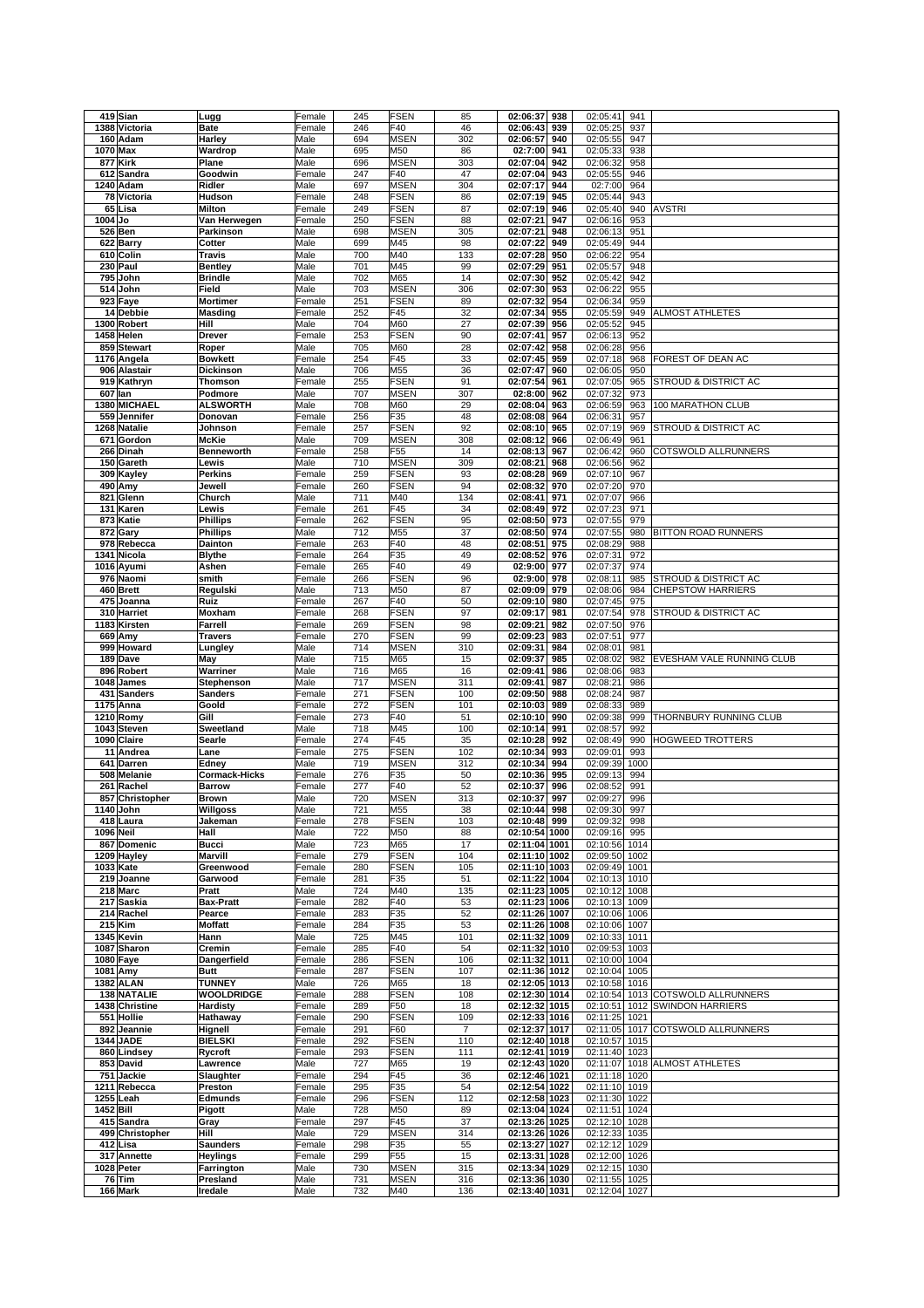| 419 Sian              |                     | Female       | 245        | <b>FSEN</b>        | 85             | 02:06:37<br>938                | 02:05:41<br>941                |                                   |
|-----------------------|---------------------|--------------|------------|--------------------|----------------|--------------------------------|--------------------------------|-----------------------------------|
|                       | Lugg                |              |            |                    |                |                                |                                |                                   |
| 1388 Victoria         | <b>Bate</b>         | Female       | 246        | F40                | 46             | 02:06:43<br>939                | 02:05:25<br>937                |                                   |
| 160 Adam              | Harley              | Male         | 694        | <b>MSEN</b>        | 302            | 02:06:57<br>940                | 02:05:55<br>947                |                                   |
| 1070 Max              | Wardrop             | Male         | 695        | M50                | 86             | 02:7:00<br>941                 | 02:05:33<br>938                |                                   |
|                       |                     |              |            |                    |                |                                |                                |                                   |
| 877 Kirk              | Plane               | Male         | 696        | <b>MSEN</b>        | 303            | 02:07:04<br>942                | 02:06:32<br>958                |                                   |
| 612 Sandra            | Goodwin             | Female       | 247        | F40                | 47             | 02:07:04<br>943                | 02:05:55<br>946                |                                   |
| 1240 Adam             | Ridler              | Male         | 697        | <b>MSEN</b>        | 304            | 02:07:17<br>944                | 02:7:00<br>964                 |                                   |
|                       |                     |              |            |                    |                |                                |                                |                                   |
| 78 Victoria           | Hudson              | Female       | 248        | <b>FSEN</b>        | 86             | 02:07:19<br>945                | 02:05:44<br>943                |                                   |
| 65 Lisa               | <b>Milton</b>       | Female       | 249        | <b>FSEN</b>        | 87             | 02:07:19<br>946                | 02:05:40<br>940                | <b>AVSTRI</b>                     |
|                       |                     |              |            |                    |                | 02:07:21                       |                                |                                   |
| 1004 Jo               | Van Herwegen        | Female       | 250        | <b>FSEN</b>        | 88             | 947                            | 02:06:16<br>953                |                                   |
| 526 Ben               | Parkinson           | Male         | 698        | <b>MSEN</b>        | 305            | 02:07:21<br>948                | 02:06:13<br>951                |                                   |
| 622 Barry             | Cotter              | Male         | 699        | M45                | 98             | 02:07:22<br>949                | 02:05:49<br>944                |                                   |
|                       |                     |              |            |                    |                |                                |                                |                                   |
| 610 Colin             | Travis              | Male         | 700        | M40                | 133            | 02:07:28<br>950                | 02:06:22<br>954                |                                   |
| 230 Paul              | <b>Bentley</b>      | Male         | 701        | M45                | 99             | 02:07:29<br>951                | 02:05:57<br>948                |                                   |
| 795<br>John           | <b>Brindle</b>      | Male         | 702        | M65                | 14             | 02:07:30<br>952                | 02:05:42<br>942                |                                   |
|                       |                     |              |            |                    |                |                                |                                |                                   |
| 514<br>John           | Field               | Male         | 703        | <b>MSEN</b>        | 306            | 02:07:30<br>953                | 02:06:22<br>955                |                                   |
| 923 Faye              | <b>Mortimer</b>     | Female       | 251        | <b>FSEN</b>        | 89             | 02:07:32<br>954                | 02:06:34<br>959                |                                   |
| 14 Debbie             | <b>Masding</b>      | Female       | 252        | F45                | 32             | 02:07:34<br>955                | 02:05:59<br>949                | <b>ALMOST ATHLETES</b>            |
|                       |                     |              |            |                    |                |                                |                                |                                   |
| 1300 Robert           | Hill                | Male         | 704        | M60                | 27             | 02:07:39<br>956                | 02:05:52<br>945                |                                   |
| 1458 Helen            | <b>Drever</b>       | Female       | 253        | <b>FSEN</b>        | 90             | 02:07:41<br>957                | 02:06:13<br>952                |                                   |
| 859 Stewart           | Roper               | Male         | 705        | M60                | 28             | 02:07:42<br>958                | 02:06:28<br>956                |                                   |
|                       |                     |              |            |                    |                |                                |                                |                                   |
| 1176 Angela           | <b>Bowkett</b>      | Female       | 254        | F45                | 33             | 02:07:45<br>959                | 02:07:18<br>968                | FOREST OF DEAN AC                 |
| 906 Alastair          | Dickinson           | Male         | 706        | M55                | 36             | 02:07:47<br>960                | 02:06:05<br>950                |                                   |
|                       |                     |              |            |                    |                |                                |                                |                                   |
| 919 Kathryn           | <b>Thomson</b>      | Female       | 255        | <b>FSEN</b>        | 91             | 02:07:54<br>961                | 02:07:05<br>965                | STROUD & DISTRICT AC              |
| 607<br>lan            | Podmore             | Male         | 707        | <b>MSEN</b>        | 307            | 02:8:00<br>962                 | 02:07:32<br>973                |                                   |
| 1380 MICHAEL          | <b>ALSWORTH</b>     | Male         | 708        | M60                | 29             | 02:08:04<br>963                | 02:06:59<br>963                | 100 MARATHON CLUB                 |
|                       |                     |              |            |                    |                |                                |                                |                                   |
| 559 Jennifer          | Donovan             | Female       | 256        | F35                | 48             | 02:08:08<br>964                | 02:06:31<br>957                |                                   |
| 1268 Natalie          | Johnson             | Female       | 257        | FSEN               | 92             | 02:08:10<br>965                | 02:07:19<br>969                | STROUD & DISTRICT AC              |
| Gordon<br>671         | <b>McKie</b>        | Male         | 709        | <b>MSEN</b>        | 308            | 02:08:12<br>966                | 02:06:49<br>961                |                                   |
|                       |                     |              |            |                    |                |                                |                                |                                   |
| 266 Dinah             | <b>Benneworth</b>   | Female       | 258        | F55                | 14             | 02:08:13<br>967                | 02:06:42<br>960                | COTSWOLD ALLRUNNERS               |
| 150 Gareth            | Lewis               | Male         | 710        | <b>MSEN</b>        | 309            | 02:08:21<br>968                | 02:06:56<br>962                |                                   |
|                       | Perkins             | Female       | 259        | <b>FSEN</b>        | 93             | 02:08:28<br>969                | 02:07:10<br>967                |                                   |
| 309 Kayley            |                     |              |            |                    |                |                                |                                |                                   |
| 490 Amy               | Jewell              | Female       | 260        | <b>FSEN</b>        | 94             | 02:08:32<br>970                | 02:07:20<br>970                |                                   |
| 821<br>Glenn          | Church              | Male         | 711        | M40                | 134            | 02:08:41<br>971                | 02:07:07<br>966                |                                   |
|                       |                     |              |            |                    |                |                                |                                |                                   |
| 131 Karen             | Lewis               | Female       | 261        | F45                | 34             | 02:08:49<br>972                | 02:07:23<br>971                |                                   |
| 873 Katie             | <b>Phillips</b>     | Female       | 262        | <b>FSEN</b>        | 95             | 02:08:50<br>973                | 02:07:55<br>979                |                                   |
| 872 Gary              | Phillips            | Male         | 712        | M55                | 37             | 02:08:50<br>974                | 02:07:55<br>980                | BITTON ROAD RUNNERS               |
|                       |                     |              |            |                    |                |                                |                                |                                   |
| 978<br>Rebecca        | Dainton             | Female       | 263        | F40                | 48             | 02:08:51<br>975                | 02:08:29<br>988                |                                   |
| 1341 Nicola           | <b>Blythe</b>       | Female       | 264        | F35                | 49             | 02:08:52<br>976                | 02:07:31<br>972                |                                   |
| 1016 Ayumi            | Ashen               | Female       | 265        | F40                | 49             | 02:9:00<br>977                 | 02:07:37<br>974                |                                   |
|                       |                     |              |            |                    |                |                                |                                |                                   |
| 976 Naomi             | smith               | Female       | 266        | <b>FSEN</b>        | 96             | 02:9:00<br>978                 | 02:08:11<br>985                | STROUD & DISTRICT AC              |
| 460 Brett             | Regulski            | Male         | 713        | M50                | 87             | 02:09:09<br>979                | 02:08:06<br>984                | <b>CHEPSTOW HARRIERS</b>          |
| 475<br>Joanna         | Ruiz                |              | 267        | F40                | 50             | 02:09:10<br>980                | 02:07:45<br>975                |                                   |
|                       |                     | Female       |            |                    |                |                                |                                |                                   |
| 310 Harriet           | Moxham              | Female       | 268        | <b>FSEN</b>        | 97             | 02:09:17<br>981                | 02:07:54<br>978                | STROUD & DISTRICT AC              |
| 1183 Kirsten          | Farrell             | Female       | 269        | <b>FSEN</b>        | 98             | 02:09:21<br>982                | 02:07:50<br>976                |                                   |
| 669<br>Amy            | <b>Travers</b>      | Female       | 270        | <b>FSEN</b>        | 99             | 02:09:23<br>983                | 02:07:51<br>977                |                                   |
|                       |                     |              |            |                    |                |                                |                                |                                   |
| 999 Howard            | Lungley             | Male         | 714        | <b>MSEN</b>        | 310            | 02:09:31<br>984                | 02:08:01<br>981                |                                   |
| 189 Dave              | May                 | Male         | 715        | M65                | 15             | 02:09:37<br>985                | 02:08:02<br>982                | EVESHAM VALE RUNNING CLUB         |
|                       |                     |              |            |                    |                |                                |                                |                                   |
|                       |                     |              |            |                    |                |                                |                                |                                   |
| 896 Robert            | Warriner            | Male         | 716        | M65                | 16             | 02:09:41<br>986                | 02:08:06<br>983                |                                   |
| 1048 James            | Stephenson          | Male         | 717        | <b>MSEN</b>        | 311            | 02:09:41<br>987                | 02:08:21<br>986                |                                   |
|                       |                     |              |            |                    |                |                                |                                |                                   |
| 431<br><b>Sanders</b> | Sanders             | Female       | 271        | <b>FSEN</b>        | 100            | 02:09:50<br>988                | 02:08:24<br>987                |                                   |
| 1175 Anna             | Goold               | Female       | 272        | <b>FSEN</b>        | 101            | 02:10:03<br>989                | 02:08:33<br>989                |                                   |
| 1210 Romy             | Gill                | Female       | 273        | F40                | 51             | 02:10:10<br>990                | 02:09:38<br>999                | THORNBURY RUNNING CLUB            |
|                       |                     |              |            |                    |                |                                |                                |                                   |
| 1043<br><b>Steven</b> | Sweetland           | Male         | 718        | M45                | 100            | 02:10:14<br>991                | 02:08:57<br>992                |                                   |
| 1090 Claire           | Searle              | Female       | 274        | F45                | 35             | 02:10:28<br>992                | 02:08:49<br>990                | HOGWEED TROTTERS                  |
| 11<br>Andrea          | Lane                | Female       |            |                    | 102            | 993                            | 993                            |                                   |
|                       |                     |              | 275        | <b>FSEN</b>        |                | 02:10:34                       | 02:09:01                       |                                   |
| 641<br>Darren         | Edney               | Male         | 719        | <b>MSEN</b>        | 312            | 02:10:34<br>994                | 02:09:39<br>1000               |                                   |
| 508 Melanie           | Cormack-Hicks       | Female       | 276        | F35                | 50             | 02:10:36<br>995                | 02:09:13<br>994                |                                   |
|                       |                     |              |            |                    |                |                                |                                |                                   |
| 261 Rachel            | <b>Barrow</b>       | Female       | 277        | F40                | 52             | 02:10:37<br>996                | 02:08:52<br>991                |                                   |
| 857 Christopher       | <b>Brown</b>        | Male         | 720        | <b>MSEN</b>        | 313            | 02:10:37<br>997                | 02:09:27<br>996                |                                   |
| 1140 John             | Willgoss            | Male         | 721        | M55                | 38             | 02:10:44 998                   | 02:09:30 997                   |                                   |
|                       |                     |              |            |                    | 103            |                                | 998                            |                                   |
| 418 Laura             | Jakeman             | Female       | 278        | <b>FSEN</b>        |                | 02:10:48 999                   | 02:09:32                       |                                   |
| 1096 Neil             | Hall                | Male         | 722        | M50                | 88             | 02:10:54 1000                  | 02:09:16<br>995                |                                   |
| 867 Domenic           | <b>Bucci</b>        | Male         | 723        | M65                | 17             | 02:11:04 1001                  | 02:10:56 1014                  |                                   |
|                       |                     |              |            |                    |                |                                |                                |                                   |
| 1209 Hayley           | <b>Marvill</b>      | Female       | 279        | <b>FSEN</b>        | 104            | 02:11:10 1002                  | 02:09:50 1002                  |                                   |
| 1033 Kate             | Greenwood           | Female       | 280        | <b>FSEN</b>        | 105            | 02:11:10 1003                  | 02:09:49 1001                  |                                   |
| 219 Joanne            | Garwood             | Female       | 281        | F35                | 51             | 02:11:22 1004                  | 02:10:13 1010                  |                                   |
|                       |                     |              |            |                    |                |                                |                                |                                   |
| 218 Marc              | Pratt               | Male         | 724        | M40                | 135            | $\overline{02:}11:23$ 1005     | 02:10:12 1008                  |                                   |
| 217 Saskia            | <b>Bax-Pratt</b>    | Female       | 282        | F40                | 53             | 02:11:23 1006                  | 02:10:13 1009                  |                                   |
| 214 Rachel            | Pearce              | Female       | 283        | F35                | 52             | 02:11:26 1007                  | 02:10:06 1006                  |                                   |
|                       |                     |              |            |                    |                |                                |                                |                                   |
| 215 Kim               | Moffatt             | Female       | 284        | F35                | 53             | 02:11:26 1008                  | 02:10:06 1007                  |                                   |
| 1345 Kevin            | Hann                | Male         | 725        | M45                | 101            | 02:11:32 1009                  | 02:10:33 1011                  |                                   |
| 1087 Sharon           | Cremin              | Female       | 285        | F40                | 54             |                                |                                |                                   |
|                       |                     |              |            |                    |                | 02:11:32 1010                  | 02:09:53 1003                  |                                   |
| 1080 Faye             | Dangerfield         | Female       | 286        | <b>FSEN</b>        | 106            | 02:11:32 1011                  | 02:10:00 1004                  |                                   |
| 1081 Amy              | <b>Butt</b>         | Female       | 287        | <b>FSEN</b>        | 107            | 02:11:36 1012                  | 02:10:04 1005                  |                                   |
| <b>1382 ALAN</b>      | <b>TUNNEY</b>       | Male         |            |                    |                |                                |                                |                                   |
|                       |                     |              | 726        | M65                | 18             | 02:12:05 1013                  | 02:10:58 1016                  |                                   |
| <b>138 NATALIE</b>    | <b>WOOLDRIDGE</b>   | Female       | 288        | <b>FSEN</b>        | 108            | 02:12:30 1014                  |                                | 02:10:54 1013 COTSWOLD ALLRUNNERS |
| 1438 Christine        | Hardisty            | Female       | 289        | F50                | 18             | 02:12:32 1015                  |                                | 02:10:51 1012 SWINDON HARRIERS    |
| 551 Hollie            | Hathaway            | Female       | 290        | <b>FSEN</b>        | 109            | 02:12:33 1016                  | 02:11:25 1021                  |                                   |
|                       |                     |              |            |                    |                |                                |                                |                                   |
| 892 Jeannie           | Hignell             | Female       | 291        | F60                | $\overline{7}$ | 02:12:37 1017                  | 02:11:05                       | 1017 COTSWOLD ALLRUNNERS          |
| 1344 JADE             | <b>BIELSKI</b>      | Female       | 292        | FSEN               | 110            | 02:12:40 1018                  | 02:10:57 1015                  |                                   |
|                       |                     |              |            |                    |                |                                |                                |                                   |
| 860 Lindsey           | Rycroft             | Female       | 293        | <b>FSEN</b>        | 111            | 02:12:41 1019                  | 02:11:40 1023                  |                                   |
| 853 David             | Lawrence            | Male         | 727        | M65                | 19             | 02:12:43 1020                  |                                | 02:11:07 1018 ALMOST ATHLETES     |
| 751 Jackie            | Slaughter           | Female       | 294        | F45                | 36             | 02:12:46 1021                  | 02:11:18 1020                  |                                   |
|                       |                     |              |            |                    |                |                                |                                |                                   |
| 1211 Rebecca          | Preston             | Female       | 295        | F35                | 54             | 02:12:54 1022                  | 02:11:10 1019                  |                                   |
| 1255 Leah             | <b>Edmunds</b>      | Female       | 296        | <b>FSEN</b>        | 112            | 02:12:58 1023                  | 02:11:30 1022                  |                                   |
| 1452 Bill             | Pigott              | Male         | 728        | M50                | 89             | 02:13:04 1024                  | 02:11:51 1024                  |                                   |
|                       |                     |              |            |                    |                |                                |                                |                                   |
| 415 Sandra            | Gray                | Female       | 297        | F45                | 37             | 02:13:26 1025                  | 02:12:10 1028                  |                                   |
| 499 Christopher       | Hill                | Male         | 729        | <b>MSEN</b>        | 314            | 02:13:26 1026                  | 02:12:33 1035                  |                                   |
| 412 Lisa              | <b>Saunders</b>     | Female       | 298        | F35                |                |                                |                                |                                   |
|                       |                     |              |            |                    | 55             | 02:13:27 1027                  | 02:12:12 1029                  |                                   |
| 317 Annette           | <b>Heylings</b>     | Female       | 299        | F <sub>55</sub>    | 15             | 02:13:31 1028                  | 02:12:00 1026                  |                                   |
| 1028 Peter            | Farrington          | Male         | 730        | <b>MSEN</b>        | 315            | 02:13:34 1029                  | 02:12:15 1030                  |                                   |
|                       |                     |              |            |                    |                |                                |                                |                                   |
| 76 Tim<br>166 Mark    | Presland<br>Iredale | Male<br>Male | 731<br>732 | <b>MSEN</b><br>M40 | 316<br>136     | 02:13:36 1030<br>02:13:40 1031 | 02:11:55 1025<br>02:12:04 1027 |                                   |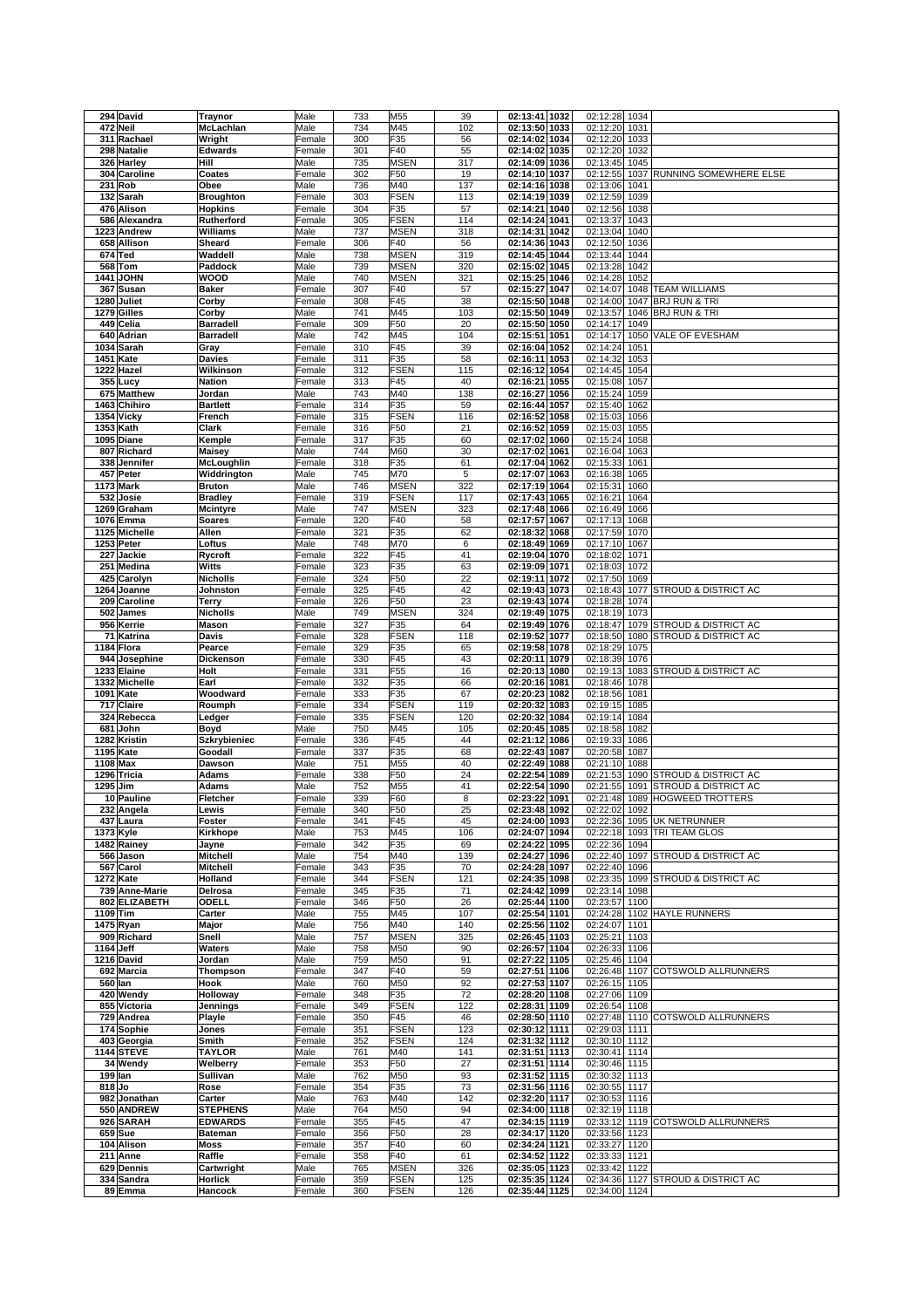| 294 David                     | <b>Traynor</b>            | Male             | 733        | M55                        | 39         | 02:13:41 1032                  | 02:12:28                       | 1034         |                                                   |
|-------------------------------|---------------------------|------------------|------------|----------------------------|------------|--------------------------------|--------------------------------|--------------|---------------------------------------------------|
| 472 Neil                      | McLachlan                 | Male             | 734        | M45                        | 102        | 02:13:50 1033                  | 02:12:20                       | 1031         |                                                   |
| 311 Rachael                   | Wright                    | Female           | 300        | F <sub>35</sub>            | 56         | 02:14:02 1034                  | 02:12:20                       | 1033         |                                                   |
| 298 Natalie                   | <b>Edwards</b>            | Female           | 301        | F40                        | 55         | 02:14:02 1035                  | 02:12:20                       | 1032         |                                                   |
| 326 Harley                    | Hill                      | Male             | 735        | <b>MSEN</b>                | 317        | 02:14:09 1036                  | 02:13:45                       | 1045         |                                                   |
| 304 Caroline                  | Coates                    | Female           | 302        | F50                        | 19         | 02:14:10 1037                  | 02:12:55                       | 1037         | RUNNING SOMEWHERE ELSE                            |
| 231<br>Rob                    | Obee                      | Male             | 736        | M40                        | 137        | 02:14:16 1038                  | 02:13:06                       | 1041         |                                                   |
| 132 Sarah                     | <b>Broughton</b>          | Female           | 303        | <b>FSEN</b>                | 113        | 02:14:19 1039                  | 02:12:59                       | 1039         |                                                   |
| 476 Alison                    | <b>Hopkins</b>            | Female           | 304        | F35                        | 57         | 02:14:21<br>1040               | 02:12:56                       | 1038         |                                                   |
| 586 Alexandra                 | Rutherford                | Female           | 305        | <b>FSEN</b>                | 114        | 02:14:24 1041                  | 02:13:37                       | 1043         |                                                   |
| 1223 Andrew                   | Williams                  | Male             | 737        | <b>MSEN</b>                | 318        | 02:14:31 1042                  | 02:13:04                       | 1040         |                                                   |
| 658 Allison                   | Sheard                    | Female           | 306        | F40                        | 56         | 02:14:36 1043                  | 02:12:50                       | 1036         |                                                   |
| 674 Ted                       | Waddell                   | Male             | 738        | <b>MSEN</b>                | 319        | 02:14:45 1044                  | 02:13:44                       | 1044         |                                                   |
| 568 Tom                       | Paddock                   | Male             | 739        | <b>MSEN</b>                | 320        | 02:15:02 1045                  | 02:13:28                       | 1042         |                                                   |
| <b>1441 JOHN</b>              | WOOD                      | Male             | 740        | <b>MSEN</b>                | 321        | 02:15:25 1046                  | 02:14:28                       | 1052         |                                                   |
| 367 Susan                     | <b>Baker</b>              | Female           | 307        | F40                        | 57         | 02:15:27 1047                  | 02:14:07                       |              | 1048 TEAM WILLIAMS                                |
| 1280 Juliet                   | Corby                     | Female           | 308        | F45                        | 38         | 02:15:50 1048                  | 02:14:00                       | 1047         | <b>BRJ RUN &amp; TRI</b>                          |
| 1279 Gilles                   | Corby                     | Male             | 741        | M45                        | 103        | 02:15:50 1049                  | 02:13:57                       | 1046         | <b>BRJ RUN &amp; TRI</b>                          |
| 449 Celia                     | <b>Barradell</b>          | Female           | 309        | F50                        | 20         | 02:15:50 1050                  | 02:14:17                       | 1049         |                                                   |
| 640 Adrian                    | <b>Barradell</b>          | Male             | 742        | M45                        | 104        | 02:15:51 1051                  | 02:14:17                       | 1050         | VALE OF EVESHAM                                   |
| 1034 Sarah                    | Gray                      | Female           | 310        | F45                        | 39         | 02:16:04 1052                  | 02:14:24                       | 1051         |                                                   |
| 1451 Kate                     | Davies                    | Female           | 311        | F35                        | 58         | 02:16:11<br>1053               | 02:14:32                       | 1053         |                                                   |
| 1222 Hazel                    | Wilkinson                 | Female           | 312        | <b>FSEN</b>                | 115        | 02:16:12 1054                  | 02:14:45                       | 1054         |                                                   |
| 355 Lucy                      | <b>Nation</b>             | Female           | 313        | F45                        | 40         | 02:16:21 1055                  | 02:15:08                       | 1057         |                                                   |
| 675 Matthew                   | Jordan                    | Male             | 743        | M40                        | 138        | 02:16:27<br>1056               | 02:15:24                       | 1059         |                                                   |
| 1463 Chihiro                  | <b>Bartlett</b>           | Female           | 314        | F35                        | 59         | 02:16:44 1057                  | 02:15:40                       | 1062         |                                                   |
| 1354 Vicky                    | French                    | Female           | 315        | <b>FSEN</b>                | 116        | 02:16:52 1058                  | 02:15:03                       | 1056         |                                                   |
| 1353 Kath                     | Clark                     | Female           | 316        | F50                        | 21         | 02:16:52 1059                  | 02:15:03                       | 1055         |                                                   |
| 1095 Diane                    | Kemple                    | Female           | 317        | F35                        | 60         | 02:17:02 1060                  | 02:15:24 1058                  |              |                                                   |
| 807 Richard                   | Maisey                    | Male             | 744        | M60                        | 30         | 02:17:02 1061                  | 02:16:04                       | 1063         |                                                   |
| 338 Jennifer                  | McLoughlin                | Female           | 318        | F35                        | 61         | 02:17:04 1062                  | 02:15:33                       | 1061         |                                                   |
| 457 Peter                     | Widdrington               | Male             | 745        | M70                        | 5          | 02:17:07 1063                  | 02:16:38                       | 1065         |                                                   |
| 1173 Mark                     | <b>Bruton</b>             | Male             | 746        | <b>MSEN</b>                | 322        | 02:17:19 1064                  | 02:15:31                       | 1060         |                                                   |
| 532<br>Josie                  | <b>Bradley</b>            | Female           | 319        | <b>FSEN</b>                | 117        | 02:17:43 1065                  | 02:16:21                       | 1064         |                                                   |
| 1269 Graham                   | <b>Mcintyre</b>           | Male             | 747        | <b>MSEN</b>                | 323        | 02:17:48 1066                  | 02:16:49                       | 1066         |                                                   |
| 1076 Emma                     | <b>Soares</b>             | Female           | 320        | F40                        | 58         | 02:17:57 1067                  | 02:17:13                       | 1068         |                                                   |
| 1125 Michelle                 | Allen                     | Female           | 321        | F35                        | 62         | 02:18:32 1068                  | 02:17:59                       | 1070         |                                                   |
| 1253 Peter                    | Loftus                    | Male             | 748        | M70                        | 6          | 02:18:49 1069                  | 02:17:10                       | 1067         |                                                   |
| 227 Jackie                    | Rycroft                   | Female           | 322        | F45                        | 41         | 02:19:04 1070                  | 02:18:02                       | 1071         |                                                   |
| 251 Medina                    | Witts                     | Female           | 323        | F35                        | 63         | 02:19:09 1071                  | 02:18:03                       | 1072         |                                                   |
| 425 Carolyn                   | <b>Nicholls</b>           | Female           | 324        | F50                        | 22         | 02:19:11 1072                  | 02:17:50                       | 1069         |                                                   |
| 1264 Joanne                   | Johnston                  | Female           | 325        | F45                        | 42         | 02:19:43 1073                  | 02:18:43                       |              | 1077 STROUD & DISTRICT AC                         |
| 209 Caroline                  | <b>Terry</b>              | Female           | 326        | F50                        | 23         | 02:19:43 1074                  | 02:18:28                       | 1074         |                                                   |
| 502 James                     | Nicholls                  | Male             | 749        | <b>MSEN</b>                | 324        | 02:19:49 1075                  | 02:18:19                       | 1073         |                                                   |
| 956 Kerrie<br>71              | <b>Mason</b><br>Davis     | Female<br>Female | 327<br>328 | F35<br><b>FSEN</b>         | 64<br>118  | 02:19:49 1076<br>02:19:52 1077 | 02:18:47<br>02:18:50           |              | 1079 STROUD & DISTRICT AC<br>STROUD & DISTRICT AC |
| Katrina<br>1184 Flora         | Pearce                    | Female           | 329        | F35                        | 65         | 02:19:58<br>1078               | 02:18:29                       | 1080<br>1075 |                                                   |
| 944 Josephine                 | Dickenson                 | Female           | 330        | F45                        | 43         | 02:20:11 1079                  | 02:18:39                       | 1076         |                                                   |
| 1233 Elaine                   | Holt                      | Female           | 331        | F <sub>55</sub>            | 16         | 02:20:13 1080                  | 02:19:13                       |              | 1083 STROUD & DISTRICT AC                         |
| 1332 Michelle                 | Earl                      | Female           | 332        | F35                        | 66         | 02:20:16 1081                  | 02:18:46                       | 1078         |                                                   |
| 1091 Kate                     | Woodward                  | Female           | 333        | F35                        | 67         | 02:20:23 1082                  | 02:18:56                       | 1081         |                                                   |
| 717 Claire                    | Roumph                    | Female           | 334        | <b>FSEN</b>                | 119        | 02:20:32 1083                  | 02:19:15 1085                  |              |                                                   |
| 324 Rebecca                   | Ledger                    | Female           | 335        | <b>FSEN</b>                | 120        | 02:20:32 1084                  | 02:19:14 1084                  |              |                                                   |
| 681<br>John                   | Boyd                      | Male             | 750        | M45                        | 105        | 02:20:45 1085                  | 02:18:58 1082                  |              |                                                   |
| 1282 Kristin                  | Szkrybieniec              | Female           | 336        | F45                        | 44         | 02:21:12 1086                  | 02:19:33                       | 1086         |                                                   |
| 1195 Kate                     | Goodall                   | Female           | 337        | F35                        | 68         | 02:22:43 1087                  | 02:20:58 1087                  |              |                                                   |
| 1108 Max                      | Dawson                    | Male             | 751        | M55                        | 40         | 02:22:49 1088                  | 02:21:10                       | 1088         |                                                   |
| 1296 Tricia                   | Adams                     | Female           | 338        | F50                        | 24         | 02:22:54 1089                  | 02:21:53                       |              | 1090 STROUD & DISTRICT AC                         |
| 1295 Jim                      | <b>Adams</b>              | Male             | 752        | M55                        | 41         | 02:22:54 1090                  | 02:21:55                       |              | 1091 STROUD & DISTRICT AC                         |
| 10 Pauline                    | Fletcher                  | Female           | 339        | F60                        | 8          | 02:23:22 1091                  | 02:21:48                       |              | 1089 HOGWEED TROTTERS                             |
| 232 Angela                    | Lewis                     | Female           | 340        | F50                        | 25         | 02:23:48 1092                  | 02:22:02 1092                  |              |                                                   |
| 437 Laura                     | Foster                    | Female           | 341        | F45                        | 45         | 02:24:00 1093                  |                                |              | 02:22:36 1095 UK NETRUNNER                        |
| 1373 Kyle                     | Kirkhope                  | Male             | 753        | M45                        | 106        | 02:24:07 1094                  | 02:22:18                       |              | 1093 TRI TEAM GLOS                                |
| 1482 Rainey                   | Jayne                     | Female           | 342        | F35                        | 69         | 02:24:22 1095                  | 02:22:36 1094                  |              |                                                   |
| 566 Jason                     | <b>Mitchell</b>           | Male             | 754        | M40                        | 139        | 02:24:27 1096                  |                                |              | 02:22:40 1097 STROUD & DISTRICT AC                |
| 567 Carol                     | <b>Mitchell</b>           | Female           | 343        | F35                        | 70         | 02:24:28 1097                  | 02:22:40 1096                  |              |                                                   |
| <b>1272 Kate</b>              | Holland                   | Female           | 344        | <b>FSEN</b>                | 121        | 02:24:35 1098                  |                                |              | 02:23:35 1099 STROUD & DISTRICT AC                |
| 739 Anne-Marie                | Delrosa                   | Female           | 345        | F35                        | 71         | 02:24:42 1099                  | 02:23:14 1098                  |              |                                                   |
| 802 ELIZABETH                 | <b>ODELL</b>              | Female           | 346        | F50                        | 26         | 02:25:44 1100                  | 02:23:57 1100                  |              |                                                   |
| $1109$ Tim                    |                           |                  |            | M45                        | 107        |                                |                                |              | 02:24:28 1102 HAYLE RUNNERS                       |
| 1475 Ryan                     | Carter                    | Male             | 755        |                            |            | 02:25:54 1101                  |                                |              |                                                   |
|                               | Major                     | Male             | 756        | M40                        | 140        | 02:25:56 1102                  | 02:24:07 1101                  |              |                                                   |
| 909 Richard                   | Snell                     | Male             | 757        | <b>MSEN</b>                | 325        | 02:26:45 1103                  | 02:25:21                       | 1103         |                                                   |
| 1164 Jeff                     | Waters                    | Male             | 758        | M50                        | 90         | 02:26:57 1104                  | 02:26:33 1106                  |              |                                                   |
| 1216 David                    | Jordan                    | Male             | 759        | M50                        | 91         | 02:27:22 1105                  | 02:25:46 1104                  |              |                                                   |
| 692 Marcia                    | Thompson                  | Female           | 347        | F40                        | 59         | 02:27:51 1106                  |                                |              | 02:26:48 1107 COTSWOLD ALLRUNNERS                 |
| 560 lan                       | Hook                      | Male             | 760        | M50                        | 92         | 02:27:53 1107                  | 02:26:15                       | 1105         |                                                   |
| 420 Wendy                     | Holloway                  | Female           | 348        | F35                        | 72         | 02:28:20 1108                  | 02:27:06 1109                  |              |                                                   |
| 855 Victoria                  | Jennings                  | Female           | 349        | <b>FSEN</b>                | 122        | 02:28:31 1109                  | 02:26:54 1108                  |              |                                                   |
| 729 Andrea                    | Playle                    | Female           | 350        | F45                        | 46         | 02:28:50 1110                  |                                |              | 02:27:48 1110 COTSWOLD ALLRUNNERS                 |
| 174 Sophie                    | Jones                     | Female           | 351        | <b>FSEN</b>                | 123        | 02:30:12 1111                  | 02:29:03 1111                  |              |                                                   |
| 403 Georgia                   | Smith                     | Female           | 352        | <b>FSEN</b><br>M40         | 124        | 02:31:32 1112                  | 02:30:10 1112                  |              |                                                   |
| <b>1144 STEVE</b><br>34 Wendy | <b>TAYLOR</b><br>Welberry | Male<br>Female   | 761<br>353 | F50                        | 141<br>27  | 02:31:51 1113<br>02:31:51 1114 | 02:30:41 1114<br>02:30:46 1115 |              |                                                   |
| 199 lan                       | Sullivan                  | Male             | 762        | M50                        | 93         | 02:31:52 1115                  | 02:30:32 1113                  |              |                                                   |
| 818Jo                         | Rose                      | Female           | 354        | F35                        | 73         | 02:31:56 1116                  | 02:30:55 1117                  |              |                                                   |
| 982 Jonathan                  | Carter                    | Male             | 763        | M40                        | 142        | 02:32:20 1117                  | 02:30:53 1116                  |              |                                                   |
| 550 ANDREW                    | <b>STEPHENS</b>           | Male             | 764        | M50                        | 94         | 02:34:00 1118                  | 02:32:19 1118                  |              |                                                   |
| 926 SARAH                     | <b>EDWARDS</b>            | Female           | 355        | F45                        | 47         | 02:34:15 1119                  |                                |              | 02:33:12 1119 COTSWOLD ALLRUNNERS                 |
| 659 Sue                       | <b>Bateman</b>            | Female           | 356        | F50                        | 28         | 02:34:17 1120                  | 02:33:56 1123                  |              |                                                   |
| 104 Alison                    | Moss                      | Female           | 357        | F40                        | 60         | 02:34:24 1121                  | 02:33:27 1120                  |              |                                                   |
| 211 Anne                      | Raffle                    | Female           | 358        | F40                        | 61         | 02:34:52 1122                  | 02:33:33 1121                  |              |                                                   |
| 629 Dennis                    | Cartwright                | Male             | 765        | <b>MSEN</b>                | 326        | 02:35:05 1123                  | 02:33:42 1122                  |              |                                                   |
| 334 Sandra<br>89 Emma         | Horlick<br>Hancock        | Female<br>Female | 359<br>360 | <b>FSEN</b><br><b>FSEN</b> | 125<br>126 | 02:35:35 1124<br>02:35:44 1125 | 02:34:00 1124                  |              | 02:34:36 1127 STROUD & DISTRICT AC                |